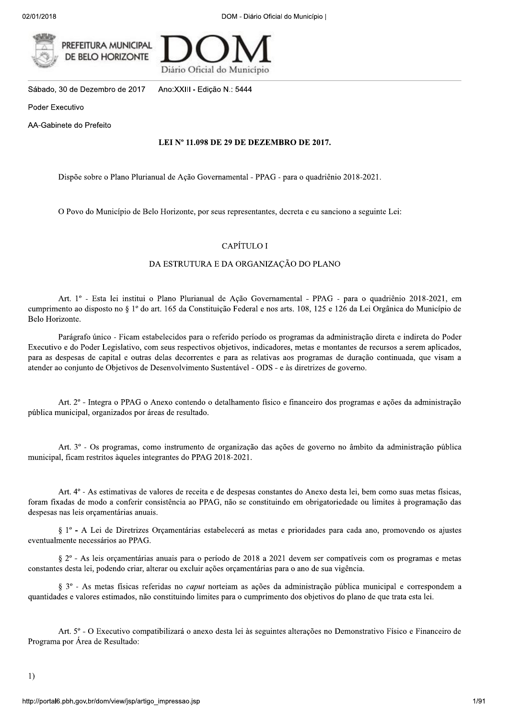

Diário Oficial do Município

Sábado, 30 de Dezembro de 2017 Ano:XXIII - Edição N.: 5444

Poder Executivo

AA-Gabinete do Prefeito

#### LEI Nº 11.098 DE 29 DE DEZEMBRO DE 2017.

Dispõe sobre o Plano Plurianual de Ação Governamental - PPAG - para o quadriênio 2018-2021.

O Povo do Município de Belo Horizonte, por seus representantes, decreta e eu sanciono a seguinte Lei:

## CAPÍTULO I

#### DA ESTRUTURA E DA ORGANIZAÇÃO DO PLANO

Art. 1º - Esta lei institui o Plano Plurianual de Ação Governamental - PPAG - para o quadriênio 2018-2021, em cumprimento ao disposto no § 1º do art. 165 da Constituição Federal e nos arts. 108, 125 e 126 da Lei Orgânica do Município de Belo Horizonte.

Parágrafo único - Ficam estabelecidos para o referido período os programas da administração direta e indireta do Poder Executivo e do Poder Legislativo, com seus respectivos objetivos, indicadores, metas e montantes de recursos a serem aplicados, para as despesas de capital e outras delas decorrentes e para as relativas aos programas de duração continuada, que visam a atender ao conjunto de Objetivos de Desenvolvimento Sustentável - ODS - e às diretrizes de governo.

Art. 2<sup>o</sup> - Integra o PPAG o Anexo contendo o detalhamento físico e financeiro dos programas e ações da administração pública municipal, organizados por áreas de resultado.

Art. 3º - Os programas, como instrumento de organização das ações de governo no âmbito da administração pública municipal, ficam restritos àqueles integrantes do PPAG 2018-2021.

Art. 4<sup>o</sup> - As estimativas de valores de receita e de despesas constantes do Anexo desta lei, bem como suas metas físicas, foram fixadas de modo a conferir consistência ao PPAG, não se constituindo em obrigatoriedade ou limites à programação das despesas nas leis orcamentárias anuais.

§ 1º - A Lei de Diretrizes Orçamentárias estabelecerá as metas e prioridades para cada ano, promovendo os ajustes eventualmente necessários ao PPAG.

§ 2° - As leis orcamentárias anuais para o período de 2018 a 2021 devem ser compatíveis com os programas e metas constantes desta lei, podendo criar, alterar ou excluir ações orçamentárias para o ano de sua vigência.

§ 3° - As metas físicas referidas no *caput* norteiam as ações da administração pública municipal e correspondem a quantidades e valores estimados, não constituindo limites para o cumprimento dos objetivos do plano de que trata esta lei.

Art. 5° - O Executivo compatibilizará o anexo desta lei às seguintes alterações no Demonstrativo Físico e Financeiro de Programa por Área de Resultado: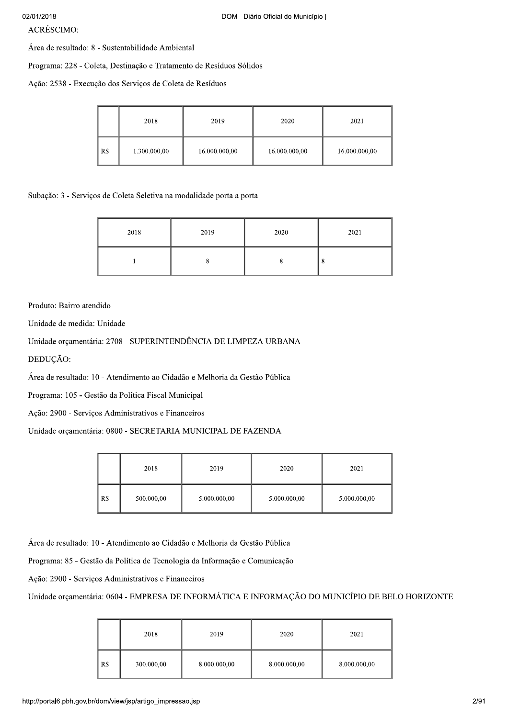ACRÉSCIMO:

Área de resultado: 8 - Sustentabilidade Ambiental

Programa: 228 - Coleta, Destinação e Tratamento de Resíduos Sólidos

Ação: 2538 - Execução dos Serviços de Coleta de Resíduos

|     | 2018         | 2019          | 2020          | 2021          |
|-----|--------------|---------------|---------------|---------------|
| R\$ | 1.300.000,00 | 16.000.000,00 | 16.000.000,00 | 16.000.000,00 |

Subação: 3 - Serviços de Coleta Seletiva na modalidade porta a porta

| 2018 | 2019 | 2020 | 2021       |
|------|------|------|------------|
|      |      |      | $^{\circ}$ |

Produto: Bairro atendido

Unidade de medida: Unidade

Unidade orcamentária: 2708 - SUPERINTENDÊNCIA DE LIMPEZA URBANA

DEDUÇÃO:

Área de resultado: 10 - Atendimento ao Cidadão e Melhoria da Gestão Pública

Programa: 105 - Gestão da Política Fiscal Municipal

Ação: 2900 - Serviços Administrativos e Financeiros

Unidade orçamentária: 0800 - SECRETARIA MUNICIPAL DE FAZENDA

|     | 2018       | 2019         | 2020         | 2021         |
|-----|------------|--------------|--------------|--------------|
| R\$ | 500.000,00 | 5.000.000,00 | 5.000.000,00 | 5.000.000,00 |

Área de resultado: 10 - Atendimento ao Cidadão e Melhoria da Gestão Pública

Programa: 85 - Gestão da Política de Tecnologia da Informação e Comunicação

Ação: 2900 - Serviços Administrativos e Financeiros

Unidade orçamentária: 0604 - EMPRESA DE INFORMÁTICA E INFORMAÇÃO DO MUNICÍPIO DE BELO HORIZONTE

|     | 2018       | 2019         | 2020         | 2021         |
|-----|------------|--------------|--------------|--------------|
| R\$ | 300.000,00 | 8.000.000,00 | 8.000.000,00 | 8.000.000,00 |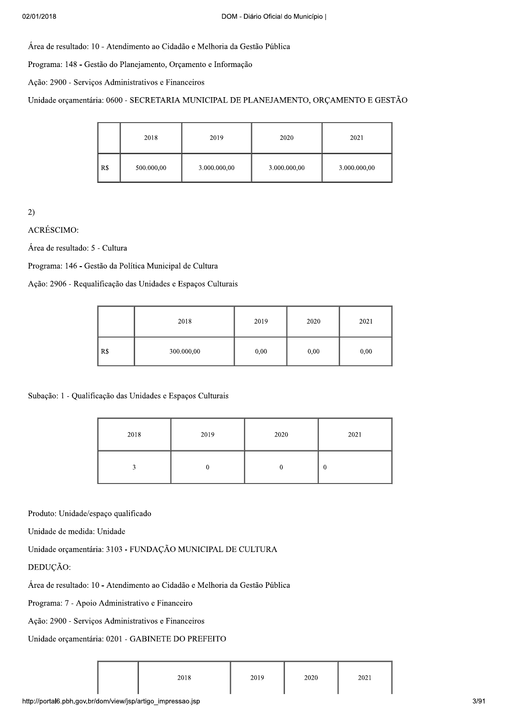Área de resultado: 10 - Atendimento ao Cidadão e Melhoria da Gestão Pública

Programa: 148 - Gestão do Planejamento, Orçamento e Informação

Ação: 2900 - Serviços Administrativos e Financeiros

Unidade orçamentária: 0600 - SECRETARIA MUNICIPAL DE PLANEJAMENTO, ORÇAMENTO E GESTÃO

|     | 2018       | 2019         | 2020         | 2021         |
|-----|------------|--------------|--------------|--------------|
| R\$ | 500.000,00 | 3.000.000,00 | 3.000.000,00 | 3.000.000,00 |

 $2)$ 

ACRÉSCIMO:

Área de resultado: 5 - Cultura

Programa: 146 - Gestão da Política Municipal de Cultura

Ação: 2906 - Requalificação das Unidades e Espaços Culturais

|     | 2018       | 2019 | 2020 | 2021 |
|-----|------------|------|------|------|
| R\$ | 300.000,00 | 0,00 | 0,00 | 0,00 |

Subação: 1 - Qualificação das Unidades e Espaços Culturais

| 2018 | 2019 | 2020 | 2021             |
|------|------|------|------------------|
|      |      |      | $\boldsymbol{0}$ |

Produto: Unidade/espaço qualificado

Unidade de medida: Unidade

Unidade orçamentária: 3103 - FUNDAÇÃO MUNICIPAL DE CULTURA

DEDUCÃO:

Área de resultado: 10 - Atendimento ao Cidadão e Melhoria da Gestão Pública

Programa: 7 - Apoio Administrativo e Financeiro

Ação: 2900 - Serviços Administrativos e Financeiros

Unidade orçamentária: 0201 - GABINETE DO PREFEITO

| 2018 | 2019 | 2020 | 2021 |
|------|------|------|------|
|------|------|------|------|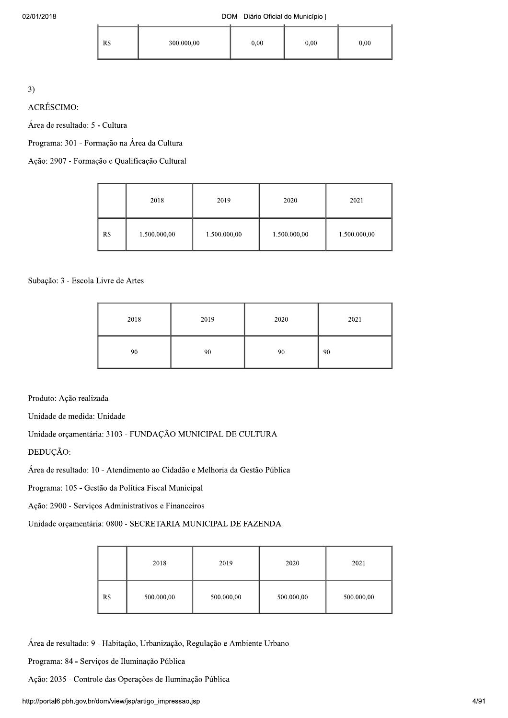| R\$ | 300.000,00 | 0,00 | 0,00 | 0,00 |
|-----|------------|------|------|------|

3)<br>ACRÉSCIMO:

Área de resultado: 5 - Cultura

Programa: 301 - Formação na Área da Cultura

Ação: 2907 - Formação e Qualificação Cultural

|     | 2018         | 2019         | 2020         | 2021         |
|-----|--------------|--------------|--------------|--------------|
| R\$ | 1.500.000,00 | 1.500.000,00 | 1.500.000,00 | 1.500.000,00 |

Subação: 3 - Escola Livre de Artes

| 2018 | 2019 | 2020 | 2021 |
|------|------|------|------|
| 90   | 90   | 90   | 90   |

Produto: Ação realizada

Unidade de medida: Unidade

Unidade orçamentária: 3103 - FUNDAÇÃO MUNICIPAL DE CULTURA

DEDUÇÃO:

Área de resultado: 10 - Atendimento ao Cidadão e Melhoria da Gestão Pública

Programa: 105 - Gestão da Política Fiscal Municipal

Ação: 2900 - Serviços Administrativos e Financeiros

Unidade orçamentária: 0800 - SECRETARIA MUNICIPAL DE FAZENDA

|     | 2018       | 2019       | 2020       | 2021       |
|-----|------------|------------|------------|------------|
| R\$ | 500.000,00 | 500.000,00 | 500.000,00 | 500.000,00 |

Área de resultado: 9 - Habitação, Urbanização, Regulação e Ambiente Urbano

Programa: 84 - Serviços de Iluminação Pública

Ação: 2035 - Controle das Operações de Iluminação Pública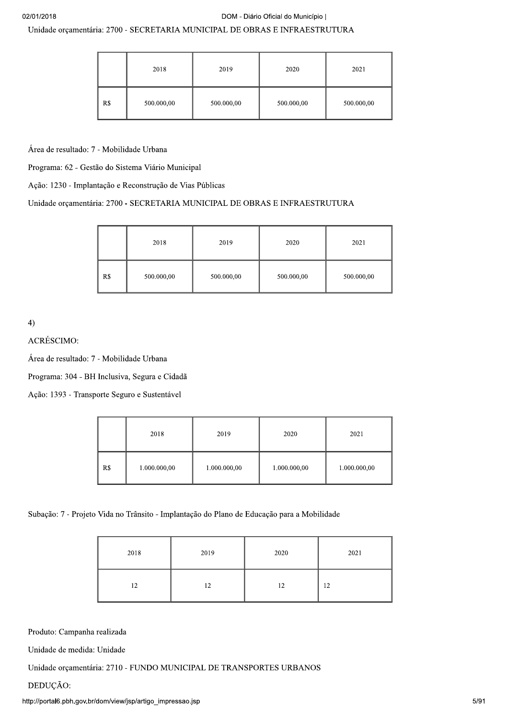# Unidade orçamentária: 2700 - SECRETARIA MUNICIPAL DE OBRAS E INFRAESTRUTURA

|     | 2018       | 2019       | 2020       | 2021       |
|-----|------------|------------|------------|------------|
| R\$ | 500.000,00 | 500.000,00 | 500.000,00 | 500.000,00 |

Área de resultado: 7 - Mobilidade Urbana

Programa: 62 - Gestão do Sistema Viário Municipal

Ação: 1230 - Implantação e Reconstrução de Vias Públicas

# Unidade orçamentária: 2700 - SECRETARIA MUNICIPAL DE OBRAS E INFRAESTRUTURA

|     | 2018       | 2019       | 2020       | 2021       |
|-----|------------|------------|------------|------------|
| R\$ | 500.000,00 | 500.000,00 | 500.000,00 | 500.000,00 |

# 4)<br>ACRÉSCIMO:

Área de resultado: 7 - Mobilidade Urbana

Programa: 304 - BH Inclusiva, Segura e Cidadã

Ação: 1393 - Transporte Seguro e Sustentável

|     | 2018         | 2019         | 2020         | 2021         |
|-----|--------------|--------------|--------------|--------------|
| R\$ | 1.000.000,00 | 1.000.000,00 | 1.000.000,00 | 1.000.000,00 |

# Subação: 7 - Projeto Vida no Trânsito - Implantação do Plano de Educação para a Mobilidade

| 2018 | 2019 | 2020 | 2021 |
|------|------|------|------|
| 12   | 12   | 12   | 12   |

Produto: Campanha realizada

Unidade de medida: Unidade

Unidade orçamentária: 2710 - FUNDO MUNICIPAL DE TRANSPORTES URBANOS

# DEDUÇÃO: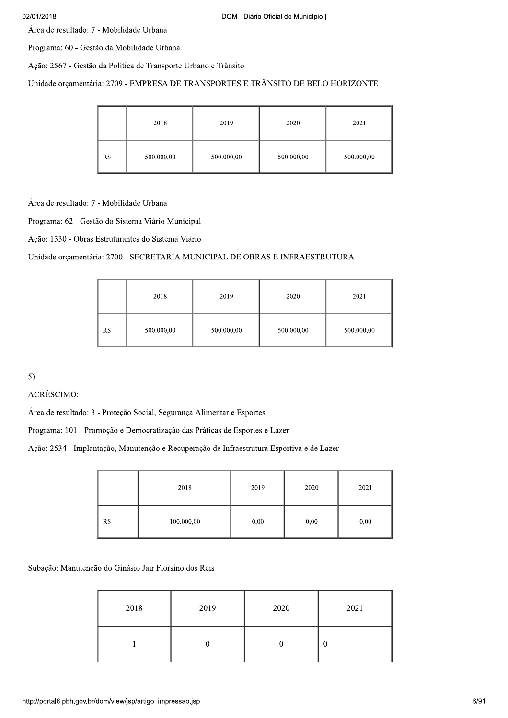| 02/01/2018<br>DOM - Diário Oficial do Município  <br>Área de resultado: 7 - Mobilidade Urbana |     |                                                                 |            |            |            |
|-----------------------------------------------------------------------------------------------|-----|-----------------------------------------------------------------|------------|------------|------------|
|                                                                                               |     |                                                                 |            |            |            |
|                                                                                               |     | Programa: 60 - Gestão da Mobilidade Urbana                      |            |            |            |
|                                                                                               |     | Ação: 2567 - Gestão da Política de Transporte Urbano e Trânsito |            |            |            |
| Unidade orçamentária: 2709 - EMPRESA DE TRANSPORTES E TRÂNSITO DE BELO HORIZONTE              |     |                                                                 |            |            |            |
|                                                                                               |     |                                                                 |            |            |            |
|                                                                                               |     | 2018                                                            | 2019       | 2020       | 2021       |
|                                                                                               |     |                                                                 |            |            |            |
|                                                                                               | R\$ | 500.000,00                                                      | 500.000,00 | 500.000,00 | 500.000,00 |
|                                                                                               |     |                                                                 |            |            |            |
| Área de resultado: 7 - Mobilidade Urbana                                                      |     |                                                                 |            |            |            |
|                                                                                               |     | Programa: 62 - Gestão do Sistema Viário Municipal               |            |            |            |
|                                                                                               |     |                                                                 |            |            |            |
|                                                                                               |     | Ação: 1330 - Obras Estruturantes do Sistema Viário              |            |            |            |

|     | 2018       | 2019       | 2020       | 2021       |
|-----|------------|------------|------------|------------|
| R\$ | 500.000,00 | 500.000,00 | 500.000,00 | 500.000,00 |

| ---                                                                                       | .          | .    | .    | .    |
|-------------------------------------------------------------------------------------------|------------|------|------|------|
|                                                                                           |            |      |      |      |
| 5)                                                                                        |            |      |      |      |
| ACRÉSCIMO:                                                                                |            |      |      |      |
| Área de resultado: 3 - Proteção Social, Segurança Alimentar e Esportes                    |            |      |      |      |
| Programa: 101 - Promoção e Democratização das Práticas de Esportes e Lazer                |            |      |      |      |
| Ação: 2534 - Implantação, Manutenção e Recuperação de Infraestrutura Esportiva e de Lazer |            |      |      |      |
|                                                                                           |            |      |      |      |
|                                                                                           | 2018       | 2019 | 2020 | 2021 |
| R <sub>s</sub>                                                                            | 100.000,00 | 0,00 | 0,00 | 0,00 |

Subação: Manutenção do Ginásio Jair Florsino dos Reis

| 2018 | 2019 | 2020 | 2021 |
|------|------|------|------|
|      |      |      | v    |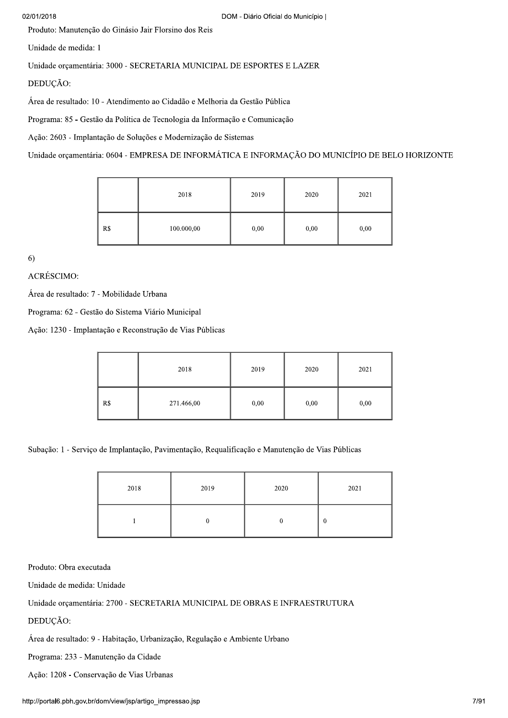#### 02/01/2018

Produto: Manutenção do Ginásio Jair Florsino dos Reis

Unidade de medida: 1

Unidade orçamentária: 3000 - SECRETARIA MUNICIPAL DE ESPORTES E LAZER

DEDUÇÃO:

Área de resultado: 10 - Atendimento ao Cidadão e Melhoria da Gestão Pública

Programa: 85 - Gestão da Política de Tecnologia da Informação e Comunicação

Ação: 2603 - Implantação de Soluções e Modernização de Sistemas

Unidade orçamentária: 0604 - EMPRESA DE INFORMÁTICA E INFORMAÇÃO DO MUNICÍPIO DE BELO HORIZONTE

|     | 2018       | 2019 | 2020 | 2021 |
|-----|------------|------|------|------|
| R\$ | 100.000,00 | 0,00 | 0,00 | 0,00 |

 $6)$ 

ACRÉSCIMO:

Área de resultado: 7 - Mobilidade Urbana

Programa: 62 - Gestão do Sistema Viário Municipal

Ação: 1230 - Implantação e Reconstrução de Vias Públicas

|     | 2018       | 2019 | 2020 | 2021 |
|-----|------------|------|------|------|
| R\$ | 271.466,00 | 0,00 | 0,00 | 0,00 |

Subação: 1 - Serviço de Implantação, Pavimentação, Requalificação e Manutenção de Vias Públicas

| 2018 | 2019 | 2020 | 2021 |
|------|------|------|------|
|      |      |      | 0    |

Produto: Obra executada

Unidade de medida: Unidade

Unidade orçamentária: 2700 - SECRETARIA MUNICIPAL DE OBRAS E INFRAESTRUTURA

DEDUÇÃO:

Área de resultado: 9 - Habitação, Urbanização, Regulação e Ambiente Urbano

Programa: 233 - Manutenção da Cidade

Ação: 1208 - Conservação de Vias Urbanas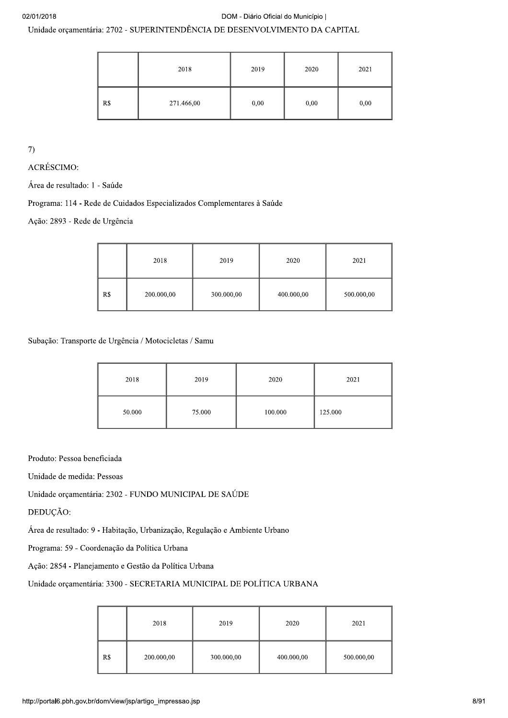#### DOM - Diário Oficial do Município |

Unidade orçamentária: 2702 - SUPERINTENDÊNCIA DE DESENVOLVIMENTO DA CAPITAL

|     | 2018       | 2019 | 2020 | 2021 |
|-----|------------|------|------|------|
| R\$ | 271.466,00 | 0,00 | 0,00 | 0,00 |

 $\overline{7}$ 

ACRÉSCIMO:

Área de resultado: 1 - Saúde

Programa: 114 - Rede de Cuidados Especializados Complementares à Saúde

Ação: 2893 - Rede de Urgência

|     | 2018       | 2019       | 2020       | 2021       |
|-----|------------|------------|------------|------------|
| R\$ | 200.000,00 | 300.000,00 | 400.000,00 | 500.000,00 |

Subação: Transporte de Urgência / Motocicletas / Samu

| 2018   | 2019   | 2020    | 2021    |
|--------|--------|---------|---------|
| 50.000 | 75.000 | 100.000 | 125.000 |

Produto: Pessoa beneficiada

Unidade de medida: Pessoas

Unidade orçamentária: 2302 - FUNDO MUNICIPAL DE SAÚDE

DEDUÇÃO:

Área de resultado: 9 - Habitação, Urbanização, Regulação e Ambiente Urbano

Programa: 59 - Coordenação da Política Urbana

Ação: 2854 - Planejamento e Gestão da Política Urbana

# Unidade orcamentária: 3300 - SECRETARIA MUNICIPAL DE POLÍTICA URBANA

|     | 2018       | 2019       | 2020       | 2021       |
|-----|------------|------------|------------|------------|
| R\$ | 200.000,00 | 300.000,00 | 400.000,00 | 500.000,00 |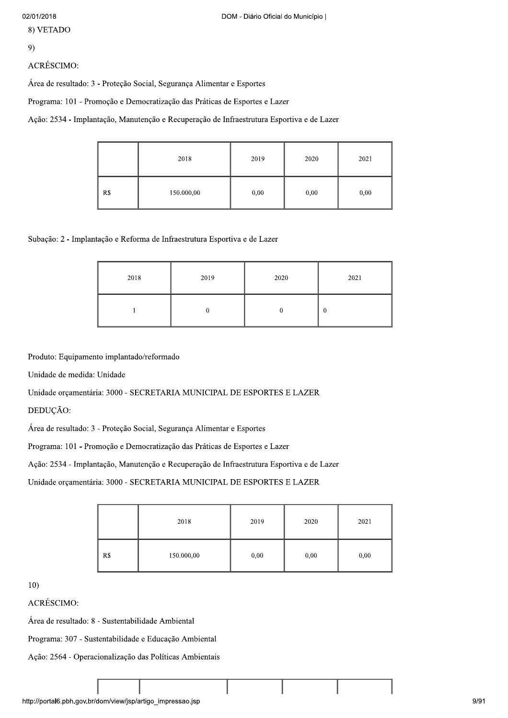8) VETADO

# 9)

# **ACRÉSCIMO:**

Área de resultado: 3 - Proteção Social, Segurança Alimentar e Esportes

Programa: 101 - Promoção e Democratização das Práticas de Esportes e Lazer

Ação: 2534 - Implantação, Manutenção e Recuperação de Infraestrutura Esportiva e de Lazer

|     | 2018       | 2019 | 2020 | 2021 |
|-----|------------|------|------|------|
| R\$ | 150.000,00 | 0,00 | 0,00 | 0,00 |

Subação: 2 - Implantação e Reforma de Infraestrutura Esportiva e de Lazer

| 2018 | 2019 | 2020 | 2021     |
|------|------|------|----------|
|      |      |      | $\bf{0}$ |

Produto: Equipamento implantado/reformado

Unidade de medida: Unidade

Unidade orçamentária: 3000 - SECRETARIA MUNICIPAL DE ESPORTES E LAZER

DEDUÇÃO:

Área de resultado: 3 - Proteção Social, Segurança Alimentar e Esportes

Programa: 101 - Promoção e Democratização das Práticas de Esportes e Lazer

Ação: 2534 - Implantação, Manutenção e Recuperação de Infraestrutura Esportiva e de Lazer

Unidade orçamentária: 3000 - SECRETARIA MUNICIPAL DE ESPORTES E LAZER

|     | 2018       | 2019 | 2020 | 2021 |
|-----|------------|------|------|------|
| R\$ | 150.000,00 | 0,00 | 0,00 | 0,00 |

 $10<sub>1</sub>$ 

**ACRÉSCIMO:** 

Área de resultado: 8 - Sustentabilidade Ambiental

Programa: 307 - Sustentabilidade e Educação Ambiental

Ação: 2564 - Operacionalização das Políticas Ambientais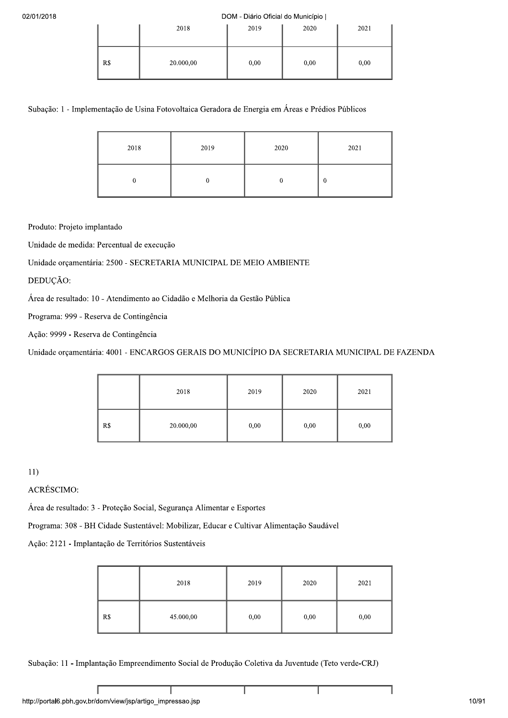#### $2018$

|     | 2018      | 2019 | 2020 | 2021 |
|-----|-----------|------|------|------|
| R\$ | 20.000,00 | 0,00 | 0,00 | 0,00 |

| 02/01/2018                                                                                       |             |           |                  |  | DOM - Diário Oficial do Município |      |                  |      |
|--------------------------------------------------------------------------------------------------|-------------|-----------|------------------|--|-----------------------------------|------|------------------|------|
|                                                                                                  |             |           | 2018             |  | 2019                              | 2020 |                  | 2021 |
|                                                                                                  | R\$         | 20.000,00 |                  |  | 0,00                              | 0,00 |                  | 0,00 |
| Subação: 1 - Implementação de Usina Fotovoltaica Geradora de Energia em Áreas e Prédios Públicos |             |           |                  |  |                                   |      |                  |      |
|                                                                                                  | 2018        | 2019      |                  |  | 2020<br>$\boldsymbol{0}$          |      |                  | 2021 |
|                                                                                                  | $\mathbf 0$ |           | $\boldsymbol{0}$ |  |                                   |      | $\boldsymbol{0}$ |      |
| Produto: Projeto implantado                                                                      |             |           |                  |  |                                   |      |                  |      |
| Unidade de medida: Percentual de execução                                                        |             |           |                  |  |                                   |      |                  |      |
| Unidade orçamentária: 2500 - SECRETARIA MUNICIPAL DE MEIO AMBIENTE                               |             |           |                  |  |                                   |      |                  |      |
| DEDUÇÃO:                                                                                         |             |           |                  |  |                                   |      |                  |      |
| Área de resultado: 10 - Atendimento ao Cidadão e Melhoria da Gestão Pública                      |             |           |                  |  |                                   |      |                  |      |
| Programa: 999 - Reserva de Contingência                                                          |             |           |                  |  |                                   |      |                  |      |
| Ação: 9999 - Reserva de Contingência                                                             |             |           |                  |  |                                   |      |                  |      |
|                                                                                                  |             |           |                  |  |                                   |      |                  |      |

| Ação: 9999 - Reserva de Contingência |     |                                                                                              |      |      |      |  |
|--------------------------------------|-----|----------------------------------------------------------------------------------------------|------|------|------|--|
|                                      |     | Unidade orçamentária: 4001 - ENCARGOS GERAIS DO MUNICÍPIO DA SECRETARIA MUNICIPAL DE FAZENDA |      |      |      |  |
|                                      |     |                                                                                              |      |      |      |  |
|                                      |     | 2018                                                                                         | 2019 | 2020 | 2021 |  |
|                                      | R\$ | 20.000,00                                                                                    | 0,00 | 0,00 | 0,00 |  |
|                                      |     |                                                                                              |      |      |      |  |
| 11)                                  |     |                                                                                              |      |      |      |  |
| ACRÉSCIMO:                           |     |                                                                                              |      |      |      |  |

| 11)                                                  |     |                                                                                          |      |      |      |
|------------------------------------------------------|-----|------------------------------------------------------------------------------------------|------|------|------|
| ACRÉSCIMO:                                           |     |                                                                                          |      |      |      |
|                                                      |     | Área de resultado: 3 - Proteção Social, Segurança Alimentar e Esportes                   |      |      |      |
|                                                      |     | Programa: 308 - BH Cidade Sustentável: Mobilizar, Educar e Cultivar Alimentação Saudável |      |      |      |
| Ação: 2121 - Implantação de Territórios Sustentáveis |     |                                                                                          |      |      |      |
|                                                      |     |                                                                                          |      |      |      |
|                                                      |     | 2018                                                                                     | 2019 | 2020 | 2021 |
|                                                      | R\$ | 45.000,00                                                                                | 0,00 | 0,00 | 0,00 |

Subação: 11 - Implantação Empreendimento Social de Produção Coletiva da Juventude (Teto verde-CRJ)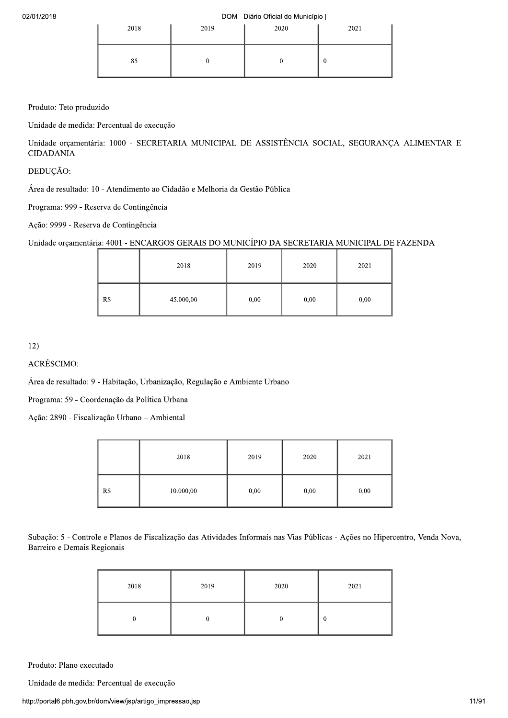DOM - Diário Oficial do Município |

| 2018 | 2019 | 2020 | 2021 |
|------|------|------|------|
| 85   |      |      | v    |

Produto: Teto produzido

Unidade de medida: Percentual de execução

Unidade orçamentária: 1000 - SECRETARIA MUNICIPAL DE ASSISTÊNCIA SOCIAL, SEGURANÇA ALIMENTAR E **CIDADANIA** 

DEDUÇÃO:

Área de resultado: 10 - Atendimento ao Cidadão e Melhoria da Gestão Pública

Programa: 999 - Reserva de Contingência

Ação: 9999 - Reserva de Contingência

Unidade orçamentária: 4001 - ENCARGOS GERAIS DO MUNICÍPIO DA SECRETARIA MUNICIPAL DE FAZENDA

|     | 2018      | 2019 | 2020 | 2021 |
|-----|-----------|------|------|------|
| R\$ | 45.000,00 | 0,00 | 0,00 | 0,00 |

 $12)$ 

**ACRÉSCIMO:** 

Área de resultado: 9 - Habitação, Urbanização, Regulação e Ambiente Urbano

Programa: 59 - Coordenação da Política Urbana

Ação: 2890 - Fiscalização Urbano - Ambiental

|     | 2018      | 2019 | 2020 | 2021 |
|-----|-----------|------|------|------|
| R\$ | 10.000,00 | 0,00 | 0,00 | 0,00 |

Subação: 5 - Controle e Planos de Fiscalização das Atividades Informais nas Vias Públicas - Ações no Hipercentro, Venda Nova, Barreiro e Demais Regionais

| 2018 | 2019 | 2020 | 2021 |
|------|------|------|------|
|      |      |      | v    |

Produto: Plano executado

Unidade de medida: Percentual de execução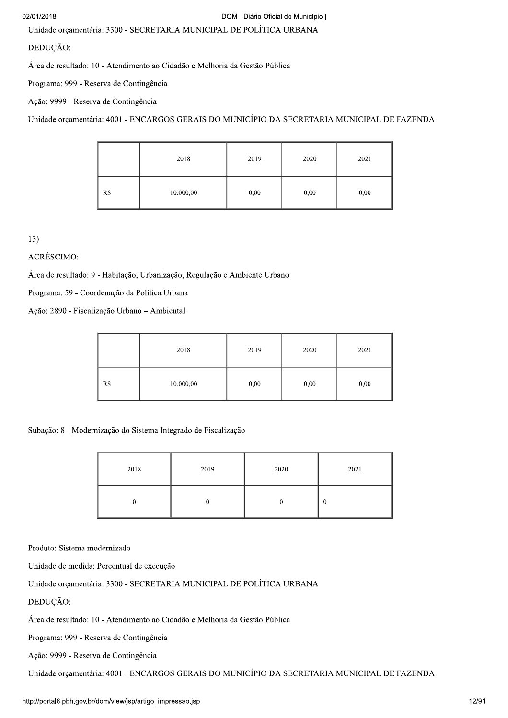Unidade orçamentária: 3300 - SECRETARIA MUNICIPAL DE POLÍTICA URBANA

DEDUÇÃO:

Área de resultado: 10 - Atendimento ao Cidadão e Melhoria da Gestão Pública

Programa: 999 - Reserva de Contingência

Ação: 9999 - Reserva de Contingência

Unidade orcamentária: 4001 - ENCARGOS GERAIS DO MUNICÍPIO DA SECRETARIA MUNICIPAL DE FAZENDA

|     | 2018      | 2019 | 2020 | 2021 |
|-----|-----------|------|------|------|
| R\$ | 10.000,00 | 0,00 | 0,00 | 0,00 |

 $13)$ 

ACRÉSCIMO:

Área de resultado: 9 - Habitação, Urbanização, Regulação e Ambiente Urbano

Programa: 59 - Coordenação da Política Urbana

Ação: 2890 - Fiscalização Urbano - Ambiental

|     | 2018      | 2019 | 2020 | 2021 |
|-----|-----------|------|------|------|
| R\$ | 10.000,00 | 0,00 | 0,00 | 0,00 |

Subação: 8 - Modernização do Sistema Integrado de Fiscalização

| 2018 | 2019 | 2020 | 2021     |
|------|------|------|----------|
|      |      |      | $\bf{0}$ |

Produto: Sistema modernizado

Unidade de medida: Percentual de execução

Unidade orçamentária: 3300 - SECRETARIA MUNICIPAL DE POLÍTICA URBANA

DEDUÇÃO:

Área de resultado: 10 - Atendimento ao Cidadão e Melhoria da Gestão Pública

Programa: 999 - Reserva de Contingência

Ação: 9999 - Reserva de Contingência

Unidade orçamentária: 4001 - ENCARGOS GERAIS DO MUNICÍPIO DA SECRETARIA MUNICIPAL DE FAZENDA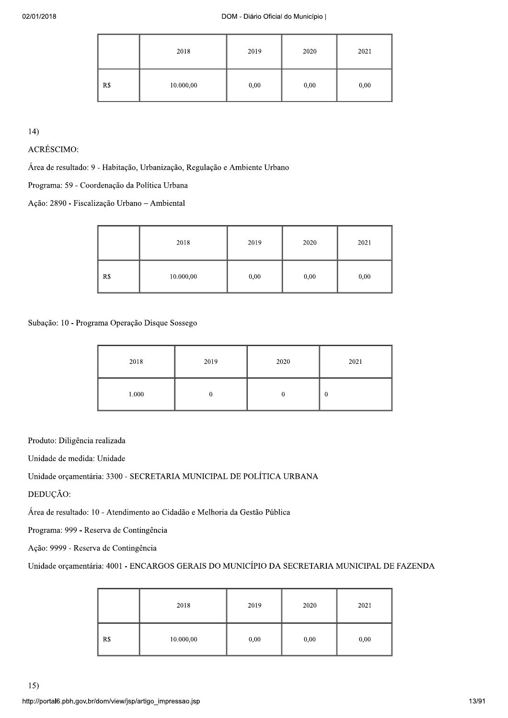|     | 2018      | 2019 | 2020 | 2021 |
|-----|-----------|------|------|------|
| R\$ | 10.000,00 | 0,00 | 0,00 | 0,00 |

14)

ACRÉSCIMO:

Área de resultado: 9 - Habitação, Urbanização, Regulação e Ambiente Urbano

Programa: 59 - Coordenação da Política Urbana

Ação: 2890 - Fiscalização Urbano - Ambiental

|     | 2018      | 2019 | 2020 | 2021 |
|-----|-----------|------|------|------|
| R\$ | 10.000,00 | 0,00 | 0,00 | 0,00 |

Subação: 10 - Programa Operação Disque Sossego

| 2018  | 2019 | 2020 | 2021     |
|-------|------|------|----------|
| 1.000 |      |      | $\theta$ |

Produto: Diligência realizada

Unidade de medida: Unidade

Unidade orçamentária: 3300 - SECRETARIA MUNICIPAL DE POLÍTICA URBANA

DEDUÇÃO:

Área de resultado: 10 - Atendimento ao Cidadão e Melhoria da Gestão Pública

Programa: 999 - Reserva de Contingência

Ação: 9999 - Reserva de Contingência

Unidade orçamentária: 4001 - ENCARGOS GERAIS DO MUNICÍPIO DA SECRETARIA MUNICIPAL DE FAZENDA

|     | 2018      | 2019 | 2020 | 2021 |
|-----|-----------|------|------|------|
| R\$ | 10.000,00 | 0,00 | 0,00 | 0,00 |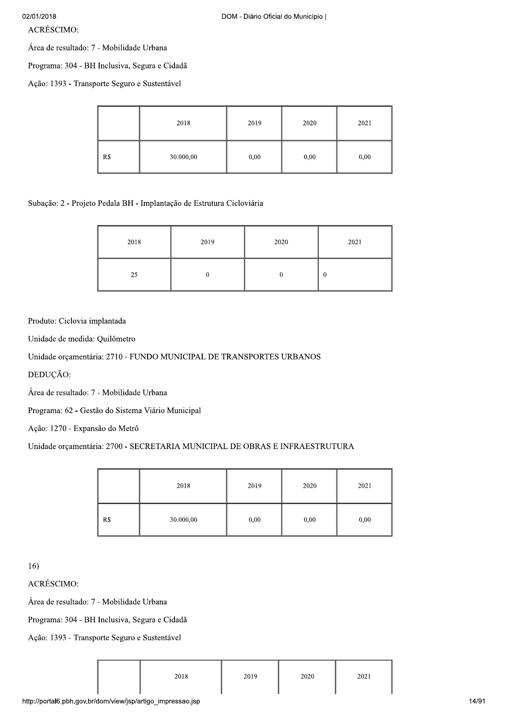$ACRÉSCIMO:$ 

Área de resultado: 7 - Mobilidade Urbana

Programa: 304 - BH Inclusiva, Segura e Cidadã

Ação: 1393 - Transporte Seguro e Sustentável

|     | 2018      | 2019 | 2020 | 2021 |
|-----|-----------|------|------|------|
| R\$ | 30.000,00 | 0,00 | 0,00 | 0,00 |

Subação: 2 - Projeto Pedala BH - Implantação de Estrutura Cicloviária

| 2018 | 2019 | 2020 | 2021     |
|------|------|------|----------|
| 25   | υ    |      | $\bf{0}$ |

# Produto: Ciclovia implantada

Unidade de medida: Quilômetro

# Unidade orçamentária: 2710 - FUNDO MUNICIPAL DE TRANSPORTES URBANOS

DEDUÇÃO:

Área de resultado: 7 - Mobilidade Urbana

Programa: 62 - Gestão do Sistema Viário Municipal

Ação: 1270 - Expansão do Metrô

# Unidade orçamentária: 2700 - SECRETARIA MUNICIPAL DE OBRAS E INFRAESTRUTURA

|     | 2018      | 2019 | 2020 | 2021 |
|-----|-----------|------|------|------|
| R\$ | 30.000,00 | 0,00 | 0,00 | 0,00 |

16)<br>ACRÉSCIMO:

Área de resultado: 7 - Mobilidade Urbana

Programa: 304 - BH Inclusiva, Segura e Cidadã

Ação: 1393 - Transporte Seguro e Sustentável

| 2018 | 2019 | 2020 | 2021 |
|------|------|------|------|
|      |      |      |      |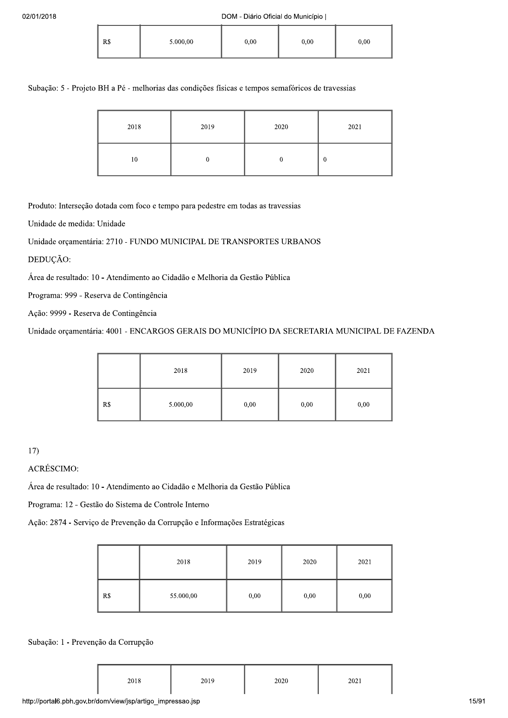| R\$ | 5.000,00 | 0,00 | 0,00 | 0,00 |
|-----|----------|------|------|------|
|-----|----------|------|------|------|

Subação: 5 - Projeto BH a Pé - melhorias das condições físicas e tempos semafóricos de travessias

| 2018 | 2019 | 2020 | 2021 |
|------|------|------|------|
| 10   | υ    |      |      |

Produto: Interseção dotada com foco e tempo para pedestre em todas as travessias

Unidade de medida: Unidade

Unidade orcamentária: 2710 - FUNDO MUNICIPAL DE TRANSPORTES URBANOS

DEDUÇÃO:

Área de resultado: 10 - Atendimento ao Cidadão e Melhoria da Gestão Pública

Programa: 999 - Reserva de Contingência

Ação: 9999 - Reserva de Contingência

Unidade orçamentária: 4001 - ENCARGOS GERAIS DO MUNICÍPIO DA SECRETARIA MUNICIPAL DE FAZENDA

|     | 2018     | 2019 | 2020 | 2021 |
|-----|----------|------|------|------|
| R\$ | 5.000,00 | 0,00 | 0,00 | 0,00 |

17)<br>ACRÉSCIMO:

Área de resultado: 10 - Atendimento ao Cidadão e Melhoria da Gestão Pública

Programa: 12 - Gestão do Sistema de Controle Interno

Ação: 2874 - Serviço de Prevenção da Corrupção e Informações Estratégicas

|     | 2018      | 2019 | 2020 | 2021 |
|-----|-----------|------|------|------|
| R\$ | 55.000,00 | 0,00 | 0,00 | 0,00 |

### Subação: 1 - Prevenção da Corrupção

|  | 2018 | 2019<br>---- | 2020 | 2021 |
|--|------|--------------|------|------|
|--|------|--------------|------|------|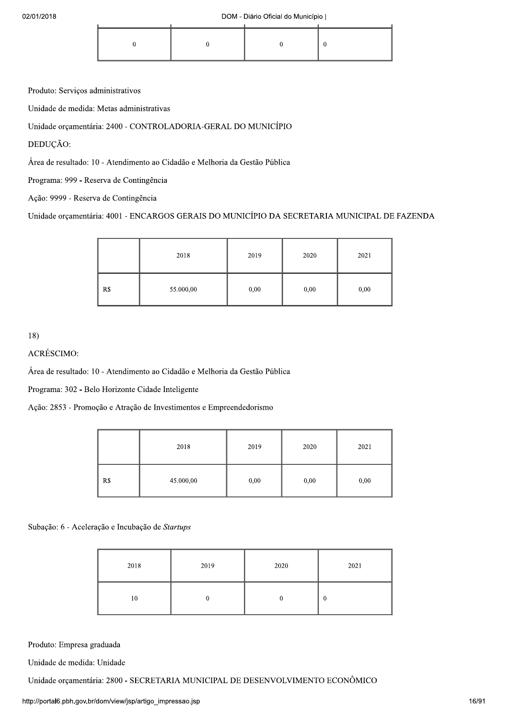Produto: Serviços administrativos

Unidade de medida: Metas administrativas

Unidade orçamentária: 2400 - CONTROLADORIA-GERAL DO MUNICÍPIO

DEDUÇÃO:

Área de resultado: 10 - Atendimento ao Cidadão e Melhoria da Gestão Pública

Programa: 999 - Reserva de Contingência

Ação: 9999 - Reserva de Contingência

Unidade orçamentária: 4001 - ENCARGOS GERAIS DO MUNICÍPIO DA SECRETARIA MUNICIPAL DE FAZENDA

|     | 2018      | 2019 | 2020 | 2021 |
|-----|-----------|------|------|------|
| R\$ | 55.000,00 | 0,00 | 0,00 | 0,00 |

18)

ACRÉSCIMO:

Área de resultado: 10 - Atendimento ao Cidadão e Melhoria da Gestão Pública

Programa: 302 - Belo Horizonte Cidade Inteligente

Ação: 2853 - Promoção e Atração de Investimentos e Empreendedorismo

|     | 2018      | 2019 | 2020 | 2021 |
|-----|-----------|------|------|------|
| R\$ | 45.000,00 | 0,00 | 0,00 | 0,00 |

Subação: 6 - Aceleração e Incubação de Startups

| 2018 | 2019 | 2020 | 2021             |
|------|------|------|------------------|
| 10   |      |      | $\boldsymbol{0}$ |

Produto: Empresa graduada

Unidade de medida: Unidade

Unidade orçamentária: 2800 - SECRETARIA MUNICIPAL DE DESENVOLVIMENTO ECONÔMICO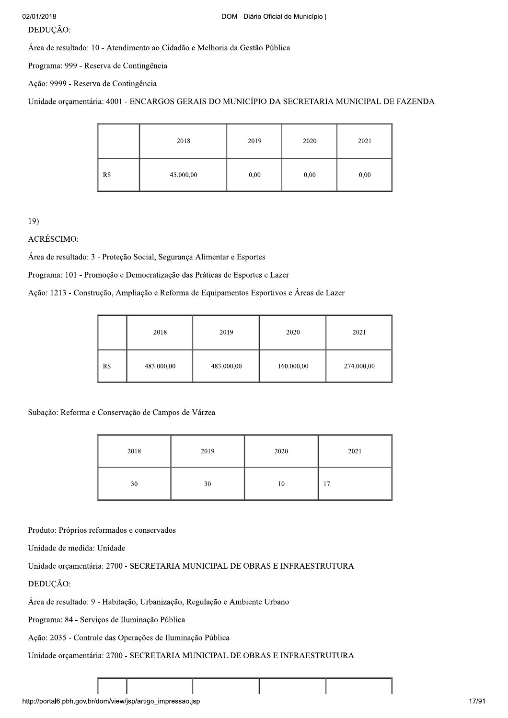# DEDUÇÃO:

Área de resultado: 10 - Atendimento ao Cidadão e Melhoria da Gestão Pública

Programa: 999 - Reserva de Contingência

Ação: 9999 - Reserva de Contingência

Unidade orcamentária: 4001 - ENCARGOS GERAIS DO MUNICÍPIO DA SECRETARIA MUNICIPAL DE FAZENDA

|     | 2018      | 2019 | 2020 | 2021 |
|-----|-----------|------|------|------|
| R\$ | 45.000,00 | 0,00 | 0,00 | 0,00 |

 $19)$ 

**ACRÉSCIMO:** 

Área de resultado: 3 - Proteção Social, Segurança Alimentar e Esportes

Programa: 101 - Promoção e Democratização das Práticas de Esportes e Lazer

Ação: 1213 - Construção, Ampliação e Reforma de Equipamentos Esportivos e Áreas de Lazer

|     | 2018       | 2019       | 2020       | 2021       |
|-----|------------|------------|------------|------------|
| R\$ | 483.000,00 | 483.000,00 | 160.000,00 | 274.000,00 |

Subação: Reforma e Conservação de Campos de Várzea

| 2018 | 2019 | 2020 | 2021 |
|------|------|------|------|
| 30   | 30   | 10   | 17   |

Produto: Próprios reformados e conservados

Unidade de medida: Unidade

Unidade orçamentária: 2700 - SECRETARIA MUNICIPAL DE OBRAS E INFRAESTRUTURA

DEDUCÃO:

Área de resultado: 9 - Habitação, Urbanização, Regulação e Ambiente Urbano

Programa: 84 - Serviços de Iluminação Pública

Ação: 2035 - Controle das Operações de Iluminação Pública

Unidade orçamentária: 2700 - SECRETARIA MUNICIPAL DE OBRAS E INFRAESTRUTURA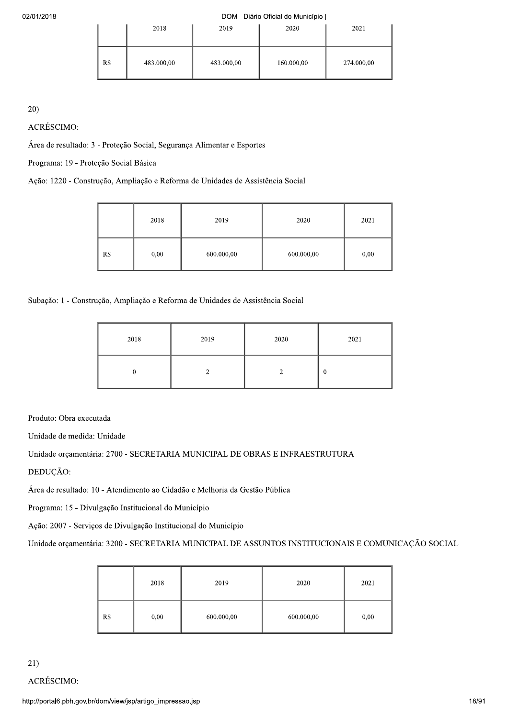|     | 2018       | 2019       | 2020       | 2021       |
|-----|------------|------------|------------|------------|
| R\$ | 483.000,00 | 483.000,00 | 160.000,00 | 274.000,00 |

|                                       |     |            |                                                                                | DOM - Diário Oficial do Município |            |
|---------------------------------------|-----|------------|--------------------------------------------------------------------------------|-----------------------------------|------------|
|                                       |     | 2018       | 2019                                                                           | 2020                              | 2021       |
|                                       | R\$ | 483.000,00 | 483.000,00                                                                     | 160.000,00                        | 274.000,00 |
|                                       |     |            |                                                                                |                                   |            |
| 20)                                   |     |            |                                                                                |                                   |            |
| ACRÉSCIMO:                            |     |            |                                                                                |                                   |            |
|                                       |     |            | Área de resultado: 3 - Proteção Social, Segurança Alimentar e Esportes         |                                   |            |
| Programa: 19 - Proteção Social Básica |     |            |                                                                                |                                   |            |
|                                       |     |            | Ação: 1220 - Construção, Ampliação e Reforma de Unidades de Assistência Social |                                   |            |
|                                       |     |            |                                                                                |                                   |            |
|                                       |     | 2018       | 2019                                                                           | 2020                              | 2021       |
|                                       |     |            |                                                                                |                                   |            |

| Subação: 1 - Construção, Ampliação e Reforma de Unidades de Assistência Social |                                                      |                                                                |  |  |  |  |  |
|--------------------------------------------------------------------------------|------------------------------------------------------|----------------------------------------------------------------|--|--|--|--|--|
| 2018<br>2019<br>2020<br>2021                                                   |                                                      |                                                                |  |  |  |  |  |
| $\boldsymbol{0}$<br>$\overline{c}$<br>$\overline{c}$<br>$\overline{0}$         |                                                      |                                                                |  |  |  |  |  |
| Produto: Obra executada                                                        |                                                      |                                                                |  |  |  |  |  |
| Unidade de medida: Unidade                                                     |                                                      |                                                                |  |  |  |  |  |
| Unidade orçamentária: 2700 - SECRETARIA MUNICIPAL DE OBRAS E INFRAESTRUTURA    |                                                      |                                                                |  |  |  |  |  |
| DEDUÇÃO:                                                                       |                                                      |                                                                |  |  |  |  |  |
| Área de resultado: 10 - Atendimento ao Cidadão e Melhoria da Gestão Pública    |                                                      |                                                                |  |  |  |  |  |
|                                                                                | Programa: 15 - Divulgação Institucional do Município |                                                                |  |  |  |  |  |
|                                                                                |                                                      | Ação: 2007 - Serviços de Divulgação Institucional do Município |  |  |  |  |  |
|                                                                                |                                                      |                                                                |  |  |  |  |  |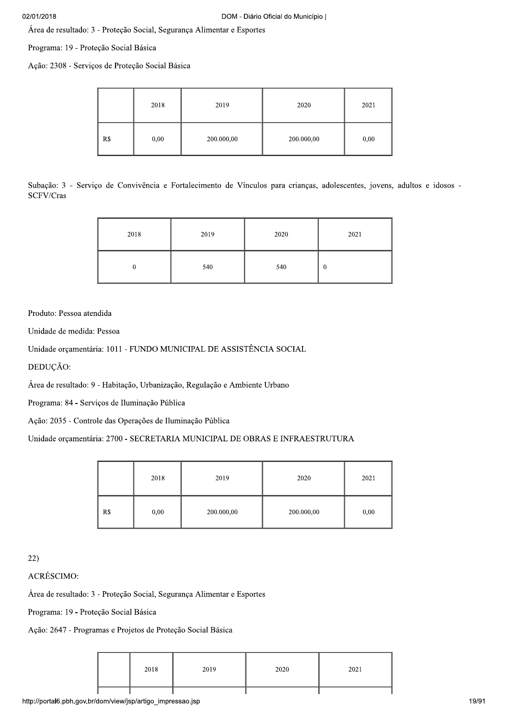Área de resultado: 3 - Proteção Social, Segurança Alimentar e Esportes

Programa: 19 - Proteção Social Básica

Ação: 2308 - Serviços de Proteção Social Básica

|     | 2018 | 2019       | 2020       | 2021 |
|-----|------|------------|------------|------|
| R\$ | 0,00 | 200.000,00 | 200.000,00 | 0,00 |

Subação: 3 - Serviço de Convivência e Fortalecimento de Vínculos para crianças, adolescentes, jovens, adultos e idosos -SCFV/Cras

| 2018 | 2019 | 2020 | 2021 |
|------|------|------|------|
|      | 540  | 540  | 0    |

Produto: Pessoa atendida

Unidade de medida: Pessoa

Unidade orçamentária: 1011 - FUNDO MUNICIPAL DE ASSISTÊNCIA SOCIAL

DEDUÇÃO:

Área de resultado: 9 - Habitação, Urbanização, Regulação e Ambiente Urbano

Programa: 84 - Serviços de Iluminação Pública

Ação: 2035 - Controle das Operações de Iluminação Pública

# Unidade orçamentária: 2700 - SECRETARIA MUNICIPAL DE OBRAS E INFRAESTRUTURA

|     | 2018 | 2019       | 2020       | 2021 |
|-----|------|------------|------------|------|
| R\$ | 0,00 | 200.000,00 | 200.000,00 | 0,00 |

 $22)$ 

**ACRÉSCIMO:** 

Área de resultado: 3 - Proteção Social, Segurança Alimentar e Esportes

Programa: 19 - Proteção Social Básica

Ação: 2647 - Programas e Projetos de Proteção Social Básica

|--|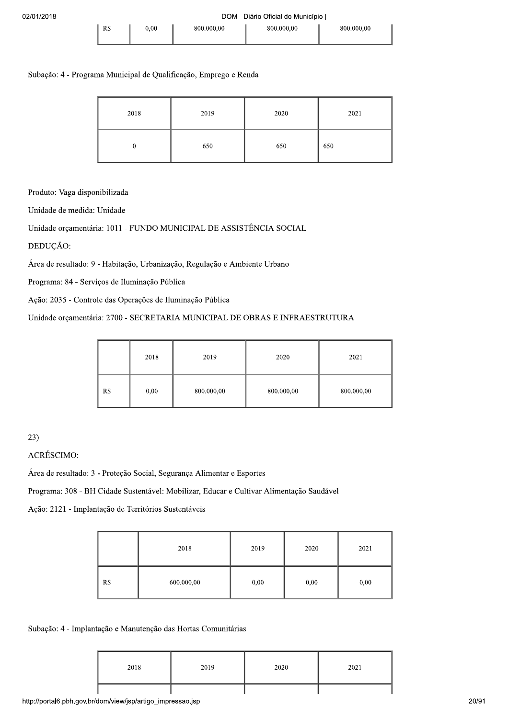# Subação: 4 - Programa Municipal de Qualificação, Emprego e Renda

| 2018 | 2019 | 2020 | 2021 |
|------|------|------|------|
|      | 650  | 650  | 650  |

Produto: Vaga disponibilizada

Unidade de medida: Unidade

Unidade orçamentária: 1011 - FUNDO MUNICIPAL DE ASSISTÊNCIA SOCIAL

DEDUÇÃO:

Área de resultado: 9 - Habitação, Urbanização, Regulação e Ambiente Urbano

Programa: 84 - Serviços de Iluminação Pública

Ação: 2035 - Controle das Operações de Iluminação Pública

# Unidade orçamentária: 2700 - SECRETARIA MUNICIPAL DE OBRAS E INFRAESTRUTURA

|     | 2018 | 2019       | 2020       | 2021       |
|-----|------|------------|------------|------------|
| R\$ | 0,00 | 800.000,00 | 800.000,00 | 800.000,00 |

 $23)$ 

# ACRÉSCIMO:

Área de resultado: 3 - Proteção Social, Segurança Alimentar e Esportes

Programa: 308 - BH Cidade Sustentável: Mobilizar, Educar e Cultivar Alimentação Saudável

Ação: 2121 - Implantação de Territórios Sustentáveis

|     | 2018       | 2019 | 2020 | 2021 |
|-----|------------|------|------|------|
| R\$ | 600.000,00 | 0,00 | 0,00 | 0,00 |

### Subação: 4 - Implantação e Manutenção das Hortas Comunitárias

| 2018 | 2019 | 2020 | 2021 |
|------|------|------|------|
|      |      |      |      |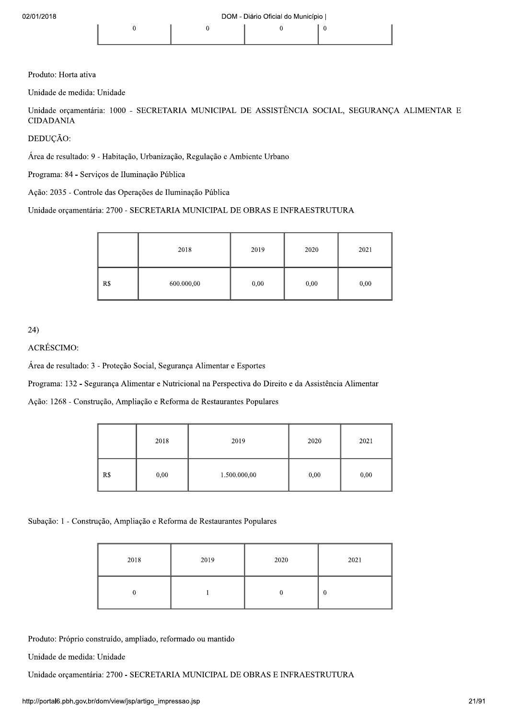Produto: Horta ativa

Unidade de medida: Unidade

Unidade orcamentária: 1000 - SECRETARIA MUNICIPAL DE ASSISTÊNCIA SOCIAL, SEGURANCA ALIMENTAR E **CIDADANIA** 

DEDUÇÃO:

Área de resultado: 9 - Habitação, Urbanização, Regulação e Ambiente Urbano

Programa: 84 - Serviços de Iluminação Pública

Ação: 2035 - Controle das Operações de Iluminação Pública

Unidade orçamentária: 2700 - SECRETARIA MUNICIPAL DE OBRAS E INFRAESTRUTURA

|     | 2018       | 2019 | 2020 | 2021 |
|-----|------------|------|------|------|
| R\$ | 600.000,00 | 0,00 | 0,00 | 0,00 |

24)

ACRÉSCIMO:

Área de resultado: 3 - Proteção Social, Segurança Alimentar e Esportes

Programa: 132 - Segurança Alimentar e Nutricional na Perspectiva do Direito e da Assistência Alimentar

Ação: 1268 - Construção, Ampliação e Reforma de Restaurantes Populares

|     | 2018 | 2019         | 2020 | 2021 |
|-----|------|--------------|------|------|
| R\$ | 0,00 | 1.500.000,00 | 0,00 | 0,00 |

Subação: 1 - Construção, Ampliação e Reforma de Restaurantes Populares

| 2018 | 2019 | 2020 | 2021         |
|------|------|------|--------------|
|      |      |      | $\mathbf{0}$ |

Produto: Próprio construído, ampliado, reformado ou mantido

Unidade de medida: Unidade

Unidade orçamentária: 2700 - SECRETARIA MUNICIPAL DE OBRAS E INFRAESTRUTURA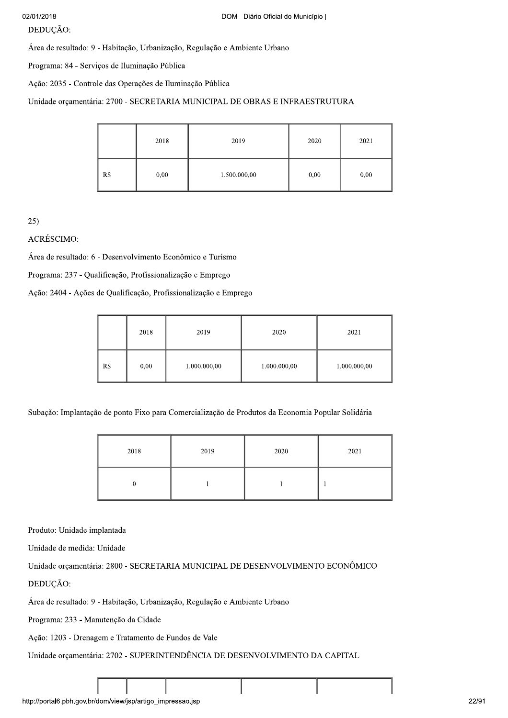| 02/01/2018                                                                             |                |      | DOM - Diário Oficial do Município                                           |      |      |
|----------------------------------------------------------------------------------------|----------------|------|-----------------------------------------------------------------------------|------|------|
| DEDUÇÃO:<br>Área de resultado: 9 - Habitação, Urbanização, Regulação e Ambiente Urbano |                |      |                                                                             |      |      |
| Programa: 84 - Serviços de Iluminação Pública                                          |                |      |                                                                             |      |      |
| Ação: 2035 - Controle das Operações de Iluminação Pública                              |                |      |                                                                             |      |      |
|                                                                                        |                |      | Unidade orçamentária: 2700 - SECRETARIA MUNICIPAL DE OBRAS E INFRAESTRUTURA |      |      |
|                                                                                        |                | 2018 | 2019                                                                        | 2020 | 2021 |
|                                                                                        | R <sub>s</sub> | 0,00 | 1.500.000,00                                                                | 0,00 | 0,00 |

|            | - - -                                                      | -,-- | - - - - - - - - - - -                                            |              | -,-- | $-$          |  |
|------------|------------------------------------------------------------|------|------------------------------------------------------------------|--------------|------|--------------|--|
|            |                                                            |      |                                                                  |              |      |              |  |
| 25)        |                                                            |      |                                                                  |              |      |              |  |
| ACRÉSCIMO: |                                                            |      |                                                                  |              |      |              |  |
|            | Área de resultado: 6 - Desenvolvimento Econômico e Turismo |      |                                                                  |              |      |              |  |
|            | Programa: 237 - Qualificação, Profissionalização e Emprego |      |                                                                  |              |      |              |  |
|            |                                                            |      | Ação: 2404 - Ações de Qualificação, Profissionalização e Emprego |              |      |              |  |
|            |                                                            |      |                                                                  |              |      |              |  |
|            |                                                            | 2018 | 2019                                                             | 2020         |      | 2021         |  |
|            | R\$                                                        | 0,00 | 1.000.000,00                                                     | 1.000.000,00 |      | 1.000.000,00 |  |

Subação: Implantação de ponto Fixo para Comercialização de Produtos da Economia Popular Solidária

|                                                                             | 2018                                                                                   | 2019 | 2020 | 2021         |  |  |
|-----------------------------------------------------------------------------|----------------------------------------------------------------------------------------|------|------|--------------|--|--|
|                                                                             | $\mathbf{0}$                                                                           |      |      | $\mathbf{1}$ |  |  |
| Produto: Unidade implantada                                                 |                                                                                        |      |      |              |  |  |
| Unidade de medida: Unidade                                                  |                                                                                        |      |      |              |  |  |
|                                                                             | Unidade orçamentária: 2800 - SECRETARIA MUNICIPAL DE DESENVOLVIMENTO ECONÔMICO         |      |      |              |  |  |
|                                                                             | DEDUÇÃO:<br>Área de resultado: 9 - Habitação, Urbanização, Regulação e Ambiente Urbano |      |      |              |  |  |
| Programa: 233 - Manutenção da Cidade                                        |                                                                                        |      |      |              |  |  |
|                                                                             | Ação: 1203 - Drenagem e Tratamento de Fundos de Vale                                   |      |      |              |  |  |
| Unidade orçamentária: 2702 - SUPERINTENDÊNCIA DE DESENVOLVIMENTO DA CAPITAL |                                                                                        |      |      |              |  |  |
|                                                                             |                                                                                        |      |      |              |  |  |
|                                                                             |                                                                                        |      |      |              |  |  |
| http://portal6.pbh.gov.br/dom/view/jsp/artigo_impressao.jsp                 |                                                                                        |      |      |              |  |  |
|                                                                             |                                                                                        |      |      |              |  |  |

DEDUÇÃO:<br>Área de resultado: 9 - Habitação, Urbanização, Regulação e Ambiente Urbano<br>Programa: 233 - Manutenção da Cidade<br>Ação: 1203 - Drenagem e Tratamento de Fundos de Vale<br>Unidade orçamentária: 2702 - SUPERINTENDÊNCIA DE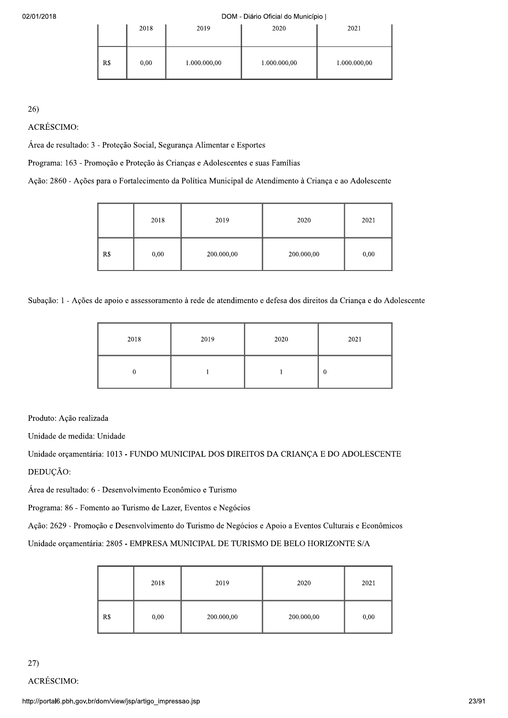|     | 2018 | 2019         | 2020         | 2021         |
|-----|------|--------------|--------------|--------------|
| R\$ | 0,00 | 1.000.000,00 | 1.000.000,00 | 1.000.000,00 |

 $26)$ 

**ACRÉSCIMO:** 

Área de resultado: 3 - Proteção Social, Segurança Alimentar e Esportes

Programa: 163 - Promoção e Proteção às Crianças e Adolescentes e suas Famílias

Ação: 2860 - Ações para o Fortalecimento da Política Municipal de Atendimento à Criança e ao Adolescente

|     | 2018 | 2019       | 2020       | 2021 |
|-----|------|------------|------------|------|
| R\$ | 0,00 | 200.000,00 | 200.000,00 | 0,00 |

Subação: 1 - Ações de apoio e assessoramento à rede de atendimento e defesa dos direitos da Criança e do Adolescente

| 2018 | 2019 | 2020 | 2021             |
|------|------|------|------------------|
|      |      |      | $\boldsymbol{0}$ |

Produto: Ação realizada

Unidade de medida: Unidade

Unidade orçamentária: 1013 - FUNDO MUNICIPAL DOS DIREITOS DA CRIANÇA E DO ADOLESCENTE DEDUCÃO:

Área de resultado: 6 - Desenvolvimento Econômico e Turismo

Programa: 86 - Fomento ao Turismo de Lazer, Eventos e Negócios

Ação: 2629 - Promoção e Desenvolvimento do Turismo de Negócios e Apoio a Eventos Culturais e Econômicos

Unidade orçamentária: 2805 - EMPRESA MUNICIPAL DE TURISMO DE BELO HORIZONTE S/A

|     | 2018 | 2019       | 2020       | 2021 |
|-----|------|------------|------------|------|
| R\$ | 0,00 | 200.000,00 | 200.000,00 | 0,00 |

27)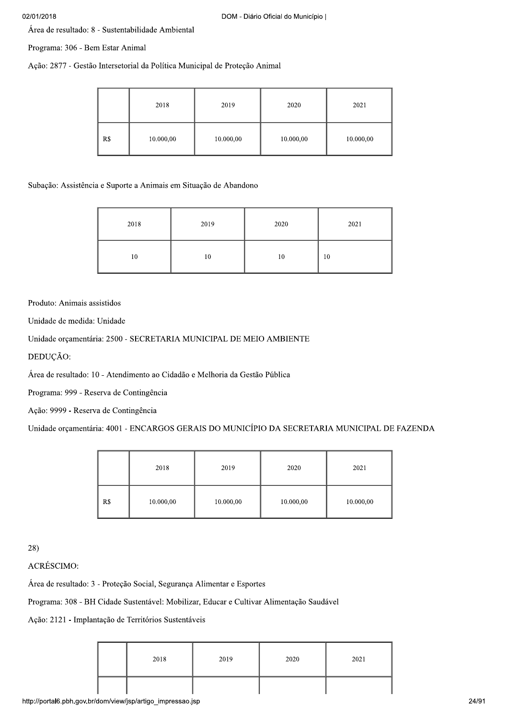Área de resultado: 8 - Sustentabilidade Ambiental

Programa: 306 - Bem Estar Animal

Ação: 2877 - Gestão Intersetorial da Política Municipal de Proteção Animal

|     | 2018      | 2019      | 2020      | 2021      |
|-----|-----------|-----------|-----------|-----------|
| R\$ | 10.000,00 | 10.000,00 | 10.000,00 | 10.000,00 |

Subação: Assistência e Suporte a Animais em Situação de Abandono

| 2018 | 2019 | 2020 | 2021 |
|------|------|------|------|
| 10   | 10   | 10   | 10   |

Produto: Animais assistidos

Unidade de medida: Unidade

Unidade orçamentária: 2500 - SECRETARIA MUNICIPAL DE MEIO AMBIENTE

DEDUÇÃO:

Área de resultado: 10 - Atendimento ao Cidadão e Melhoria da Gestão Pública

Programa: 999 - Reserva de Contingência

Ação: 9999 - Reserva de Contingência

Unidade orçamentária: 4001 - ENCARGOS GERAIS DO MUNICÍPIO DA SECRETARIA MUNICIPAL DE FAZENDA

|     | 2018      | 2019      | 2020      | 2021      |
|-----|-----------|-----------|-----------|-----------|
| R\$ | 10.000,00 | 10.000,00 | 10.000,00 | 10.000,00 |

 $28)$ 

**ACRÉSCIMO:** 

Área de resultado: 3 - Proteção Social, Segurança Alimentar e Esportes

Programa: 308 - BH Cidade Sustentável: Mobilizar, Educar e Cultivar Alimentação Saudável

Ação: 2121 - Implantação de Territórios Sustentáveis

| 2018 | 2019 | 2020 | 2021 |
|------|------|------|------|
|      |      |      |      |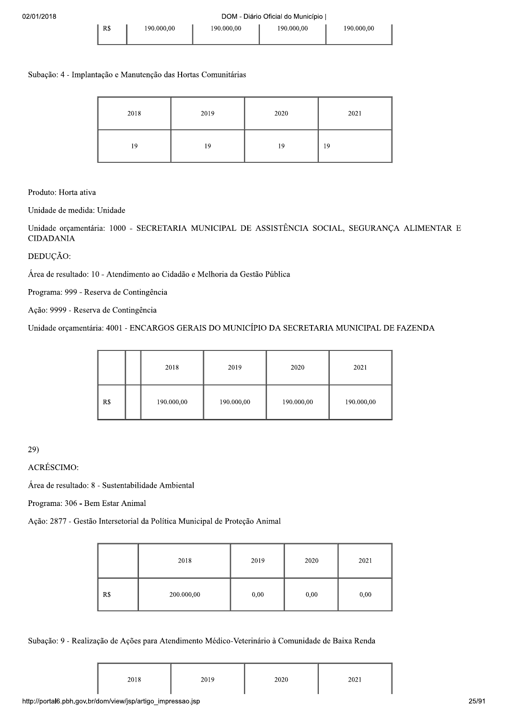# Subação: 4 - Implantação e Manutenção das Hortas Comunitárias

| 2018 | 2019 | 2020 | 2021 |
|------|------|------|------|
| 19   | 19   | 19   | 19   |

Produto: Horta ativa

Unidade de medida: Unidade

Unidade orçamentária: 1000 - SECRETARIA MUNICIPAL DE ASSISTÊNCIA SOCIAL, SEGURANÇA ALIMENTAR E CIDADANIA

# DEDUÇÃO:

Área de resultado: 10 - Atendimento ao Cidadão e Melhoria da Gestão Pública

Programa: 999 - Reserva de Contingência

Ação: 9999 - Reserva de Contingência

Unidade orçamentária: 4001 - ENCARGOS GERAIS DO MUNICÍPIO DA SECRETARIA MUNICIPAL DE FAZENDA

|     | 2018       | 2019       | 2020       | 2021       |
|-----|------------|------------|------------|------------|
| R\$ | 190.000,00 | 190.000,00 | 190.000,00 | 190.000,00 |

29)<br>ACRÉSCIMO:

Área de resultado: 8 - Sustentabilidade Ambiental

Programa: 306 - Bem Estar Animal

Ação: 2877 - Gestão Intersetorial da Política Municipal de Proteção Animal

|     | 2018       | 2019 | 2020 | 2021 |
|-----|------------|------|------|------|
| R\$ | 200.000,00 | 0,00 | 0,00 | 0,00 |

Subação: 9 - Realização de Ações para Atendimento Médico-Veterinário à Comunidade de Baixa Renda

| 2018 | 2019 | 2020 | 2021 |
|------|------|------|------|
|      |      |      |      |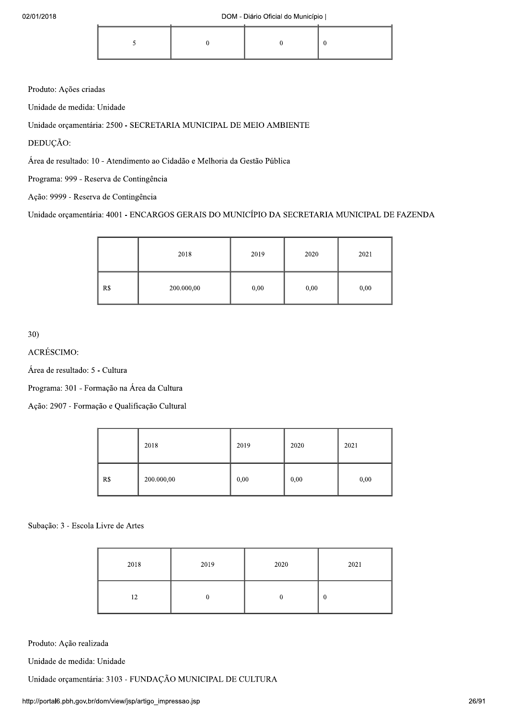Produto: Ações criadas

Unidade de medida: Unidade

Unidade orçamentária: 2500 - SECRETARIA MUNICIPAL DE MEIO AMBIENTE

DEDUÇÃO:

Área de resultado: 10 - Atendimento ao Cidadão e Melhoria da Gestão Pública

Programa: 999 - Reserva de Contingência

Ação: 9999 - Reserva de Contingência

Unidade orçamentária: 4001 - ENCARGOS GERAIS DO MUNICÍPIO DA SECRETARIA MUNICIPAL DE FAZENDA

|     | 2018       | 2019 | 2020 | 2021 |
|-----|------------|------|------|------|
| R\$ | 200.000,00 | 0,00 | 0,00 | 0,00 |

 $30)$ 

**ACRÉSCIMO:** 

Área de resultado: 5 - Cultura

Programa: 301 - Formação na Área da Cultura

Ação: 2907 - Formação e Qualificação Cultural

|     | 2018       | 2019 | 2020 | 2021 |
|-----|------------|------|------|------|
| R\$ | 200.000,00 | 0,00 | 0,00 | 0,00 |

Subação: 3 - Escola Livre de Artes

| 2018 | 2019 | 2020 | 2021 |
|------|------|------|------|
| 12   |      |      | U    |

Produto: Ação realizada

Unidade de medida: Unidade

Unidade orçamentária: 3103 - FUNDAÇÃO MUNICIPAL DE CULTURA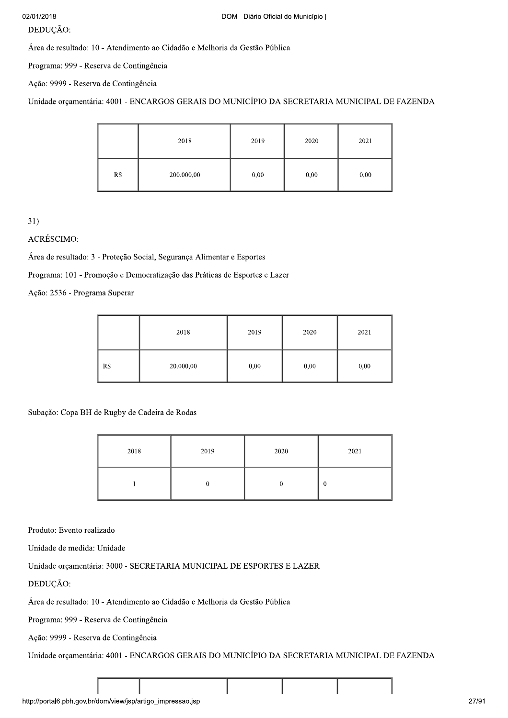# DEDUÇÃO:

Área de resultado: 10 - Atendimento ao Cidadão e Melhoria da Gestão Pública

Programa: 999 - Reserva de Contingência

Ação: 9999 - Reserva de Contingência

Unidade orçamentária: 4001 - ENCARGOS GERAIS DO MUNICÍPIO DA SECRETARIA MUNICIPAL DE FAZENDA

|     | 2018       | 2019 | 2020 | 2021 |
|-----|------------|------|------|------|
| R\$ | 200.000,00 | 0,00 | 0,00 | 0,00 |

 $31)$ 

ACRÉSCIMO:

Área de resultado: 3 - Proteção Social, Segurança Alimentar e Esportes

Programa: 101 - Promoção e Democratização das Práticas de Esportes e Lazer

Ação: 2536 - Programa Superar

|     | 2018      | 2019 | 2020 | 2021 |
|-----|-----------|------|------|------|
| R\$ | 20.000,00 | 0,00 | 0,00 | 0,00 |

Subação: Copa BH de Rugby de Cadeira de Rodas

| 2018 | 2019 | 2020 | 2021     |
|------|------|------|----------|
|      | υ    |      | $\bf{0}$ |

Produto: Evento realizado

Unidade de medida: Unidade

Unidade orçamentária: 3000 - SECRETARIA MUNICIPAL DE ESPORTES E LAZER

DEDUCÃO:

Área de resultado: 10 - Atendimento ao Cidadão e Melhoria da Gestão Pública

Programa: 999 - Reserva de Contingência

Ação: 9999 - Reserva de Contingência

Unidade orçamentária: 4001 - ENCARGOS GERAIS DO MUNICÍPIO DA SECRETARIA MUNICIPAL DE FAZENDA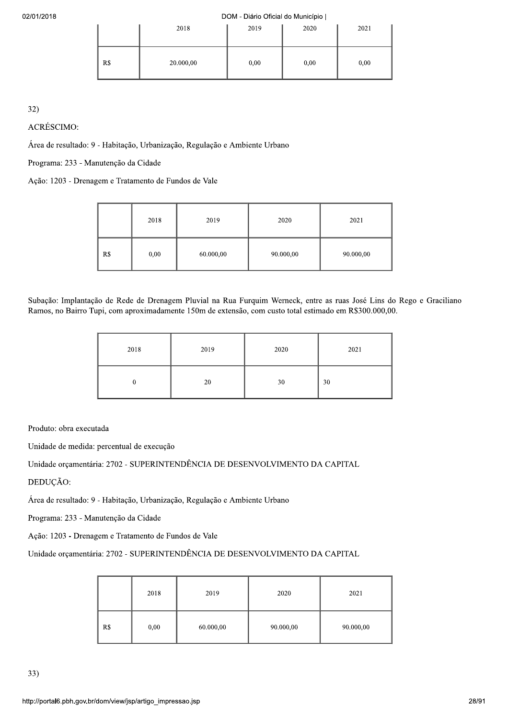#### DOM - Diário Oficial do Município |

|     | 2018      | 2019 | 2020 | 2021 |
|-----|-----------|------|------|------|
| R\$ | 20.000,00 | 0,00 | 0,00 | 0,00 |

 $32)$ 

ACRÉSCIMO:

Área de resultado: 9 - Habitação, Urbanização, Regulação e Ambiente Urbano

Programa: 233 - Manutenção da Cidade

Ação: 1203 - Drenagem e Tratamento de Fundos de Vale

|     | 2018 | 2019      | 2020      | 2021      |
|-----|------|-----------|-----------|-----------|
| R\$ | 0,00 | 60.000,00 | 90.000,00 | 90.000,00 |

Subação: Implantação de Rede de Drenagem Pluvial na Rua Furquim Werneck, entre as ruas José Lins do Rego e Graciliano Ramos, no Bairro Tupi, com aproximadamente 150m de extensão, com custo total estimado em R\$300.000,00.

| 2018 | 2019 | 2020 | 2021 |
|------|------|------|------|
|      | 20   | 30   | 30   |

Produto: obra executada

Unidade de medida: percentual de execução

Unidade orçamentária: 2702 - SUPERINTENDÊNCIA DE DESENVOLVIMENTO DA CAPITAL

DEDUÇÃO:

Área de resultado: 9 - Habitação, Urbanização, Regulação e Ambiente Urbano

Programa: 233 - Manutenção da Cidade

Ação: 1203 - Drenagem e Tratamento de Fundos de Vale

## Unidade orçamentária: 2702 - SUPERINTENDÊNCIA DE DESENVOLVIMENTO DA CAPITAL

|     | 2018 | 2019      | 2020      | 2021      |
|-----|------|-----------|-----------|-----------|
| R\$ | 0,00 | 60.000,00 | 90.000,00 | 90.000,00 |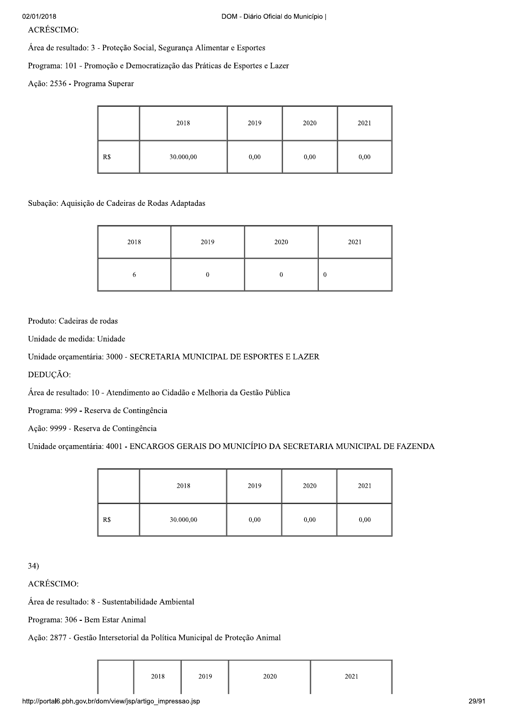**ACRÉSCIMO:** 

Área de resultado: 3 - Proteção Social, Segurança Alimentar e Esportes

Programa: 101 - Promoção e Democratização das Práticas de Esportes e Lazer

Ação: 2536 - Programa Superar

|     | 2018      | 2019 | 2020 | 2021 |
|-----|-----------|------|------|------|
| R\$ | 30.000,00 | 0,00 | 0,00 | 0,00 |

Subação: Aquisição de Cadeiras de Rodas Adaptadas

| 2018 | 2019 | 2020 | 2021     |
|------|------|------|----------|
| .,   |      |      | $\bf{0}$ |

### Produto: Cadeiras de rodas

Unidade de medida: Unidade

Unidade orçamentária: 3000 - SECRETARIA MUNICIPAL DE ESPORTES E LAZER

DEDUÇÃO:

Área de resultado: 10 - Atendimento ao Cidadão e Melhoria da Gestão Pública

Programa: 999 - Reserva de Contingência

Ação: 9999 - Reserva de Contingência

Unidade orçamentária: 4001 - ENCARGOS GERAIS DO MUNICÍPIO DA SECRETARIA MUNICIPAL DE FAZENDA

|     | 2018      | 2019 | 2020 | 2021 |
|-----|-----------|------|------|------|
| R\$ | 30.000,00 | 0,00 | 0,00 | 0,00 |

 $34)$ 

**ACRÉSCIMO:** 

Área de resultado: 8 - Sustentabilidade Ambiental

Programa: 306 - Bem Estar Animal

Ação: 2877 - Gestão Intersetorial da Política Municipal de Proteção Animal

| 2018 | 2019 | 2020 | 2021 |
|------|------|------|------|
|      |      |      |      |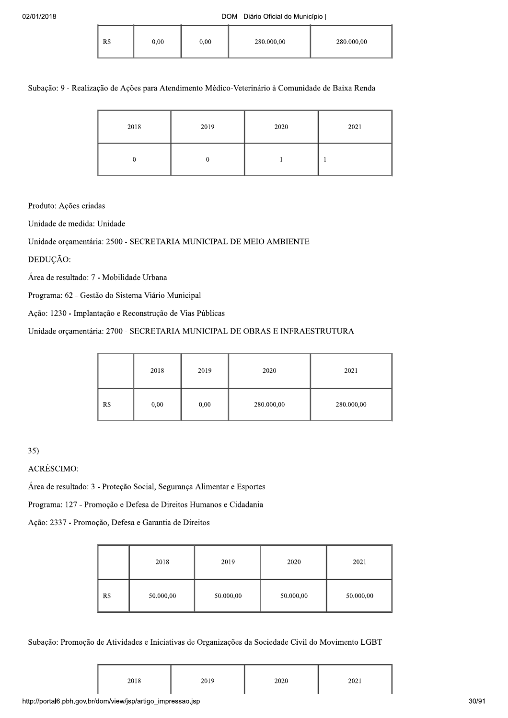| R\$ | 0,00 | 0.00 | 280.000,00 | 280.000,00 |
|-----|------|------|------------|------------|
|-----|------|------|------------|------------|

### Subação: 9 - Realização de Ações para Atendimento Médico-Veterinário à Comunidade de Baixa Renda

| 2018 | 2019 | 2020 | 2021 |
|------|------|------|------|
|      |      |      |      |

Produto: Ações criadas

Unidade de medida: Unidade

# Unidade orcamentária: 2500 - SECRETARIA MUNICIPAL DE MEIO AMBIENTE

DEDUÇÃO:

Área de resultado: 7 - Mobilidade Urbana

Programa: 62 - Gestão do Sistema Viário Municipal

Ação: 1230 - Implantação e Reconstrução de Vias Públicas

# Unidade orçamentária: 2700 - SECRETARIA MUNICIPAL DE OBRAS E INFRAESTRUTURA

|     | 2018 | 2019 | 2020       | 2021       |
|-----|------|------|------------|------------|
| R\$ | 0,00 | 0,00 | 280.000,00 | 280.000,00 |

 $35)$ 

**ACRÉSCIMO:** 

Área de resultado: 3 - Proteção Social, Segurança Alimentar e Esportes

Programa: 127 - Promoção e Defesa de Direitos Humanos e Cidadania

Ação: 2337 - Promoção, Defesa e Garantia de Direitos

|     | 2018      | 2019      | 2020      | 2021      |
|-----|-----------|-----------|-----------|-----------|
| R\$ | 50.000,00 | 50.000,00 | 50.000,00 | 50.000,00 |

### Subação: Promoção de Atividades e Iniciativas de Organizações da Sociedade Civil do Movimento LGBT

|  | 2018 | 2019<br>$-012$ | 2020 | 2021<br>202 L<br>---- |
|--|------|----------------|------|-----------------------|
|--|------|----------------|------|-----------------------|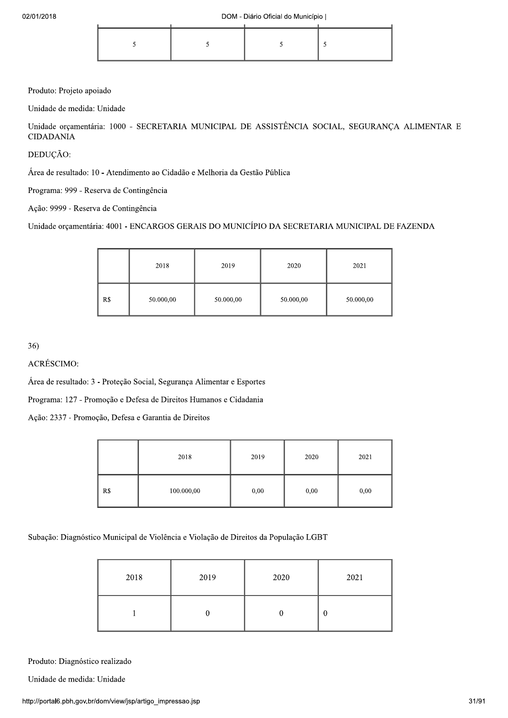Produto: Projeto apoiado

Unidade de medida: Unidade

Unidade orçamentária: 1000 - SECRETARIA MUNICIPAL DE ASSISTÊNCIA SOCIAL, SEGURANÇA ALIMENTAR E **CIDADANIA** 

DEDUÇÃO:

Área de resultado: 10 - Atendimento ao Cidadão e Melhoria da Gestão Pública

Programa: 999 - Reserva de Contingência

Ação: 9999 - Reserva de Contingência

Unidade orçamentária: 4001 - ENCARGOS GERAIS DO MUNICÍPIO DA SECRETARIA MUNICIPAL DE FAZENDA

|     | 2018      | 2019      | 2020      | 2021      |
|-----|-----------|-----------|-----------|-----------|
| R\$ | 50.000,00 | 50.000,00 | 50.000,00 | 50.000,00 |

36)

**ACRÉSCIMO:** 

Área de resultado: 3 - Proteção Social, Segurança Alimentar e Esportes

Programa: 127 - Promoção e Defesa de Direitos Humanos e Cidadania

Ação: 2337 - Promoção, Defesa e Garantia de Direitos

|     | 2018       | 2019 | 2020 | 2021 |
|-----|------------|------|------|------|
| R\$ | 100.000,00 | 0,00 | 0,00 | 0,00 |

Subação: Diagnóstico Municipal de Violência e Violação de Direitos da População LGBT

| 2018 | 2019 | 2020 | 2021 |
|------|------|------|------|
|      |      |      | U    |

Produto: Diagnóstico realizado

Unidade de medida: Unidade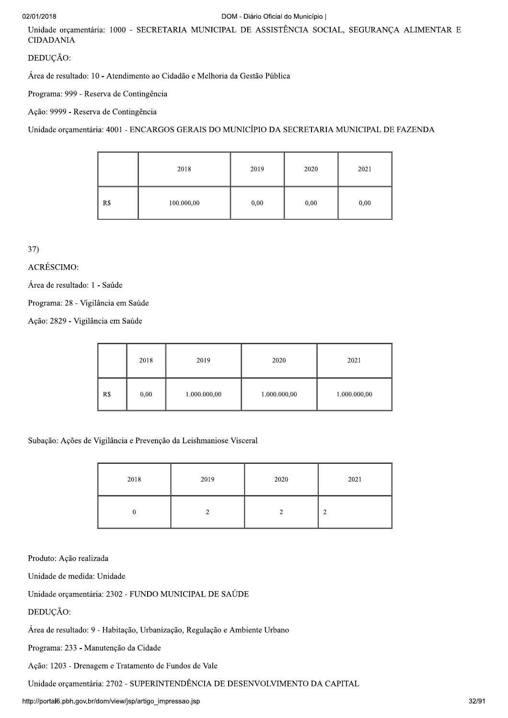# 02/01/20

# $2018$

Unidade orçamentária: 1000 - SECRETARIA MUNICIPAL DE ASSISTÊNCIA SOCIAL, SEGURANÇA ALIMENTAR E CIDADANIA

# DEDUÇÃO:

Área de resultado: 10 - Atendimento ao Cidadão e Melhoria da Gestão Pública

Programa: 999 - Reserva de Contingência

Ação: 9999 - Reserva de Contingência

Unidade orcamentária: 4001 - ENCARGOS GERAIS DO MUNICÍPIO DA SECRETARIA MUNICIPAL DE FAZENDA

|     | 2018       | 2019 | 2020 | 2021 |
|-----|------------|------|------|------|
| R\$ | 100.000,00 | 0,00 | 0,00 | 0,00 |

37)<br>ACRÉSCIMO:

Área de resultado: 1 - Saúde

Programa: 28 - Vigilância em Saúde

Ação: 2829 - Vigilância em Saúde

|     | 2018 | 2019         | 2020         | 2021         |
|-----|------|--------------|--------------|--------------|
| R\$ | 0,00 | 1.000.000,00 | 1.000.000,00 | 1.000.000,00 |

Subação: Ações de Vigilância e Prevenção da Leishmaniose Visceral

| 2018 | 2019 | 2020 | 2021   |
|------|------|------|--------|
|      |      |      | ◠<br>∠ |

Produto: Ação realizada

Unidade de medida: Unidade

Unidade orçamentária: 2302 - FUNDO MUNICIPAL DE SAÚDE

DEDUÇÃO:

Área de resultado: 9 - Habitação, Urbanização, Regulação e Ambiente Urbano

Programa: 233 - Manutenção da Cidade

Ação: 1203 - Drenagem e Tratamento de Fundos de Vale

Unidade orçamentária: 2702 - SUPERINTENDÊNCIA DE DESENVOLVIMENTO DA CAPITAL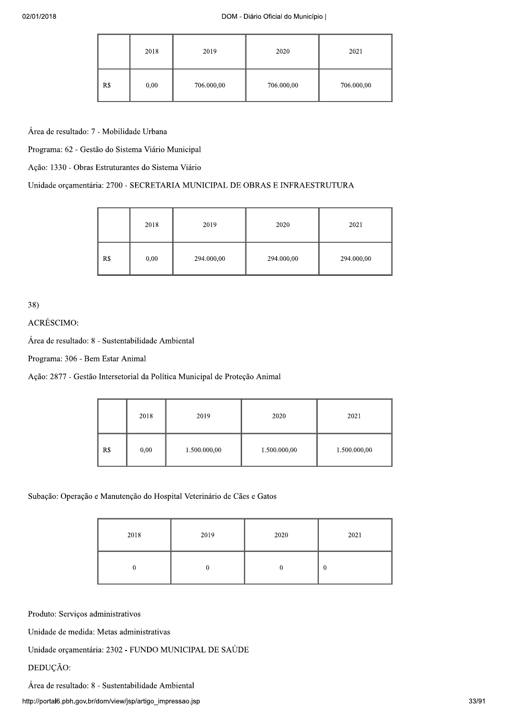|     | 2018 | 2019       | 2020       | 2021       |
|-----|------|------------|------------|------------|
| R\$ | 0,00 | 706.000,00 | 706.000,00 | 706.000,00 |

Área de resultado: 7 - Mobilidade Urbana

Programa: 62 - Gestão do Sistema Viário Municipal

Ação: 1330 - Obras Estruturantes do Sistema Viário

# Unidade orçamentária: 2700 - SECRETARIA MUNICIPAL DE OBRAS E INFRAESTRUTURA

|     | 2018 | 2019       | 2020       | 2021       |
|-----|------|------------|------------|------------|
| R\$ | 0,00 | 294.000,00 | 294.000,00 | 294.000,00 |

38)<br>ACRÉSCIMO:

Área de resultado: 8 - Sustentabilidade Ambiental

Programa: 306 - Bem Estar Animal

Ação: 2877 - Gestão Intersetorial da Política Municipal de Proteção Animal

|     | 2018 | 2019         | 2020         | 2021         |
|-----|------|--------------|--------------|--------------|
| R\$ | 0,00 | 1.500.000,00 | 1.500.000,00 | 1.500.000,00 |

Subação: Operação e Manutenção do Hospital Veterinário de Cães e Gatos

| 2018 | 2019 | 2020 | 2021     |
|------|------|------|----------|
|      |      |      | $\bf{0}$ |

Produto: Serviços administrativos

Unidade de medida: Metas administrativas

Unidade orçamentária: 2302 - FUNDO MUNICIPAL DE SAÚDE

# DEDUÇÃO:

Área de resultado: 8 - Sustentabilidade Ambiental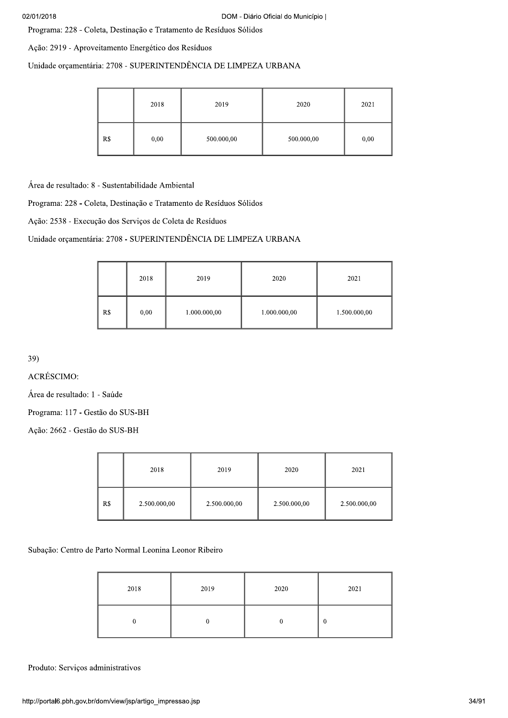Programa: 228 - Coleta, Destinação e Tratamento de Resíduos Sólidos

Ação: 2919 - Aproveitamento Energético dos Resíduos

Unidade orçamentária: 2708 - SUPERINTENDÊNCIA DE LIMPEZA URBANA

|     | 2018 | 2019       | 2020       | 2021 |
|-----|------|------------|------------|------|
| R\$ | 0,00 | 500.000,00 | 500.000,00 | 0,00 |

Área de resultado: 8 - Sustentabilidade Ambiental

Programa: 228 - Coleta, Destinação e Tratamento de Resíduos Sólidos

Ação: 2538 - Execução dos Serviços de Coleta de Resíduos

# Unidade orçamentária: 2708 - SUPERINTENDÊNCIA DE LIMPEZA URBANA

|     | 2018 | 2019         | 2020         | 2021         |
|-----|------|--------------|--------------|--------------|
| R\$ | 0,00 | 1.000.000,00 | 1.000.000,00 | 1.500.000,00 |

39)<br>ACRÉSCIMO:

Área de resultado: 1 - Saúde

Programa: 117 - Gestão do SUS-BH

Ação: 2662 - Gestão do SUS-BH

|     | 2018         | 2019         | 2020         | 2021         |
|-----|--------------|--------------|--------------|--------------|
| R\$ | 2.500.000,00 | 2.500.000,00 | 2.500.000,00 | 2.500.000,00 |

Subação: Centro de Parto Normal Leonina Leonor Ribeiro

| 2018                              | 2019         | 2020             | 2021     |
|-----------------------------------|--------------|------------------|----------|
| $\boldsymbol{0}$                  | $\mathbf{0}$ | $\boldsymbol{0}$ | $\bf{0}$ |
| lministrativos                    |              |                  |          |
| dom/view/jsp/artigo_impressao.jsp |              |                  |          |

Produto: Serviços administrativos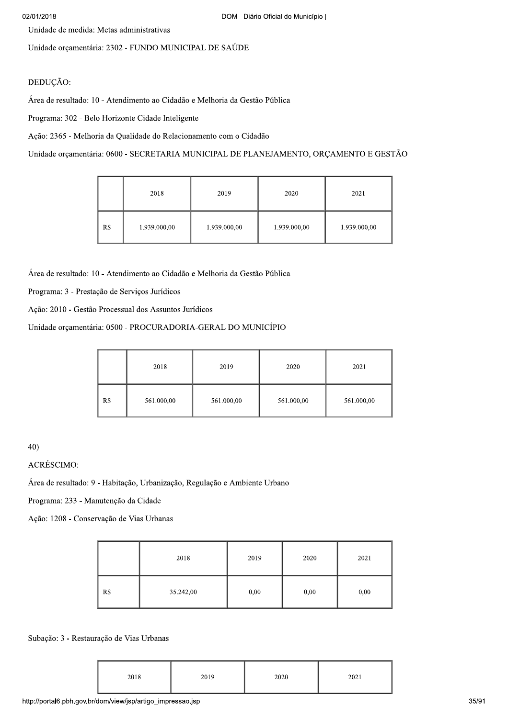Unidade de medida: Metas administrativas

Unidade orçamentária: 2302 - FUNDO MUNICIPAL DE SAÚDE

# DEDUÇÃO:

Área de resultado: 10 - Atendimento ao Cidadão e Melhoria da Gestão Pública

Programa: 302 - Belo Horizonte Cidade Inteligente

Ação: 2365 - Melhoria da Qualidade do Relacionamento com o Cidadão

Unidade orçamentária: 0600 - SECRETARIA MUNICIPAL DE PLANEJAMENTO, ORÇAMENTO E GESTÃO

|     | 2018         | 2019         | 2020         | 2021         |
|-----|--------------|--------------|--------------|--------------|
| R\$ | 1.939.000,00 | 1.939.000,00 | 1.939.000,00 | 1.939.000,00 |

Área de resultado: 10 - Atendimento ao Cidadão e Melhoria da Gestão Pública

Programa: 3 - Prestação de Serviços Jurídicos

Ação: 2010 - Gestão Processual dos Assuntos Jurídicos

Unidade orçamentária: 0500 - PROCURADORIA-GERAL DO MUNICÍPIO

|     | 2018       | 2019       | 2020       | 2021       |
|-----|------------|------------|------------|------------|
| R\$ | 561.000,00 | 561.000,00 | 561.000,00 | 561.000,00 |

 $40)$ 

**ACRÉSCIMO:** 

Área de resultado: 9 - Habitação, Urbanização, Regulação e Ambiente Urbano

Programa: 233 - Manutenção da Cidade

Ação: 1208 - Conservação de Vias Urbanas

|     | 2018      | 2019 | 2020 | 2021 |
|-----|-----------|------|------|------|
| R\$ | 35.242,00 | 0,00 | 0,00 | 0,00 |

### Subação: 3 - Restauração de Vias Urbanas

| 2018 | 2019 | 2020 | 2021 |
|------|------|------|------|
|      |      |      |      |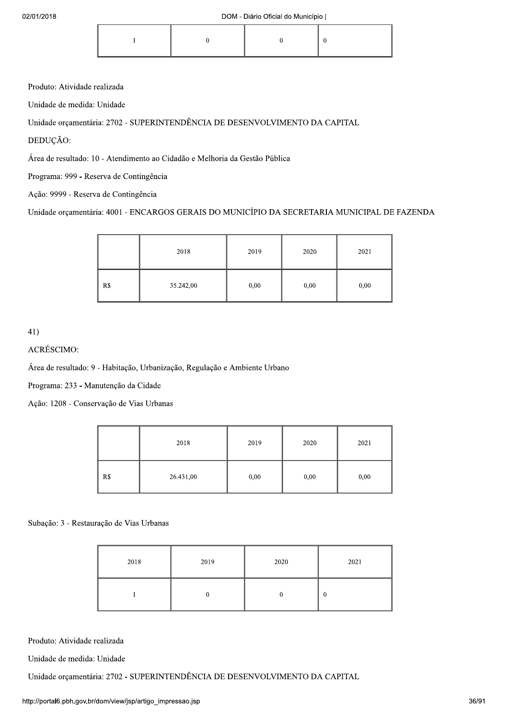|--|

Produto: Atividade realizada

Unidade de medida: Unidade

Unidade orçamentária: 2702 - SUPERINTENDÊNCIA DE DESENVOLVIMENTO DA CAPITAL

DEDUÇÃO:

Área de resultado: 10 - Atendimento ao Cidadão e Melhoria da Gestão Pública

Programa: 999 - Reserva de Contingência

Ação: 9999 - Reserva de Contingência

Unidade orçamentária: 4001 - ENCARGOS GERAIS DO MUNICÍPIO DA SECRETARIA MUNICIPAL DE FAZENDA

|     | 2018      | 2019 | 2020 | 2021 |
|-----|-----------|------|------|------|
| R\$ | 35.242,00 | 0,00 | 0,00 | 0,00 |

 $41)$ 

ACRÉSCIMO:

Área de resultado: 9 - Habitação, Urbanização, Regulação e Ambiente Urbano

Programa: 233 - Manutenção da Cidade

Ação: 1208 - Conservação de Vias Urbanas

|     | 2018      | 2019 | 2020 | 2021 |
|-----|-----------|------|------|------|
| R\$ | 26.431,00 | 0,00 | 0,00 | 0,00 |

### Subação: 3 - Restauração de Vias Urbanas

| 2018 | 2019 | 2020 | 2021 |
|------|------|------|------|
|      |      | ν    | 0    |

Produto: Atividade realizada

Unidade de medida: Unidade

Unidade orçamentária: 2702 - SUPERINTENDÊNCIA DE DESENVOLVIMENTO DA CAPITAL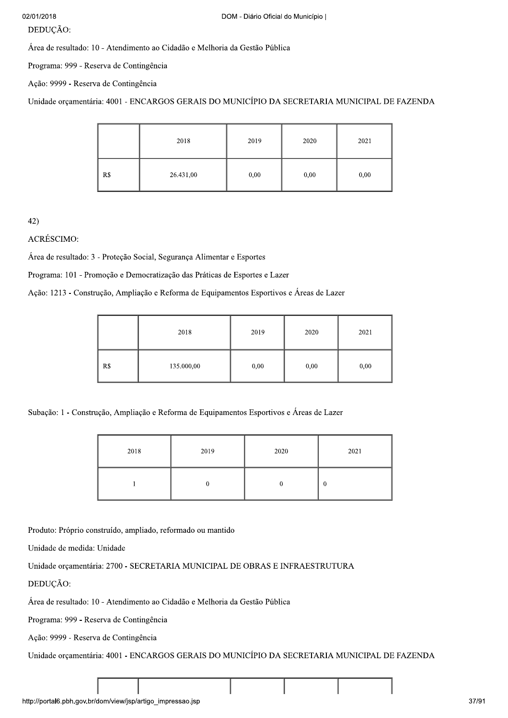#### DEDUÇÃO:

Área de resultado: 10 - Atendimento ao Cidadão e Melhoria da Gestão Pública

Programa: 999 - Reserva de Contingência

Ação: 9999 - Reserva de Contingência

Unidade orcamentária: 4001 - ENCARGOS GERAIS DO MUNICÍPIO DA SECRETARIA MUNICIPAL DE FAZENDA

|     | 2018      | 2019 | 2020 | 2021 |
|-----|-----------|------|------|------|
| R\$ | 26.431,00 | 0,00 | 0,00 | 0,00 |

42)<br>ACRÉSCIMO:

Área de resultado: 3 - Proteção Social, Segurança Alimentar e Esportes

Programa: 101 - Promoção e Democratização das Práticas de Esportes e Lazer

Ação: 1213 - Construção, Ampliação e Reforma de Equipamentos Esportivos e Áreas de Lazer

|     | 2018       | 2019 | 2020 | 2021 |
|-----|------------|------|------|------|
| R\$ | 135.000,00 | 0,00 | 0,00 | 0,00 |

Subação: 1 - Construção, Ampliação e Reforma de Equipamentos Esportivos e Áreas de Lazer

| 2018 | 2019 | 2020 | 2021 |
|------|------|------|------|
|      |      |      | v    |

Produto: Próprio construído, ampliado, reformado ou mantido

Unidade de medida: Unidade

Unidade orçamentária: 2700 - SECRETARIA MUNICIPAL DE OBRAS E INFRAESTRUTURA

DEDUCÃO:

Área de resultado: 10 - Atendimento ao Cidadão e Melhoria da Gestão Pública

Programa: 999 - Reserva de Contingência

Ação: 9999 - Reserva de Contingência

 $30$ S GERAIS DO MUNICÍPIO DA SECRETARIA MUNICIPAL DE FAZENDA $\begin{array}{|c|c|}\hline \text{m} & \text{m} & \text{m} \end{array}$ Unidade orçamentária: 4001 - ENCARGOS GERAIS DO MUNICÍPIO DA SECRETARIA MUNICIPAL DE FAZENDA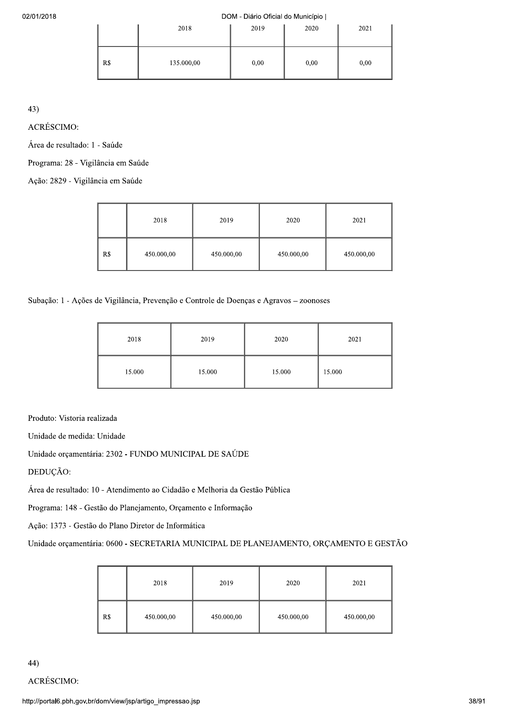#### $2018$

|     | 2018       | 2019 | 2020 | 2021 |
|-----|------------|------|------|------|
| R\$ | 135.000,00 | 0,00 | 0,00 | 0,00 |

43)<br>ACRÉSCIMO:

Área de resultado: 1 - Saúde

Programa: 28 - Vigilância em Saúde

Ação: 2829 - Vigilância em Saúde

|     | 2018       | 2019       | 2020       | 2021       |
|-----|------------|------------|------------|------------|
| R\$ | 450.000,00 | 450.000,00 | 450.000,00 | 450.000,00 |

Subação: 1 - Ações de Vigilância, Prevenção e Controle de Doenças e Agravos - zoonoses

| 2018   | 2019   | 2020   | 2021   |
|--------|--------|--------|--------|
| 15.000 | 15.000 | 15.000 | 15.000 |

Produto: Vistoria realizada

Unidade de medida: Unidade

Unidade orçamentária: 2302 - FUNDO MUNICIPAL DE SAÚDE

DEDUÇÃO:

Área de resultado: 10 - Atendimento ao Cidadão e Melhoria da Gestão Pública

Programa: 148 - Gestão do Planejamento, Orçamento e Informação

Ação: 1373 - Gestão do Plano Diretor de Informática

Unidade orçamentária: 0600 - SECRETARIA MUNICIPAL DE PLANEJAMENTO, ORÇAMENTO E GESTÃO

|     | 2018       | 2019       | 2020       | 2021       |
|-----|------------|------------|------------|------------|
| R\$ | 450.000,00 | 450.000,00 | 450.000,00 | 450.000,00 |

44)<br>ACRÉSCIMO: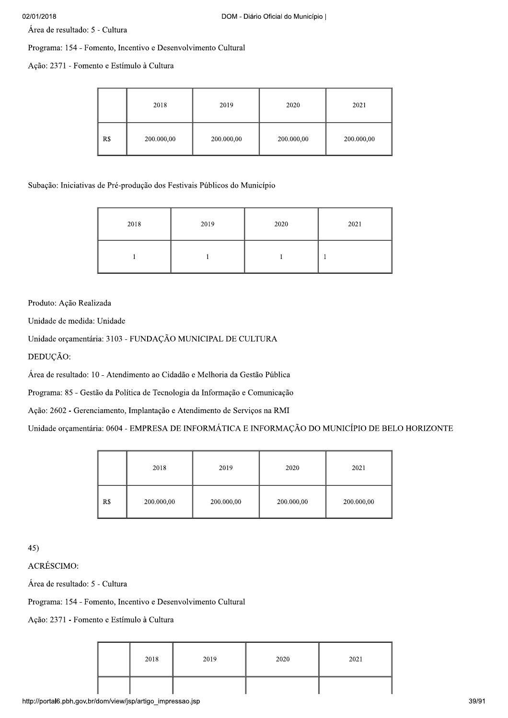Área de resultado: 5 - Cultura

Programa: 154 - Fomento, Incentivo e Desenvolvimento Cultural

Ação: 2371 - Fomento e Estímulo à Cultura

|     | 2018       | 2019       | 2020       | 2021       |
|-----|------------|------------|------------|------------|
| R\$ | 200.000,00 | 200.000,00 | 200.000,00 | 200.000,00 |

Subação: Iniciativas de Pré-produção dos Festivais Públicos do Município

| 2018 | 2019 | 2020 | 2021 |
|------|------|------|------|
|      |      |      |      |

Produto: Ação Realizada

Unidade de medida: Unidade

Unidade orçamentária: 3103 - FUNDAÇÃO MUNICIPAL DE CULTURA

DEDUÇÃO:

Área de resultado: 10 - Atendimento ao Cidadão e Melhoria da Gestão Pública

Programa: 85 - Gestão da Política de Tecnologia da Informação e Comunicação

Ação: 2602 - Gerenciamento, Implantação e Atendimento de Serviços na RMI

Unidade orçamentária: 0604 - EMPRESA DE INFORMÁTICA E INFORMAÇÃO DO MUNICÍPIO DE BELO HORIZONTE

|     | 2018       | 2019       | 2020       | 2021       |
|-----|------------|------------|------------|------------|
| R\$ | 200.000,00 | 200.000,00 | 200.000,00 | 200.000,00 |

 $45)$ 

**ACRÉSCIMO:** 

Área de resultado: 5 - Cultura

Programa: 154 - Fomento, Incentivo e Desenvolvimento Cultural

Ação: 2371 - Fomento e Estímulo à Cultura

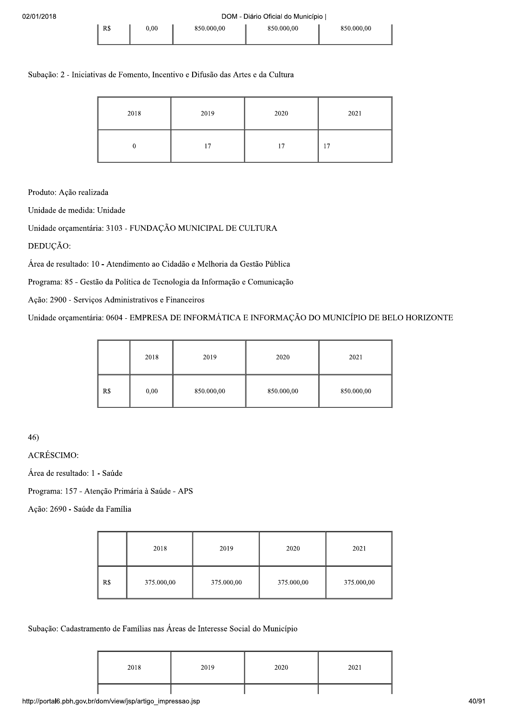### Subação: 2 - Iniciativas de Fomento, Incentivo e Difusão das Artes e da Cultura

| 2018 | 2019 | 2020 | 2021 |
|------|------|------|------|
|      | 17   | 17   | 17   |

Produto: Ação realizada

Unidade de medida: Unidade

Unidade orçamentária: 3103 - FUNDAÇÃO MUNICIPAL DE CULTURA

DEDUÇÃO:

Área de resultado: 10 - Atendimento ao Cidadão e Melhoria da Gestão Pública

Programa: 85 - Gestão da Política de Tecnologia da Informação e Comunicação

Ação: 2900 - Serviços Administrativos e Financeiros

Unidade orçamentária: 0604 - EMPRESA DE INFORMÁTICA E INFORMAÇÃO DO MUNICÍPIO DE BELO HORIZONTE

|     | 2018 | 2019       | 2020       | 2021       |
|-----|------|------------|------------|------------|
| R\$ | 0,00 | 850.000,00 | 850.000,00 | 850.000,00 |

46)<br>ACRÉSCIMO:

Área de resultado: 1 - Saúde

Programa: 157 - Atenção Primária à Saúde - APS

Ação: 2690 - Saúde da Família

|     | 2018       | 2019       | 2020       | 2021       |
|-----|------------|------------|------------|------------|
| R\$ | 375.000,00 | 375.000,00 | 375.000,00 | 375.000,00 |

Subação: Cadastramento de Famílias nas Áreas de Interesse Social do Município

| 2018 | 2019 | 2020 | 2021 |
|------|------|------|------|
|      |      |      |      |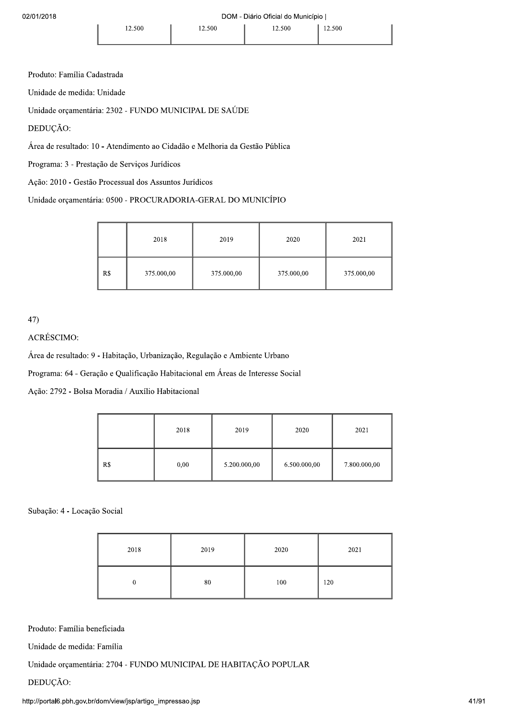Produto: Família Cadastrada

Unidade de medida: Unidade

Unidade orçamentária: 2302 - FUNDO MUNICIPAL DE SAÚDE

DEDUÇÃO:

Área de resultado: 10 - Atendimento ao Cidadão e Melhoria da Gestão Pública

Programa: 3 - Prestação de Serviços Jurídicos

Ação: 2010 - Gestão Processual dos Assuntos Jurídicos

Unidade orçamentária: 0500 - PROCURADORIA-GERAL DO MUNICÍPIO

|     | 2018       | 2019       | 2020       | 2021       |
|-----|------------|------------|------------|------------|
| R\$ | 375.000,00 | 375.000,00 | 375.000,00 | 375.000,00 |

47)

# ACRÉSCIMO:

Área de resultado: 9 - Habitação, Urbanização, Regulação e Ambiente Urbano

Programa: 64 - Geração e Qualificação Habitacional em Áreas de Interesse Social

Ação: 2792 - Bolsa Moradia / Auxílio Habitacional

|     | 2018 | 2019         | 2020         | 2021         |
|-----|------|--------------|--------------|--------------|
| R\$ | 0,00 | 5.200.000,00 | 6.500.000,00 | 7.800.000,00 |

#### Subação: 4 - Locação Social

| 2018 | 2019 | 2020 | 2021 |
|------|------|------|------|
|      | 80   | 100  | 120  |

Produto: Família beneficiada

Unidade de medida: Família

Unidade orçamentária: 2704 - FUNDO MUNICIPAL DE HABITAÇÃO POPULAR

DEDUÇÃO: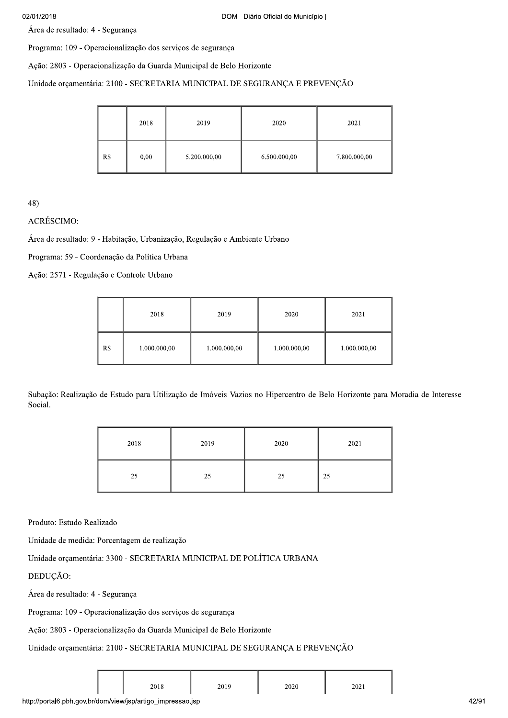#### 02/01/2018

Área de resultado: 4 - Segurança

Programa: 109 - Operacionalização dos serviços de segurança

Ação: 2803 - Operacionalização da Guarda Municipal de Belo Horizonte

#### Unidade orçamentária: 2100 - SECRETARIA MUNICIPAL DE SEGURANÇA E PREVENÇÃO

|     | 2018 | 2019         | 2020         | 2021         |
|-----|------|--------------|--------------|--------------|
| R\$ | 0,00 | 5.200.000,00 | 6.500.000,00 | 7.800.000,00 |

48)

### ACRÉSCIMO:

Área de resultado: 9 - Habitação, Urbanização, Regulação e Ambiente Urbano

Programa: 59 - Coordenação da Política Urbana

Ação: 2571 - Regulação e Controle Urbano

|     | 2018         | 2019         | 2020         | 2021         |
|-----|--------------|--------------|--------------|--------------|
| R\$ | 1.000.000,00 | 1.000.000,00 | 1.000.000,00 | 1.000.000,00 |

Subação: Realização de Estudo para Utilização de Imóveis Vazios no Hipercentro de Belo Horizonte para Moradia de Interesse Social.

| 2018 | 2019 | 2020 | 2021 |
|------|------|------|------|
| 25   | 25   | 25   | 25   |

Produto: Estudo Realizado

Unidade de medida: Porcentagem de realização

Unidade orçamentária: 3300 - SECRETARIA MUNICIPAL DE POLÍTICA URBANA

DEDUÇÃO:

Área de resultado: 4 - Segurança

Programa: 109 - Operacionalização dos serviços de segurança

Ação: 2803 - Operacionalização da Guarda Municipal de Belo Horizonte

Unidade orçamentária: 2100 - SECRETARIA MUNICIPAL DE SEGURANÇA E PREVENÇÃO

|  | 2018 | 2019<br>2012 | 2020 | 2021<br>---- |
|--|------|--------------|------|--------------|
|--|------|--------------|------|--------------|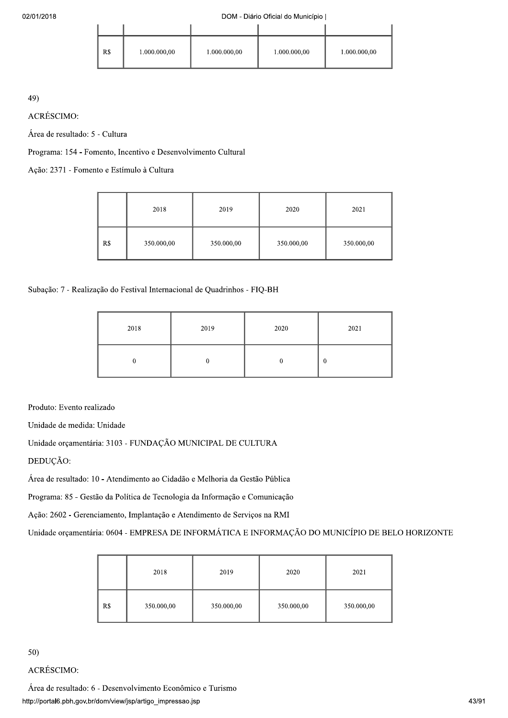| R\$ | 1.000.000,00 | 1.000.000,00 | 1.000.000,00 | 1.000.000,00 |
|-----|--------------|--------------|--------------|--------------|

49)<br>ACRÉSCIMO:

Área de resultado: 5 - Cultura

Programa: 154 - Fomento, Incentivo e Desenvolvimento Cultural

Ação: 2371 - Fomento e Estímulo à Cultura

|     | 2018       | 2019       | 2020       | 2021       |
|-----|------------|------------|------------|------------|
| R\$ | 350.000,00 | 350.000,00 | 350.000,00 | 350.000,00 |

Subação: 7 - Realização do Festival Internacional de Quadrinhos - FIQ-BH

| 2018 | 2019 | 2020 | 2021 |
|------|------|------|------|
|      |      |      | 0    |

Produto: Evento realizado

Unidade de medida: Unidade

Unidade orçamentária: 3103 - FUNDAÇÃO MUNICIPAL DE CULTURA

DEDUÇÃO:

Área de resultado: 10 - Atendimento ao Cidadão e Melhoria da Gestão Pública

Programa: 85 - Gestão da Política de Tecnologia da Informação e Comunicação

Ação: 2602 - Gerenciamento, Implantação e Atendimento de Serviços na RMI

Unidade orçamentária: 0604 - EMPRESA DE INFORMÁTICA E INFORMAÇÃO DO MUNICÍPIO DE BELO HORIZONTE

|     | 2018       | 2019       | 2020       | 2021       |
|-----|------------|------------|------------|------------|
| R\$ | 350.000,00 | 350.000,00 | 350.000,00 | 350.000,00 |

# 50)<br>ACRÉSCIMO:

http://portalb.pbn.gov.br/dom/view/jsp/artigo\_im ) Econômico e Turismo<br>mpressao.jsp<br>43/91 Área de resultado: 6 - Desenvolvimento Econômico e Turismo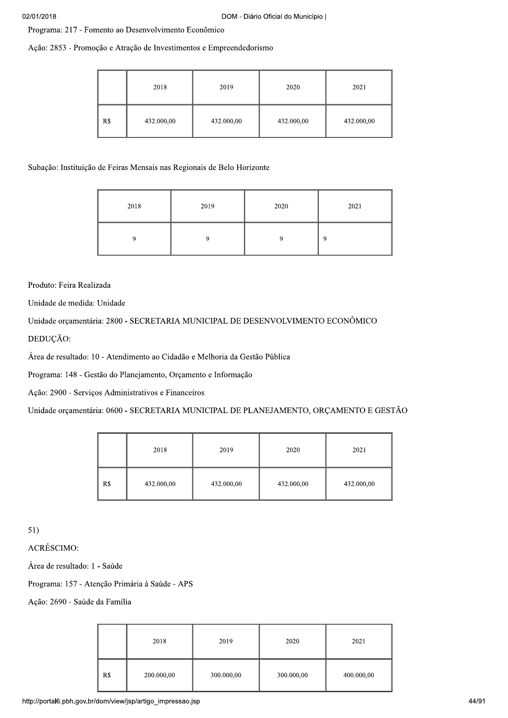Programa: 217 - Fomento ao Desenvolvimento Econômico

Ação: 2853 - Promoção e Atração de Investimentos e Empreendedorismo

|     | 2018       | 2019       | 2020       | 2021       |
|-----|------------|------------|------------|------------|
| R\$ | 432.000,00 | 432.000,00 | 432.000,00 | 432.000,00 |

Subação: Instituição de Feiras Mensais nas Regionais de Belo Horizonte

| 2018 | 2019 | 2020 | 2021 |
|------|------|------|------|
|      |      |      | o    |

Produto: Feira Realizada

Unidade de medida: Unidade

Unidade orçamentária: 2800 - SECRETARIA MUNICIPAL DE DESENVOLVIMENTO ECONÔMICO DEDUÇÃO:

Área de resultado: 10 - Atendimento ao Cidadão e Melhoria da Gestão Pública

Programa: 148 - Gestão do Planejamento, Orçamento e Informação

Ação: 2900 - Serviços Administrativos e Financeiros

Unidade orçamentária: 0600 - SECRETARIA MUNICIPAL DE PLANEJAMENTO, ORÇAMENTO E GESTÃO

|     | 2018       | 2019       | 2020       | 2021       |
|-----|------------|------------|------------|------------|
| R\$ | 432.000,00 | 432.000,00 | 432.000,00 | 432.000,00 |

 $51)$ 

**ACRÉSCIMO:** 

Área de resultado: 1 - Saúde

Programa: 157 - Atenção Primária à Saúde - APS

Ação: 2690 - Saúde da Família

|     | 2018       | 2019       | 2020       | 2021       |
|-----|------------|------------|------------|------------|
| R\$ | 200.000,00 | 300.000,00 | 300.000,00 | 400.000,00 |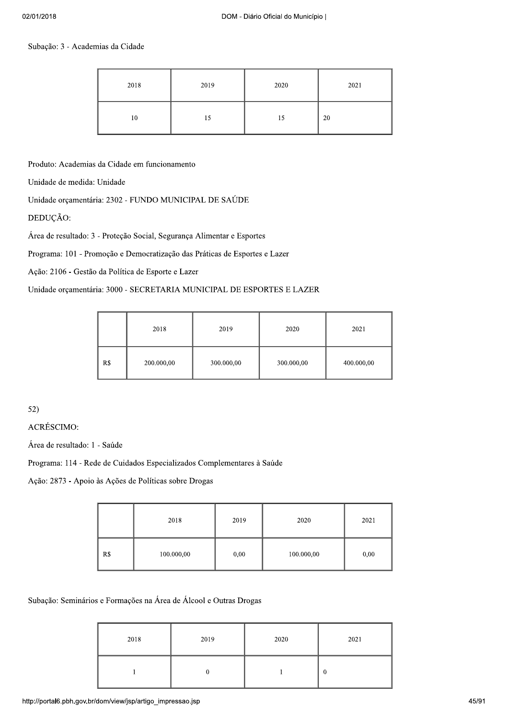### Subação: 3 - Academias da Cidade

| 2018 | 2019 | 2020 | 2021 |
|------|------|------|------|
| 10   | 15   | 15   | 20   |

Produto: Academias da Cidade em funcionamento

Unidade de medida: Unidade

Unidade orçamentária: 2302 - FUNDO MUNICIPAL DE SAÚDE

DEDUÇÃO:

Área de resultado: 3 - Proteção Social, Segurança Alimentar e Esportes

Programa: 101 - Promoção e Democratização das Práticas de Esportes e Lazer

Ação: 2106 - Gestão da Política de Esporte e Lazer

# Unidade orçamentária: 3000 - SECRETARIA MUNICIPAL DE ESPORTES E LAZER

|     | 2018       | 2019       | 2020       | 2021       |
|-----|------------|------------|------------|------------|
| R\$ | 200.000,00 | 300.000,00 | 300.000,00 | 400.000,00 |

 $52)$ 

**ACRÉSCIMO:** 

Área de resultado: 1 - Saúde

Programa: 114 - Rede de Cuidados Especializados Complementares à Saúde

Ação: 2873 - Apoio às Ações de Políticas sobre Drogas

|     | 2018       | 2019 | 2020       | 2021 |
|-----|------------|------|------------|------|
| R\$ | 100.000,00 | 0,00 | 100.000,00 | 0,00 |

### Subação: Seminários e Formações na Área de Álcool e Outras Drogas

| 2018 | 2019 | 2020 | 2021 |
|------|------|------|------|
|      |      |      | 0    |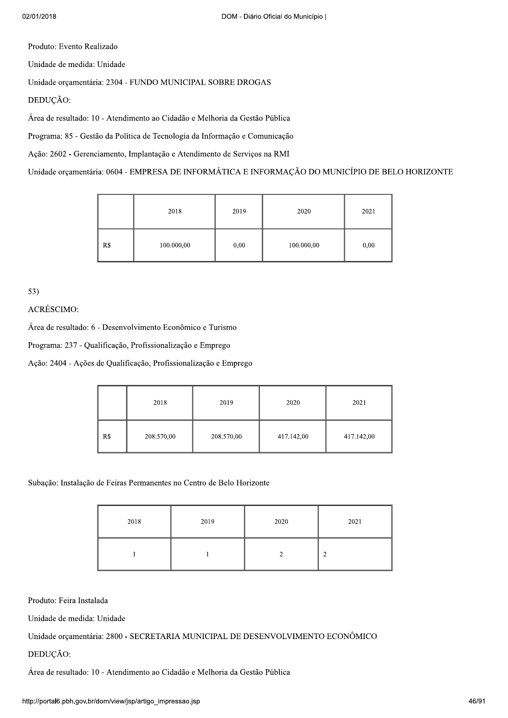Produto: Evento Realizado

Unidade de medida: Unidade

Unidade orçamentária: 2304 - FUNDO MUNICIPAL SOBRE DROGAS

DEDUÇÃO:

Área de resultado: 10 - Atendimento ao Cidadão e Melhoria da Gestão Pública

Programa: 85 - Gestão da Política de Tecnologia da Informação e Comunicação

Ação: 2602 - Gerenciamento, Implantação e Atendimento de Serviços na RMI

Unidade orçamentária: 0604 - EMPRESA DE INFORMÁTICA E INFORMAÇÃO DO MUNICÍPIO DE BELO HORIZONTE

|     | 2018       | 2019 | 2020       | 2021 |
|-----|------------|------|------------|------|
| R\$ | 100.000,00 | 0,00 | 100.000,00 | 0,00 |

 $53)$ 

# ACRÉSCIMO:

Área de resultado: 6 - Desenvolvimento Econômico e Turismo

Programa: 237 - Qualificação, Profissionalização e Emprego

Ação: 2404 - Ações de Qualificação, Profissionalização e Emprego

|     | 2018       | 2019       | 2020       | 2021       |
|-----|------------|------------|------------|------------|
| R\$ | 208.570,00 | 208.570,00 | 417.142,00 | 417.142,00 |

Subação: Instalação de Feiras Permanentes no Centro de Belo Horizonte

| 2018 | 2019 | 2020 | 2021 |
|------|------|------|------|
|      |      |      | ◠    |

Produto: Feira Instalada

Unidade de medida: Unidade

Unidade orçamentária: 2800 - SECRETARIA MUNICIPAL DE DESENVOLVIMENTO ECONÔMICO

DEDUÇÃO:

Área de resultado: 10 - Atendimento ao Cidadão e Melhoria da Gestão Pública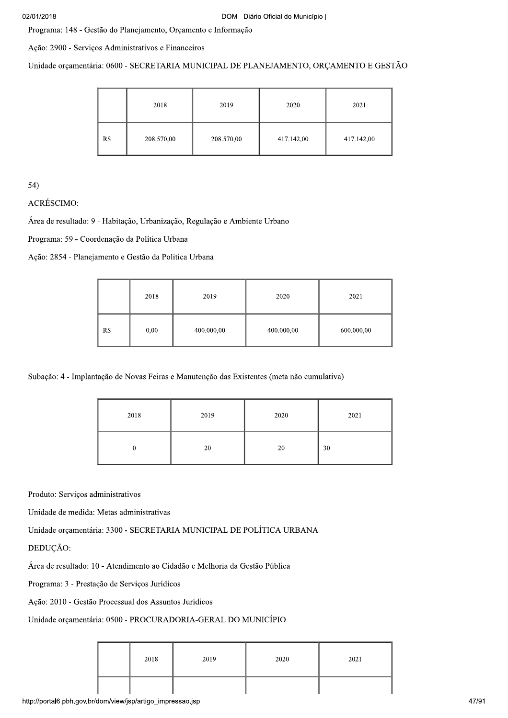Programa: 148 - Gestão do Planejamento, Orçamento e Informação

Ação: 2900 - Serviços Administrativos e Financeiros

Unidade orçamentária: 0600 - SECRETARIA MUNICIPAL DE PLANEJAMENTO, ORÇAMENTO E GESTÃO

|     | 2018       | 2019       | 2020       | 2021       |
|-----|------------|------------|------------|------------|
| R\$ | 208.570,00 | 208.570,00 | 417.142,00 | 417.142,00 |

 $54)$ 

**ACRÉSCIMO:** 

Área de resultado: 9 - Habitação, Urbanização, Regulação e Ambiente Urbano

Programa: 59 - Coordenação da Política Urbana

Ação: 2854 - Planejamento e Gestão da Politica Urbana

|     | 2018 | 2019       | 2020       | 2021       |
|-----|------|------------|------------|------------|
| R\$ | 0,00 | 400.000,00 | 400.000,00 | 600.000,00 |

Subação: 4 - Implantação de Novas Feiras e Manutenção das Existentes (meta não cumulativa)

| 2018 | 2019 | 2020 | 2021 |
|------|------|------|------|
|      | 20   | 20   | 30   |

Produto: Serviços administrativos

Unidade de medida: Metas administrativas

Unidade orçamentária: 3300 - SECRETARIA MUNICIPAL DE POLÍTICA URBANA

DEDUCÃO:

Área de resultado: 10 - Atendimento ao Cidadão e Melhoria da Gestão Pública

Programa: 3 - Prestação de Serviços Jurídicos

Ação: 2010 - Gestão Processual dos Assuntos Jurídicos

Unidade orçamentária: 0500 - PROCURADORIA-GERAL DO MUNICÍPIO

| 2018 | 2019 | 2020 | 2021 |
|------|------|------|------|
|      |      |      |      |

http://portal6.pbh.gov.br/dom/view/jsp/artigo\_impressao.jsp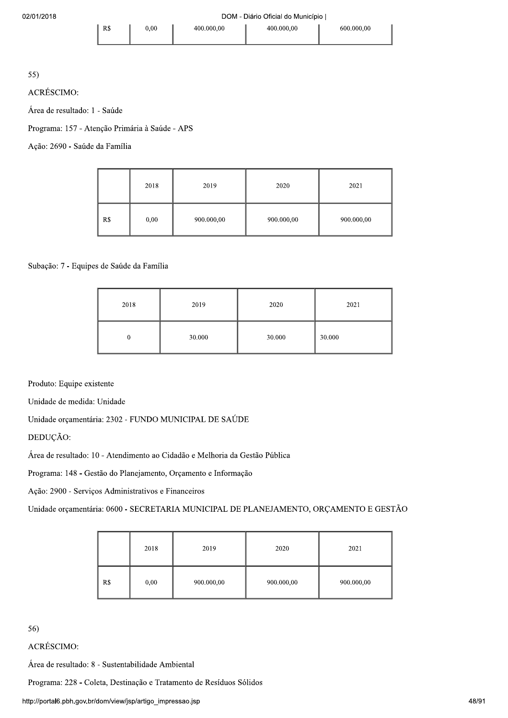55)

**ACRÉSCIMO:** 

Área de resultado: 1 - Saúde

Programa: 157 - Atenção Primária à Saúde - APS

 $R$$ 

Ação: 2690 - Saúde da Família

|     | 2018 | 2019       | 2020       | 2021       |
|-----|------|------------|------------|------------|
| R\$ | 0,00 | 900.000,00 | 900.000,00 | 900.000,00 |

### Subação: 7 - Equipes de Saúde da Família

| 2018 | 2019   | 2020   | 2021   |
|------|--------|--------|--------|
| 0    | 30.000 | 30.000 | 30.000 |

Produto: Equipe existente

Unidade de medida: Unidade

Unidade orçamentária: 2302 - FUNDO MUNICIPAL DE SAÚDE

DEDUÇÃO:

Área de resultado: 10 - Atendimento ao Cidadão e Melhoria da Gestão Pública

Programa: 148 - Gestão do Planejamento, Orçamento e Informação

Ação: 2900 - Serviços Administrativos e Financeiros

Unidade orçamentária: 0600 - SECRETARIA MUNICIPAL DE PLANEJAMENTO, ORÇAMENTO E GESTÃO

|     | 2018 | 2019       | 2020       | 2021       |
|-----|------|------------|------------|------------|
| R\$ | 0,00 | 900.000,00 | 900.000,00 | 900.000,00 |

56)

ACRÉSCIMO:

Área de resultado: 8 - Sustentabilidade Ambiental

Programa: 228 - Coleta, Destinação e Tratamento de Resíduos Sólidos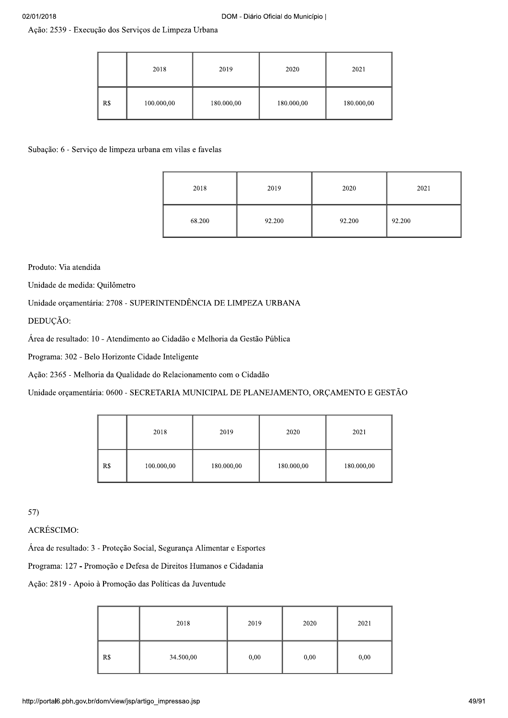Ação: 2539 - Execução dos Serviços de Limpeza Urbana

|     | 2018       | 2019       | 2020       | 2021       |
|-----|------------|------------|------------|------------|
| R\$ | 100.000,00 | 180.000,00 | 180.000,00 | 180.000,00 |

Subação: 6 - Serviço de limpeza urbana em vilas e favelas

| 2018   | 2019   | 2020   | 2021   |
|--------|--------|--------|--------|
| 68.200 | 92.200 | 92.200 | 92.200 |

Produto: Via atendida

Unidade de medida: Quilômetro

Unidade orçamentária: 2708 - SUPERINTENDÊNCIA DE LIMPEZA URBANA

DEDUÇÃO:

Área de resultado: 10 - Atendimento ao Cidadão e Melhoria da Gestão Pública

Programa: 302 - Belo Horizonte Cidade Inteligente

Ação: 2365 - Melhoria da Qualidade do Relacionamento com o Cidadão

Unidade orçamentária: 0600 - SECRETARIA MUNICIPAL DE PLANEJAMENTO, ORÇAMENTO E GESTÃO

|     | 2018       | 2019       | 2020       | 2021       |
|-----|------------|------------|------------|------------|
| R\$ | 100.000,00 | 180.000,00 | 180.000,00 | 180.000,00 |

 $57)$ 

ACRÉSCIMO:

Área de resultado: 3 - Proteção Social, Segurança Alimentar e Esportes

Programa: 127 - Promoção e Defesa de Direitos Humanos e Cidadania

Ação: 2819 - Apoio à Promoção das Políticas da Juventude

|     | 2018      | 2019 | 2020 | 2021 |
|-----|-----------|------|------|------|
| R\$ | 34.500,00 | 0,00 | 0,00 | 0,00 |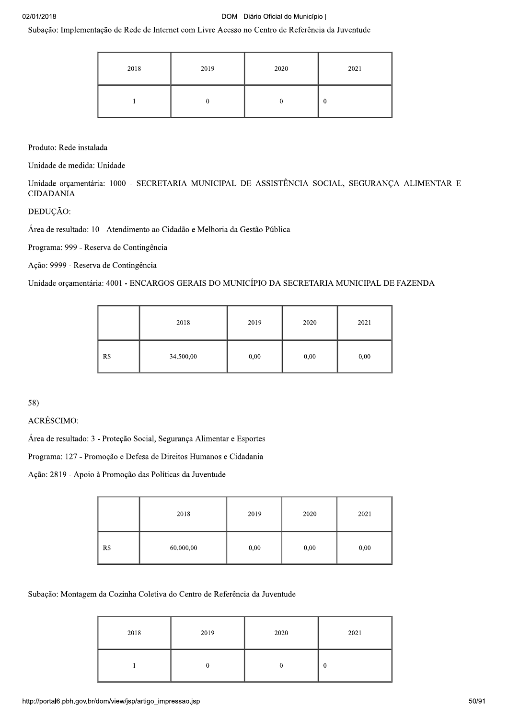Subação: Implementação de Rede de Internet com Livre Acesso no Centro de Referência da Juventude

| 2018 | 2019 | 2020 | 2021 |
|------|------|------|------|
|      |      |      |      |

Produto: Rede instalada

Unidade de medida: Unidade

Unidade orçamentária: 1000 - SECRETARIA MUNICIPAL DE ASSISTÊNCIA SOCIAL, SEGURANÇA ALIMENTAR E **CIDADANIA** 

DEDUÇÃO:

Área de resultado: 10 - Atendimento ao Cidadão e Melhoria da Gestão Pública

Programa: 999 - Reserva de Contingência

Ação: 9999 - Reserva de Contingência

Unidade orçamentária: 4001 - ENCARGOS GERAIS DO MUNICÍPIO DA SECRETARIA MUNICIPAL DE FAZENDA

|     | 2018      | 2019 | 2020 | 2021 |
|-----|-----------|------|------|------|
| R\$ | 34.500,00 | 0,00 | 0,00 | 0,00 |

58)

**ACRÉSCIMO:** 

Área de resultado: 3 - Proteção Social, Segurança Alimentar e Esportes

Programa: 127 - Promoção e Defesa de Direitos Humanos e Cidadania

Ação: 2819 - Apoio à Promoção das Políticas da Juventude

|     | 2018      | 2019 | 2020 | 2021 |
|-----|-----------|------|------|------|
| R\$ | 60.000,00 | 0,00 | 0,00 | 0,00 |

Subação: Montagem da Cozinha Coletiva do Centro de Referência da Juventude

| 2018 | 2019 | 2020 | 2021 |
|------|------|------|------|
|      |      |      | U    |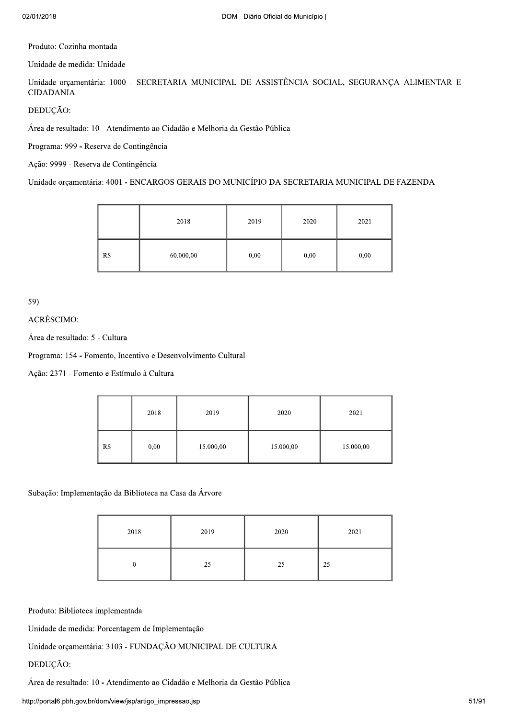Produto: Cozinha montada

Unidade de medida: Unidade

Unidade orçamentária: 1000 - SECRETARIA MUNICIPAL DE ASSISTÊNCIA SOCIAL, SEGURANCA ALIMENTAR E **CIDADANIA** 

DEDUÇÃO:

Área de resultado: 10 - Atendimento ao Cidadão e Melhoria da Gestão Pública

Programa: 999 - Reserva de Contingência

Ação: 9999 - Reserva de Contingência

Unidade orçamentária: 4001 - ENCARGOS GERAIS DO MUNICÍPIO DA SECRETARIA MUNICIPAL DE FAZENDA

|     | 2018      | 2019 | 2020 | 2021 |
|-----|-----------|------|------|------|
| R\$ | 60.000,00 | 0,00 | 0,00 | 0,00 |

59)

ACRÉSCIMO:

Área de resultado: 5 - Cultura

Programa: 154 - Fomento, Incentivo e Desenvolvimento Cultural

Ação: 2371 - Fomento e Estímulo à Cultura

|     | 2018 | 2019      | 2020      | 2021      |
|-----|------|-----------|-----------|-----------|
| R\$ | 0,00 | 15.000,00 | 15.000,00 | 15.000,00 |

Subação: Implementação da Biblioteca na Casa da Árvore

| 2018 | 2019 | 2020 | 2021 |
|------|------|------|------|
|      | 25   | 25   | 25   |

Produto: Biblioteca implementada

Unidade de medida: Porcentagem de Implementação

Unidade orçamentária: 3103 - FUNDAÇÃO MUNICIPAL DE CULTURA

#### DEDUÇÃO:

Área de resultado: 10 - Atendimento ao Cidadão e Melhoria da Gestão Pública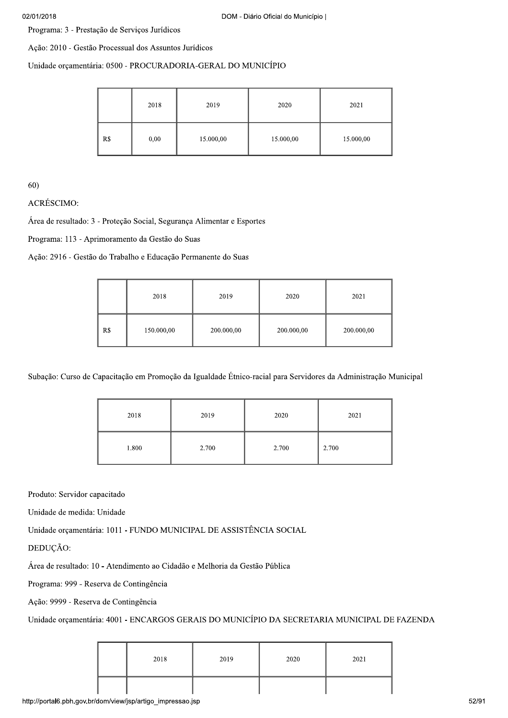Programa: 3 - Prestação de Serviços Jurídicos

Ação: 2010 - Gestão Processual dos Assuntos Jurídicos

#### Unidade orçamentária: 0500 - PROCURADORIA-GERAL DO MUNICÍPIO

|     | 2018 | 2019      | 2020      | 2021      |
|-----|------|-----------|-----------|-----------|
| R\$ | 0,00 | 15.000,00 | 15.000,00 | 15.000,00 |

60)<br>ACRÉSCIMO:

Área de resultado: 3 - Proteção Social, Segurança Alimentar e Esportes

Programa: 113 - Aprimoramento da Gestão do Suas

Ação: 2916 - Gestão do Trabalho e Educação Permanente do Suas

|     | 2018       | 2019       | 2020       | 2021       |
|-----|------------|------------|------------|------------|
| R\$ | 150.000,00 | 200.000,00 | 200.000,00 | 200.000,00 |

Subação: Curso de Capacitação em Promoção da Igualdade Étnico-racial para Servidores da Administração Municipal

| 2018  | 2019  | 2020  | 2021  |
|-------|-------|-------|-------|
| 1.800 | 2.700 | 2.700 | 2.700 |

Produto: Servidor capacitado

Unidade de medida: Unidade

Unidade orçamentária: 1011 - FUNDO MUNICIPAL DE ASSISTÊNCIA SOCIAL

DEDUCÃO:

Área de resultado: 10 - Atendimento ao Cidadão e Melhoria da Gestão Pública

Programa: 999 - Reserva de Contingência

Ação: 9999 - Reserva de Contingência

Unidade orçamentária: 4001 - ENCARGOS GERAIS DO MUNICÍPIO DA SECRETARIA MUNICIPAL DE FAZENDA

| 2018 | 2019 | 2020 | 2021 |
|------|------|------|------|
|      |      |      |      |

http://portalb.pbn.gov.br/dom/view/jsp/artigo\_im  $\blacksquare$  https://www.facebook.com/spacebook.com/spacebook.com/spacebook.com/spacebook.com/spacebook.com/spacebook.com/spacebook.com/spacebook.com/spacebook.com/spacebook.com/spacebook.com/spacebook.com/spacebook.com/spacebo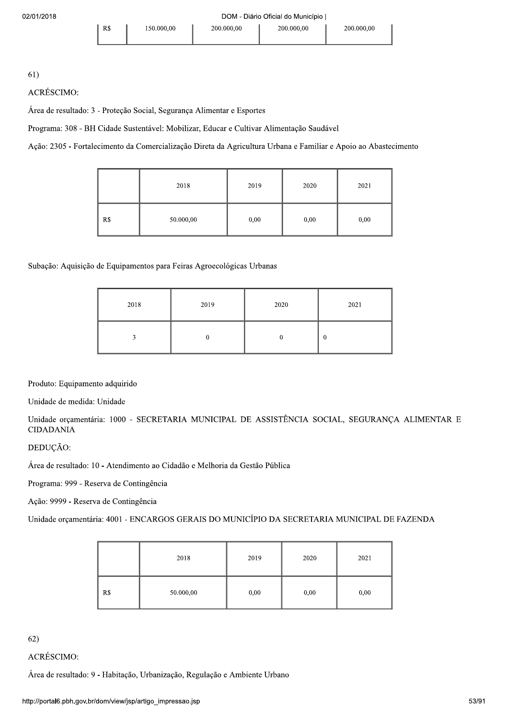# 61)<br>ACRÉSCIMO:

Área de resultado: 3 - Proteção Social, Segurança Alimentar e Esportes

Programa: 308 - BH Cidade Sustentável: Mobilizar, Educar e Cultivar Alimentação Saudável

Ação: 2305 - Fortalecimento da Comercialização Direta da Agricultura Urbana e Familiar e Apoio ao Abastecimento

|     | 2018      | 2019 | 2020 | 2021 |
|-----|-----------|------|------|------|
| R\$ | 50.000,00 | 0,00 | 0,00 | 0,00 |

# Subação: Aquisição de Equipamentos para Feiras Agroecológicas Urbanas

| 2018 | 2019 | 2020 | 2021 |
|------|------|------|------|
|      |      |      | 0    |

# Produto: Equipamento adquirido

Unidade de medida: Unidade

Unidade orçamentária: 1000 - SECRETARIA MUNICIPAL DE ASSISTÊNCIA SOCIAL, SEGURANÇA ALIMENTAR E CIDADANIA

# DEDUÇÃO:

Área de resultado: 10 - Atendimento ao Cidadão e Melhoria da Gestão Pública

Programa: 999 - Reserva de Contingência

Ação: 9999 - Reserva de Contingência

Unidade orçamentária: 4001 - ENCARGOS GERAIS DO MUNICÍPIO DA SECRETARIA MUNICIPAL DE FAZENDA

|     | 2018      | 2019 | 2020 | 2021 |
|-----|-----------|------|------|------|
| R\$ | 50.000,00 | 0,00 | 0,00 | 0,00 |

# 62)<br>ACRÉSCIMO:

ização, Regulação e Ambiente Urbano<br>mpressao.jsp<br>53/91 Área de resultado: 9 - Habitação, Urbanização, Regulação e Ambiente Urbano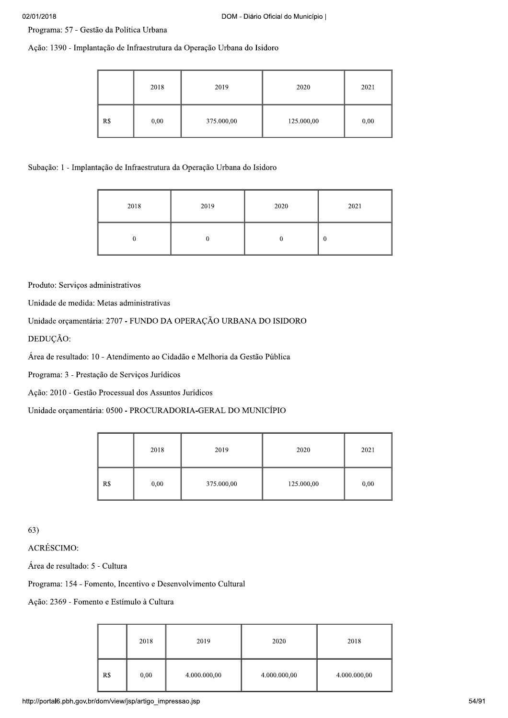Programa: 57 - Gestão da Política Urbana

Ação: 1390 - Implantação de Infraestrutura da Operação Urbana do Isidoro

|     | 2018 | 2019       | 2020       | 2021 |
|-----|------|------------|------------|------|
| R\$ | 0,00 | 375.000,00 | 125.000,00 | 0,00 |

Subação: 1 - Implantação de Infraestrutura da Operação Urbana do Isidoro

| 2018 | 2019 | 2020 | 2021 |
|------|------|------|------|
|      |      |      | v    |

Produto: Serviços administrativos

Unidade de medida: Metas administrativas

# Unidade orçamentária: 2707 - FUNDO DA OPERAÇÃO URBANA DO ISIDORO

DEDUÇÃO:

Área de resultado: 10 - Atendimento ao Cidadão e Melhoria da Gestão Pública

Programa: 3 - Prestação de Serviços Jurídicos

Ação: 2010 - Gestão Processual dos Assuntos Jurídicos

Unidade orçamentária: 0500 - PROCURADORIA-GERAL DO MUNICÍPIO

|     | 2018 | 2019       | 2020       | 2021 |
|-----|------|------------|------------|------|
| R\$ | 0,00 | 375.000,00 | 125.000,00 | 0,00 |

63)<br>ACRÉSCIMO:

Área de resultado: 5 - Cultura

Programa: 154 - Fomento, Incentivo e Desenvolvimento Cultural

Ação: 2369 - Fomento e Estímulo à Cultura

| 2018<br>2018<br>2019<br>2020                                |
|-------------------------------------------------------------|
| R\$<br>0,00<br>4.000.000,00<br>4.000.000,00<br>4.000.000,00 |
| lom/view/jsp/artigo_impressao.jsp                           |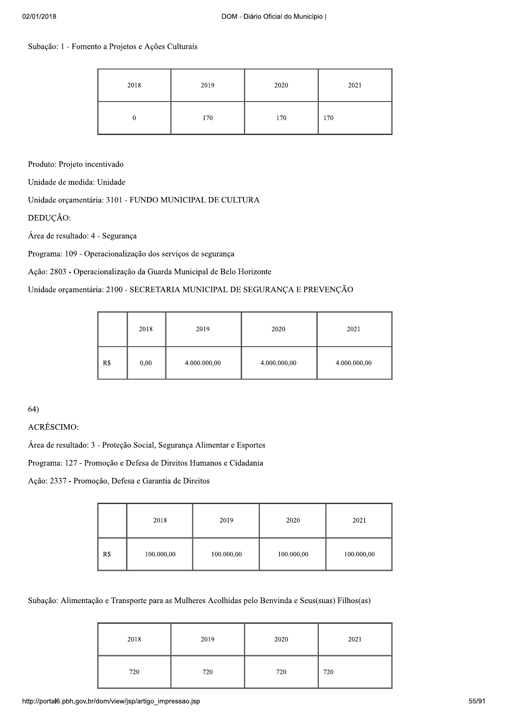# Subação: 1 - Fomento a Projetos e Ações Culturais

| 2018 | 2019 | 2020 | 2021 |
|------|------|------|------|
|      | 170  | 170  | 170  |

Produto: Projeto incentivado

Unidade de medida: Unidade

Unidade orçamentária: 3101 - FUNDO MUNICIPAL DE CULTURA

DEDUÇÃO:

Área de resultado: 4 - Segurança

Programa: 109 - Operacionalização dos serviços de segurança

Ação: 2803 - Operacionalização da Guarda Municipal de Belo Horizonte

# Unidade orçamentária: 2100 - SECRETARIA MUNICIPAL DE SEGURANÇA E PREVENÇÃO

|     | 2018 | 2019         | 2020         | 2021         |
|-----|------|--------------|--------------|--------------|
| R\$ | 0,00 | 4.000.000,00 | 4.000.000,00 | 4.000.000,00 |

 $64)$ 

# **ACRÉSCIMO:**

Área de resultado: 3 - Proteção Social, Segurança Alimentar e Esportes

Programa: 127 - Promoção e Defesa de Direitos Humanos e Cidadania

Ação: 2337 - Promoção, Defesa e Garantia de Direitos

|     | 2018       | 2019       | 2020       | 2021       |
|-----|------------|------------|------------|------------|
| R\$ | 100.000,00 | 100.000,00 | 100.000,00 | 100.000,00 |

Subação: Alimentação e Transporte para as Mulheres Acolhidas pelo Benvinda e Seus(suas) Filhos(as)

| 2018 | 2019 | 2020 | 2021 |
|------|------|------|------|
| 720  | 720  | 720  | 720  |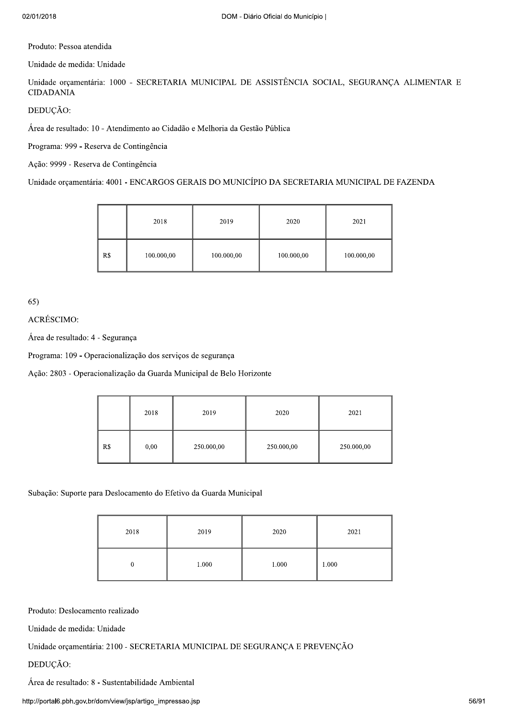Produto: Pessoa atendida

Unidade de medida: Unidade

Unidade orçamentária: 1000 - SECRETARIA MUNICIPAL DE ASSISTÊNCIA SOCIAL, SEGURANÇA ALIMENTAR E **CIDADANIA** 

DEDUCÃO:

Área de resultado: 10 - Atendimento ao Cidadão e Melhoria da Gestão Pública

Programa: 999 - Reserva de Contingência

Ação: 9999 - Reserva de Contingência

Unidade orçamentária: 4001 - ENCARGOS GERAIS DO MUNICÍPIO DA SECRETARIA MUNICIPAL DE FAZENDA

|     | 2018       | 2019       | 2020       | 2021       |
|-----|------------|------------|------------|------------|
| R\$ | 100.000,00 | 100.000,00 | 100.000,00 | 100.000,00 |

 $65)$ 

ACRÉSCIMO:

Área de resultado: 4 - Segurança

Programa: 109 - Operacionalização dos serviços de segurança

Ação: 2803 - Operacionalização da Guarda Municipal de Belo Horizonte

|     | 2018 | 2019       | 2020       | 2021       |
|-----|------|------------|------------|------------|
| R\$ | 0,00 | 250.000,00 | 250.000,00 | 250.000,00 |

Subação: Suporte para Deslocamento do Efetivo da Guarda Municipal

| 2018 | 2019  | 2020  | 2021  |
|------|-------|-------|-------|
| ν    | 1.000 | 1.000 | 1.000 |

Produto: Deslocamento realizado

Unidade de medida: Unidade

Unidade orçamentária: 2100 - SECRETARIA MUNICIPAL DE SEGURANÇA E PREVENÇÃO

DEDUÇÃO:

Área de resultado: 8 - Sustentabilidade Ambiental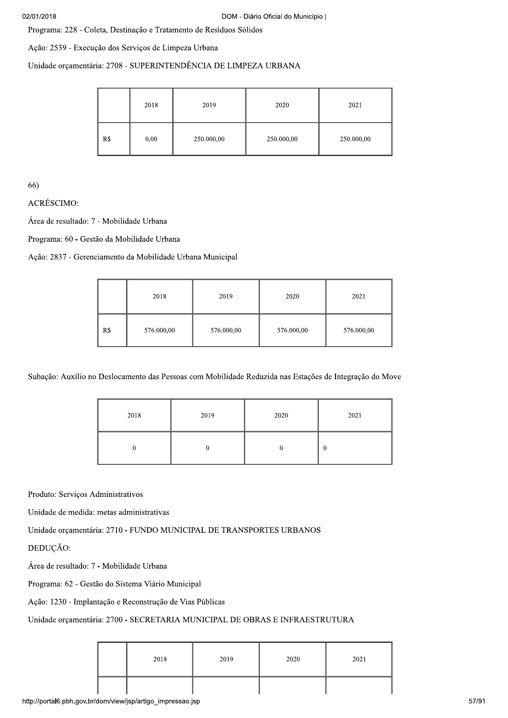Programa: 228 - Coleta, Destinação e Tratamento de Resíduos Sólidos

Ação: 2539 - Execução dos Serviços de Limpeza Urbana

Unidade orçamentária: 2708 - SUPERINTENDÊNCIA DE LIMPEZA URBANA

|     | 2018 | 2019       | 2020       | 2021       |
|-----|------|------------|------------|------------|
| R\$ | 0,00 | 250.000,00 | 250.000,00 | 250.000,00 |

66)

**ACRÉSCIMO:** 

Área de resultado: 7 - Mobilidade Urbana

Programa: 60 - Gestão da Mobilidade Urbana

Ação: 2837 - Gerenciamento da Mobilidade Urbana Municipal

|     | 2018       | 2019       | 2020       | 2021       |
|-----|------------|------------|------------|------------|
| R\$ | 576.000,00 | 576.000,00 | 576.000,00 | 576.000,00 |

Subação: Auxílio no Deslocamento das Pessoas com Mobilidade Reduzida nas Estações de Integração do Move

| 2018 | 2019 | 2020 | 2021     |
|------|------|------|----------|
|      |      |      | $\theta$ |

Produto: Serviços Administrativos

Unidade de medida: metas administrativas

Unidade orçamentária: 2710 - FUNDO MUNICIPAL DE TRANSPORTES URBANOS

DEDUCÃO:

Área de resultado: 7 - Mobilidade Urbana

Programa: 62 - Gestão do Sistema Viário Municipal

Ação: 1230 - Implantação e Reconstrução de Vias Públicas

#### Unidade orçamentária: 2700 - SECRETARIA MUNICIPAL DE OBRAS E INFRAESTRUTURA

| 2018 | 2019 | 2020 | 2021 |
|------|------|------|------|
|      |      |      |      |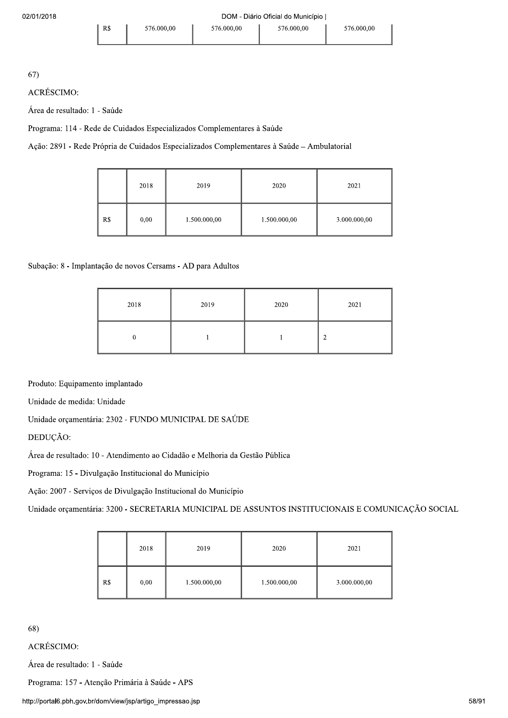$67)$ 

**ACRÉSCIMO:** 

Área de resultado: 1 - Saúde

Programa: 114 - Rede de Cuidados Especializados Complementares à Saúde

Ação: 2891 - Rede Própria de Cuidados Especializados Complementares à Saúde - Ambulatorial

|     | 2018 | 2019         | 2020         | 2021         |
|-----|------|--------------|--------------|--------------|
| R\$ | 0,00 | 1.500.000,00 | 1.500.000,00 | 3.000.000,00 |

# Subação: 8 - Implantação de novos Cersams - AD para Adultos

| 2018 | 2019 | 2020 | 2021 |
|------|------|------|------|
|      |      |      | ◠    |

Produto: Equipamento implantado

Unidade de medida: Unidade

Unidade orçamentária: 2302 - FUNDO MUNICIPAL DE SAÚDE

DEDUÇÃO:

Área de resultado: 10 - Atendimento ao Cidadão e Melhoria da Gestão Pública

Programa: 15 - Divulgação Institucional do Município

Ação: 2007 - Serviços de Divulgação Institucional do Município

Unidade orçamentária: 3200 - SECRETARIA MUNICIPAL DE ASSUNTOS INSTITUCIONAIS E COMUNICAÇÃO SOCIAL

|     | 2018 | 2019         | 2020         | 2021         |
|-----|------|--------------|--------------|--------------|
| R\$ | 0,00 | 1.500.000,00 | 1.500.000,00 | 3.000.000,00 |

68)

ACRÉSCIMO:

Área de resultado: 1 - Saúde

Programa: 157 - Atenção Primária à Saúde - APS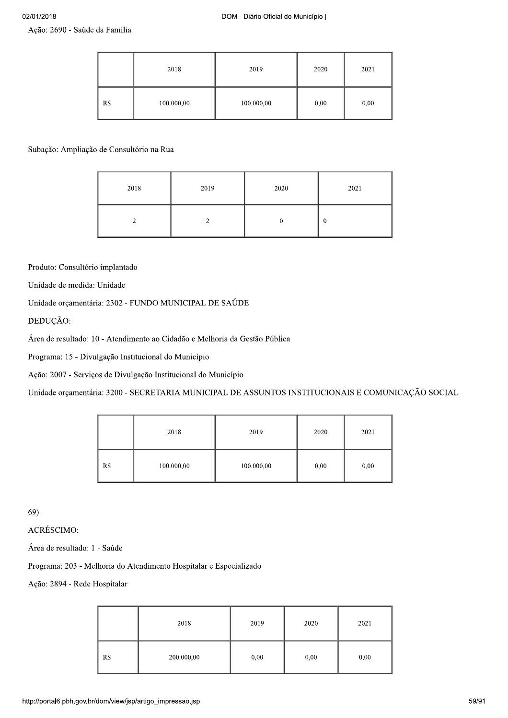Ação: 2690 - Saúde da Família

|     | 2018       | 2019       | 2020 | 2021 |
|-----|------------|------------|------|------|
| R\$ | 100.000,00 | 100.000,00 | 0,00 | 0,00 |

Subação: Ampliação de Consultório na Rua

| 2018 | 2019 | 2020 | 2021 |
|------|------|------|------|
|      |      |      | 0    |

Produto: Consultório implantado

Unidade de medida: Unidade

Unidade orçamentária: 2302 - FUNDO MUNICIPAL DE SAÚDE

DEDUÇÃO:

Área de resultado: 10 - Atendimento ao Cidadão e Melhoria da Gestão Pública

Programa: 15 - Divulgação Institucional do Município

Ação: 2007 - Serviços de Divulgação Institucional do Município

Unidade orçamentária: 3200 - SECRETARIA MUNICIPAL DE ASSUNTOS INSTITUCIONAIS E COMUNICAÇÃO SOCIAL

|     | 2018       | 2019       | 2020 | 2021 |
|-----|------------|------------|------|------|
| R\$ | 100.000,00 | 100.000,00 | 0,00 | 0,00 |

 $69)$ 

ACRÉSCIMO:

Área de resultado: 1 - Saúde

Programa: 203 - Melhoria do Atendimento Hospitalar e Especializado

Ação: 2894 - Rede Hospitalar

|     | 2018       | 2019 | 2020 | 2021 |
|-----|------------|------|------|------|
| R\$ | 200.000,00 | 0,00 | 0,00 | 0,00 |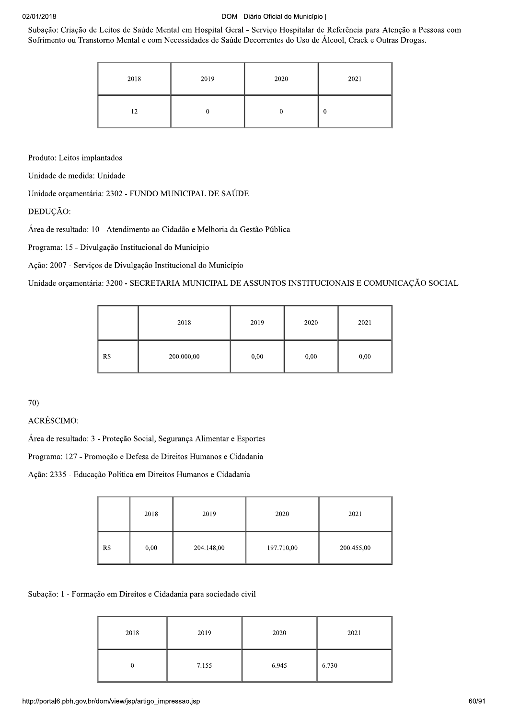Subação: Criação de Leitos de Saúde Mental em Hospital Geral - Serviço Hospitalar de Referência para Atenção a Pessoas com Sofrimento ou Transtorno Mental e com Necessidades de Saúde Decorrentes do Uso de Álcool, Crack e Outras Drogas.

| 2018 | 2019 | 2020 | 2021 |
|------|------|------|------|
| 12   |      |      | 0    |

Produto: Leitos implantados

Unidade de medida: Unidade

Unidade orcamentária: 2302 - FUNDO MUNICIPAL DE SAÚDE

DEDUÇÃO:

Área de resultado: 10 - Atendimento ao Cidadão e Melhoria da Gestão Pública

Programa: 15 - Divulgação Institucional do Município

Ação: 2007 - Serviços de Divulgação Institucional do Município

Unidade orçamentária: 3200 - SECRETARIA MUNICIPAL DE ASSUNTOS INSTITUCIONAIS E COMUNICAÇÃO SOCIAL

|     | 2018       | 2019 | 2020 | 2021 |
|-----|------------|------|------|------|
| R\$ | 200.000,00 | 0,00 | 0,00 | 0,00 |

70)

**ACRÉSCIMO:** 

Área de resultado: 3 - Proteção Social, Segurança Alimentar e Esportes

Programa: 127 - Promoção e Defesa de Direitos Humanos e Cidadania

Ação: 2335 - Educação Política em Direitos Humanos e Cidadania

|     | 2018 | 2019       | 2020       | 2021       |
|-----|------|------------|------------|------------|
| R\$ | 0,00 | 204.148,00 | 197.710,00 | 200.455,00 |

Subação: 1 - Formação em Direitos e Cidadania para sociedade civil

| 2018 | 2019  | 2020  | 2021  |
|------|-------|-------|-------|
|      | 7.155 | 6.945 | 6.730 |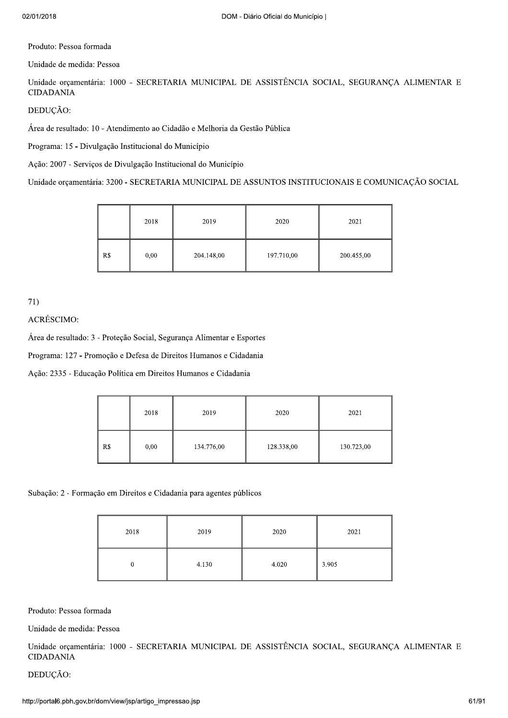Produto: Pessoa formada

Unidade de medida: Pessoa

Unidade orçamentária: 1000 - SECRETARIA MUNICIPAL DE ASSISTÊNCIA SOCIAL, SEGURANÇA ALIMENTAR E **CIDADANIA** 

DEDUÇÃO:

Área de resultado: 10 - Atendimento ao Cidadão e Melhoria da Gestão Pública

Programa: 15 - Divulgação Institucional do Município

Ação: 2007 - Serviços de Divulgação Institucional do Município

Unidade orçamentária: 3200 - SECRETARIA MUNICIPAL DE ASSUNTOS INSTITUCIONAIS E COMUNICAÇÃO SOCIAL

|     | 2018 | 2019       | 2020       | 2021       |
|-----|------|------------|------------|------------|
| R\$ | 0,00 | 204.148,00 | 197.710,00 | 200.455,00 |

 $71)$ 

ACRÉSCIMO:

Área de resultado: 3 - Proteção Social, Segurança Alimentar e Esportes

Programa: 127 - Promoção e Defesa de Direitos Humanos e Cidadania

Ação: 2335 - Educação Política em Direitos Humanos e Cidadania

|     | 2018 | 2019       | 2020       | 2021       |
|-----|------|------------|------------|------------|
| R\$ | 0,00 | 134.776,00 | 128.338,00 | 130.723,00 |

Subação: 2 - Formação em Direitos e Cidadania para agentes públicos

| 2018 | 2019  | 2020  | 2021  |
|------|-------|-------|-------|
| 0    | 4.130 | 4.020 | 3.905 |

Produto: Pessoa formada

Unidade de medida: Pessoa

Unidade orçamentária: 1000 - SECRETARIA MUNICIPAL DE ASSISTÊNCIA SOCIAL, SEGURANÇA ALIMENTAR E **CIDADANIA** 

DEDUÇÃO: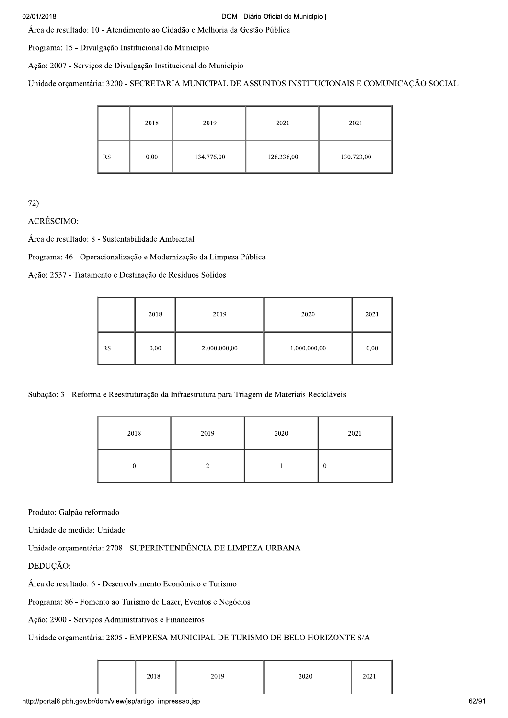DOM - Diário Oficial do<br>
Área de resultado: 10 - Atendimento ao Cidadão e Melhoria da Gestão Pública<br>
Programa: 15 - Divulgação Institucional do Município<br>
Ação: 2007 - Serviços de Divulgação Institucional do Município<br>
Un

Ação: 2007 - Serviços de Divulgação Institucional do Município

Unidade orçamentária: 3200 - SECRETARIA MUNICIPAL DE ASSUNTOS INSTITUCIONAIS E COMUNICAÇÃO SOCIAL

|     | 2018 | 2019       | 2020       | 2021       |
|-----|------|------------|------------|------------|
| R\$ | 0,00 | 134.776,00 | 128.338,00 | 130.723,00 |

|                                                                        | --- | $-$ , $-$ |                                                                    | ---------    |      |
|------------------------------------------------------------------------|-----|-----------|--------------------------------------------------------------------|--------------|------|
| 72)<br>ACRÉSCIMO:<br>Área de resultado: 8 - Sustentabilidade Ambiental |     |           | Programa: 46 - Operacionalização e Modernização da Limpeza Pública |              |      |
| Ação: 2537 - Tratamento e Destinação de Resíduos Sólidos               |     |           |                                                                    |              |      |
|                                                                        |     | 2018      | 2019                                                               | 2020         | 2021 |
|                                                                        | R\$ | 0,00      | 2.000.000,00                                                       | 1.000.000,00 | 0,00 |

Subação: 3 - Reforma e Reestruturação da Infraestrutura para Triagem de Materiais Recicláveis

| 2018 | 2019 | 2020 | 2021     |
|------|------|------|----------|
|      |      |      | $\bf{0}$ |

Produto: Galpão reformado

Unidade de medida: Unidade

Unidade orçamentária: 2708 - SUPERINTENDÊNCIA DE LIMPEZA URBANA

Produto: Galpão reformado<br>
Unidade de medida: Unidade<br>
Unidade orçamentária: 2708 - SUPERINTENDÊNCIA DE LIMPEZA URBANA<br>
DEDUÇÃO:<br>
Área de resultado: 6 - Desenvolvimento Econômico e Turismo<br>
Programa: 86 - Fomento ao Turism

| 2018 | 2019 | 2020 | 2021 |
|------|------|------|------|
|      |      |      |      |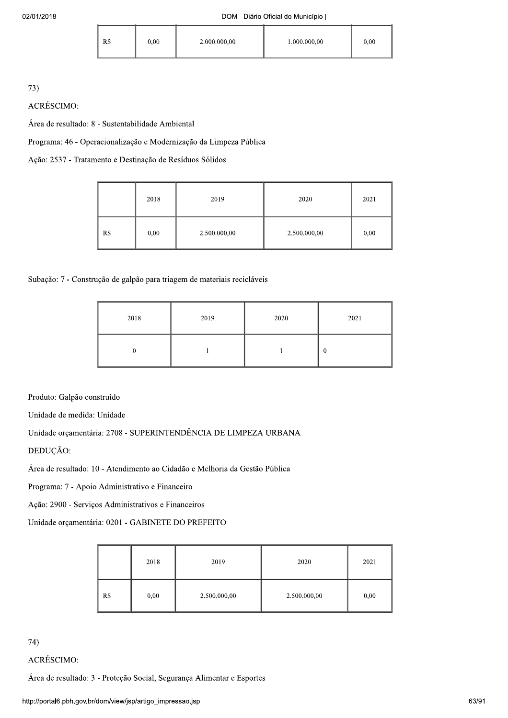| R <sub>s</sub> | 0.00 | 2.000.000,00 | 1.000.000,00 | 0.00 |
|----------------|------|--------------|--------------|------|
|                |      |              |              |      |

73)

ACRÉSCIMO:

Área de resultado: 8 - Sustentabilidade Ambiental

Programa: 46 - Operacionalização e Modernização da Limpeza Pública

Ação: 2537 - Tratamento e Destinação de Resíduos Sólidos

|     | 2018 | 2019         | 2020         | 2021 |
|-----|------|--------------|--------------|------|
| R\$ | 0,00 | 2.500.000,00 | 2.500.000,00 | 0,00 |

Subação: 7 - Construção de galpão para triagem de materiais recicláveis

| 2018 | 2019 | 2020 | 2021           |
|------|------|------|----------------|
|      |      |      | $\overline{0}$ |

Produto: Galpão construído

Unidade de medida: Unidade

Unidade orçamentária: 2708 - SUPERINTENDÊNCIA DE LIMPEZA URBANA

DEDUÇÃO:

Área de resultado: 10 - Atendimento ao Cidadão e Melhoria da Gestão Pública

Programa: 7 - Apoio Administrativo e Financeiro

Ação: 2900 - Serviços Administrativos e Financeiros

Unidade orçamentária: 0201 - GABINETE DO PREFEITO

|     | 2018 | 2019         | 2020         | 2021 |
|-----|------|--------------|--------------|------|
| R\$ | 0,00 | 2.500.000,00 | 2.500.000,00 | 0,00 |

 $74)$ 

**ACRÉSCIMO:** 

Área de resultado: 3 - Proteção Social, Segurança Alimentar e Esportes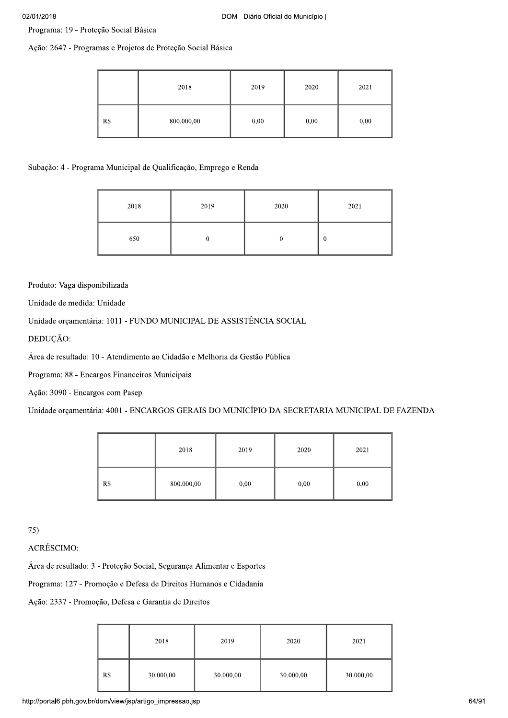Programa: 19 - Proteção Social Básica

Ação: 2647 - Programas e Projetos de Proteção Social Básica

|     | 2018       | 2019 | 2020 | 2021 |
|-----|------------|------|------|------|
| R\$ | 800.000,00 | 0,00 | 0,00 | 0,00 |

### Subação: 4 - Programa Municipal de Qualificação, Emprego e Renda

| 2018 | 2019 | 2020 | 2021     |
|------|------|------|----------|
| 650  |      |      | $\bf{0}$ |

Produto: Vaga disponibilizada

Unidade de medida: Unidade

Unidade orçamentária: 1011 - FUNDO MUNICIPAL DE ASSISTÊNCIA SOCIAL

DEDUÇÃO:

Área de resultado: 10 - Atendimento ao Cidadão e Melhoria da Gestão Pública

Programa: 88 - Encargos Financeiros Municipais

Ação: 3090 - Encargos com Pasep

Unidade orçamentária: 4001 - ENCARGOS GERAIS DO MUNICÍPIO DA SECRETARIA MUNICIPAL DE FAZENDA

|     | 2018       | 2019 | 2020 | 2021 |
|-----|------------|------|------|------|
| R\$ | 800.000,00 | 0,00 | 0,00 | 0,00 |

 $75)$ 

**ACRÉSCIMO:** 

Área de resultado: 3 - Proteção Social, Segurança Alimentar e Esportes

Programa: 127 - Promoção e Defesa de Direitos Humanos e Cidadania

Ação: 2337 - Promoção, Defesa e Garantia de Direitos

|     | 2018      | 2019      | 2020      | 2021      |
|-----|-----------|-----------|-----------|-----------|
| R\$ | 30.000,00 | 30.000,00 | 30.000,00 | 30.000,00 |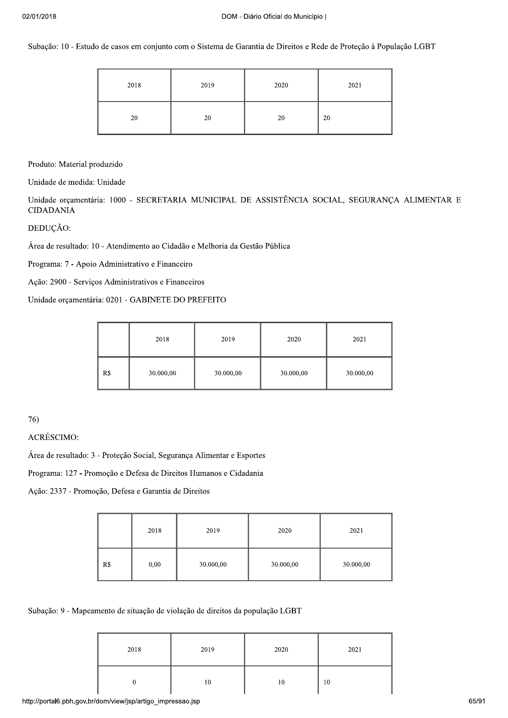Subação: 10 - Estudo de casos em conjunto com o Sistema de Garantia de Direitos e Rede de Proteção à População LGBT

| 2018 | 2019 | 2020 | 2021 |
|------|------|------|------|
| 20   | 20   | 20   | 20   |

Produto: Material produzido

Unidade de medida: Unidade

Unidade orçamentária: 1000 - SECRETARIA MUNICIPAL DE ASSISTÊNCIA SOCIAL, SEGURANÇA ALIMENTAR E **CIDADANIA** 

DEDUÇÃO:

Área de resultado: 10 - Atendimento ao Cidadão e Melhoria da Gestão Pública

Programa: 7 - Apoio Administrativo e Financeiro

Ação: 2900 - Serviços Administrativos e Financeiros

Unidade orçamentária: 0201 - GABINETE DO PREFEITO

|     | 2018      | 2019      | 2020      | 2021      |
|-----|-----------|-----------|-----------|-----------|
| R\$ | 30.000,00 | 30.000,00 | 30.000,00 | 30.000,00 |

76)

**ACRÉSCIMO:** 

Área de resultado: 3 - Proteção Social, Segurança Alimentar e Esportes

Programa: 127 - Promoção e Defesa de Direitos Humanos e Cidadania

Ação: 2337 - Promoção, Defesa e Garantia de Direitos

|     | 2018 | 2019      | 2020      | 2021      |
|-----|------|-----------|-----------|-----------|
| R\$ | 0,00 | 30.000,00 | 30.000,00 | 30.000,00 |

Subação: 9 - Mapeamento de situação de violação de direitos da população LGBT

| 2018 | 2019 | 2020 | 2021 |
|------|------|------|------|
|      | 10   | 10   | 10   |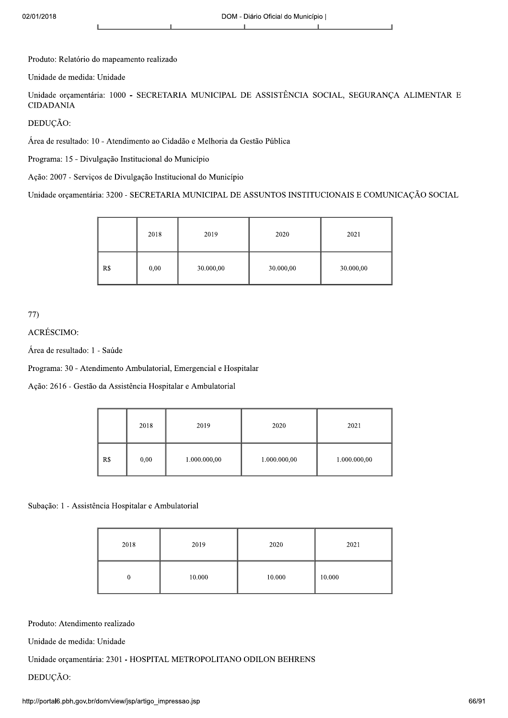02/01/2018<br>
1<br>
Produto: Relatório do mapeamento realizado<br>
1<br>
1<br>
Produto: Relatório do mapeamento realizado<br>
Unidade expansatária: 1000 - SECRETARIA MUNICIPAL DE ASSISTÊNCIA SOCIAL, SEGURANÇA ALIMENTAR E<br>
CIDADANIA<br>
DEDUÇÃ

| DEDUÇÃO:                                                                    |                                                      |      |           |                                                                                                   |           |  |
|-----------------------------------------------------------------------------|------------------------------------------------------|------|-----------|---------------------------------------------------------------------------------------------------|-----------|--|
| Área de resultado: 10 - Atendimento ao Cidadão e Melhoria da Gestão Pública |                                                      |      |           |                                                                                                   |           |  |
|                                                                             | Programa: 15 - Divulgação Institucional do Município |      |           |                                                                                                   |           |  |
| Ação: 2007 - Serviços de Divulgação Institucional do Município              |                                                      |      |           |                                                                                                   |           |  |
|                                                                             |                                                      |      |           | Unidade orçamentária: 3200 - SECRETARIA MUNICIPAL DE ASSUNTOS INSTITUCIONAIS E COMUNICAÇÃO SOCIAL |           |  |
|                                                                             |                                                      |      |           |                                                                                                   |           |  |
|                                                                             |                                                      | 2018 | 2019      | 2020                                                                                              | 2021      |  |
|                                                                             | R\$                                                  | 0.00 | 30.000,00 | 30.000,00                                                                                         | 30.000,00 |  |

| 77)                                                               |      |              |              |              |
|-------------------------------------------------------------------|------|--------------|--------------|--------------|
| ACRÉSCIMO:                                                        |      |              |              |              |
| Área de resultado: 1 - Saúde                                      |      |              |              |              |
| Programa: 30 - Atendimento Ambulatorial, Emergencial e Hospitalar |      |              |              |              |
| Ação: 2616 - Gestão da Assistência Hospitalar e Ambulatorial      |      |              |              |              |
|                                                                   |      |              |              |              |
|                                                                   | 2018 | 2019         | 2020         | 2021         |
| R <sub>s</sub>                                                    | 0,00 | 1.000.000,00 | 1.000.000,00 | 1.000.000,00 |

Subação: 1 - Assistência Hospitalar e Ambulatorial

|                                                                                                                                                                                                               | 2018         | 2019   | 2020   | 2021   |  |  |
|---------------------------------------------------------------------------------------------------------------------------------------------------------------------------------------------------------------|--------------|--------|--------|--------|--|--|
|                                                                                                                                                                                                               | $\mathbf{0}$ | 10.000 | 10.000 | 10.000 |  |  |
| Produto: Atendimento realizado<br>Unidade de medida: Unidade<br>Unidade orçamentária: 2301 - HOSPITAL METROPOLITANO ODILON BEHRENS<br>DEDUÇÃO:<br>http://portal6.pbh.gov.br/dom/view/jsp/artigo_impressao.jsp |              |        |        |        |  |  |
|                                                                                                                                                                                                               |              |        |        |        |  |  |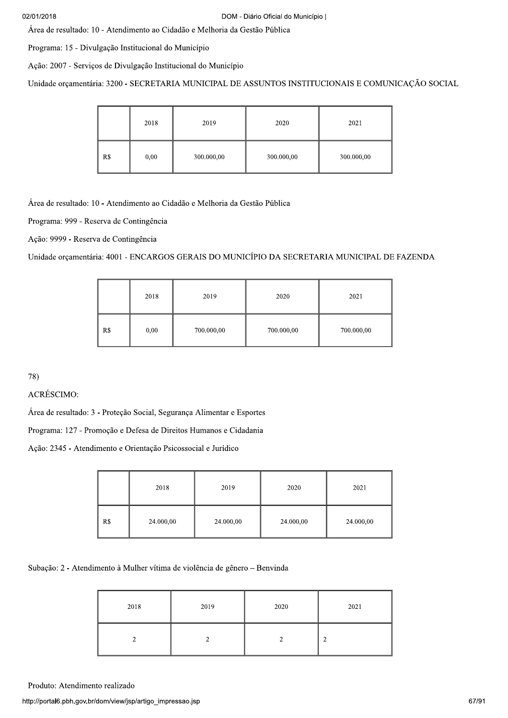Área de resultado: 10 - Atendimento ao Cidadão e Melhoria da Gestão Pública

Programa: 15 - Divulgação Institucional do Município

Ação: 2007 - Serviços de Divulgação Institucional do Município

Unidade orçamentária: 3200 - SECRETARIA MUNICIPAL DE ASSUNTOS INSTITUCIONAIS E COMUNICAÇÃO SOCIAL

|     | 2018 | 2019       | 2020       | 2021       |
|-----|------|------------|------------|------------|
| R\$ | 0,00 | 300.000,00 | 300.000,00 | 300.000,00 |

Área de resultado: 10 - Atendimento ao Cidadão e Melhoria da Gestão Pública

Programa: 999 - Reserva de Contingência

Ação: 9999 - Reserva de Contingência

Unidade orçamentária: 4001 - ENCARGOS GERAIS DO MUNICÍPIO DA SECRETARIA MUNICIPAL DE FAZENDA

|     | 2018 | 2019       | 2020       | 2021       |
|-----|------|------------|------------|------------|
| R\$ | 0,00 | 700.000,00 | 700.000,00 | 700.000,00 |

78)

### ACRÉSCIMO:

Área de resultado: 3 - Proteção Social, Segurança Alimentar e Esportes

Programa: 127 - Promoção e Defesa de Direitos Humanos e Cidadania

Ação: 2345 - Atendimento e Orientação Psicossocial e Jurídico

|     | 2018      | 2019      | 2020      | 2021      |
|-----|-----------|-----------|-----------|-----------|
| R\$ | 24.000,00 | 24.000,00 | 24.000,00 | 24.000,00 |

Subação: 2 - Atendimento à Mulher vítima de violência de gênero - Benvinda

| 2018 | 2019 | 2020 | 2021   |
|------|------|------|--------|
|      |      |      | ◠<br>∸ |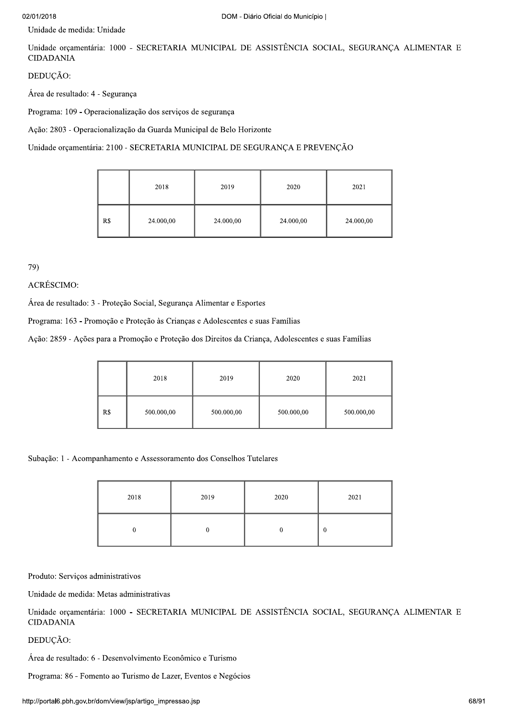# 02/01/20

| 02/01/2018                                                                                                         |  |      |      | DOM - Diário Oficial do Município |      |  |
|--------------------------------------------------------------------------------------------------------------------|--|------|------|-----------------------------------|------|--|
| Unidade de medida: Unidade                                                                                         |  |      |      |                                   |      |  |
| Unidade orçamentária: 1000 - SECRETARIA MUNICIPAL DE ASSISTÊNCIA SOCIAL, SEGURANÇA ALIMENTAR E<br><b>CIDADANIA</b> |  |      |      |                                   |      |  |
| DEDUÇÃO:                                                                                                           |  |      |      |                                   |      |  |
| Área de resultado: 4 - Segurança                                                                                   |  |      |      |                                   |      |  |
| Programa: 109 - Operacionalização dos serviços de segurança                                                        |  |      |      |                                   |      |  |
| Ação: 2803 - Operacionalização da Guarda Municipal de Belo Horizonte                                               |  |      |      |                                   |      |  |
| Unidade orçamentária: 2100 - SECRETARIA MUNICIPAL DE SEGURANÇA E PREVENÇÃO                                         |  |      |      |                                   |      |  |
|                                                                                                                    |  |      |      |                                   |      |  |
|                                                                                                                    |  | 2018 | 2019 | 2020                              | 2021 |  |
|                                                                                                                    |  |      |      |                                   |      |  |

# 79)<br>ACRÉSCIMO:

Área de resultado: 3 - Proteção Social, Segurança Alimentar e Esportes

Programa: 163 - Promoção e Proteção às Crianças e Adolescentes e suas Famílias

Ação: 2859 - Ações para a Promoção e Proteção dos Direitos da Criança, Adolescentes e suas Famílias

|     | 2018       | 2019       | 2020       | 2021       |
|-----|------------|------------|------------|------------|
| R\$ | 500.000,00 | 500.000,00 | 500.000,00 | 500.000,00 |

Subação: 1 - Acompanhamento e Assessoramento dos Conselhos Tutelares

|                                                                | 2018                                                       | 2019         | 2020     | 2021                                                                                           |  |  |
|----------------------------------------------------------------|------------------------------------------------------------|--------------|----------|------------------------------------------------------------------------------------------------|--|--|
|                                                                | $\bf{0}$                                                   | $\mathbf{0}$ | $\bf{0}$ | $\bf{0}$                                                                                       |  |  |
| Produto: Serviços administrativos                              |                                                            |              |          |                                                                                                |  |  |
|                                                                | Unidade de medida: Metas administrativas                   |              |          |                                                                                                |  |  |
| <b>CIDADANIA</b>                                               |                                                            |              |          | Unidade orçamentária: 1000 - SECRETARIA MUNICIPAL DE ASSISTÊNCIA SOCIAL, SEGURANÇA ALIMENTAR E |  |  |
| DEDUÇÃO:                                                       |                                                            |              |          |                                                                                                |  |  |
|                                                                | Área de resultado: 6 - Desenvolvimento Econômico e Turismo |              |          |                                                                                                |  |  |
| Programa: 86 - Fomento ao Turismo de Lazer, Eventos e Negócios |                                                            |              |          |                                                                                                |  |  |
| http://portal6.pbh.gov.br/dom/view/jsp/artigo_impressao.jsp    |                                                            |              |          |                                                                                                |  |  |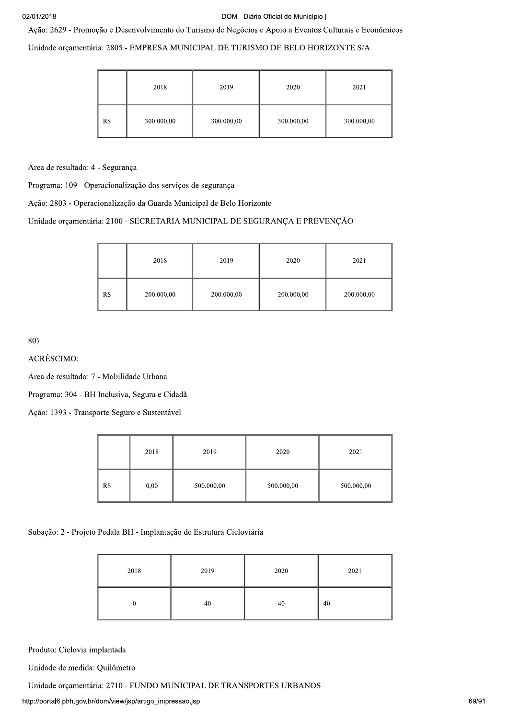#### Ação: 2629 - Promoção e Desenvolvimento do Turismo de Negócios e Apoio a Eventos Culturais e Econômicos

Unidade orcamentária: 2805 - EMPRESA MUNICIPAL DE TURISMO DE BELO HORIZONTE S/A

|     | 2018       | 2019       | 2020       | 2021       |
|-----|------------|------------|------------|------------|
| R\$ | 300.000,00 | 300.000,00 | 300.000,00 | 300.000,00 |

Área de resultado: 4 - Segurança

Programa: 109 - Operacionalização dos serviços de segurança

Ação: 2803 - Operacionalização da Guarda Municipal de Belo Horizonte

Unidade orçamentária: 2100 - SECRETARIA MUNICIPAL DE SEGURANÇA E PREVENÇÃO

|     | 2018       | 2019       | 2020       | 2021       |
|-----|------------|------------|------------|------------|
| R\$ | 200.000,00 | 200.000,00 | 200.000,00 | 200.000,00 |

80)

ACRÉSCIMO:

Área de resultado: 7 - Mobilidade Urbana

Programa: 304 - BH Inclusiva, Segura e Cidadã

Ação: 1393 - Transporte Seguro e Sustentável

|     | 2018 | 2019       | 2020       | 2021       |
|-----|------|------------|------------|------------|
| R\$ | 0,00 | 500.000,00 | 500.000,00 | 500.000,00 |

Subação: 2 - Projeto Pedala BH - Implantação de Estrutura Cicloviária

| 2018 | 2019 | 2020 | 2021 |
|------|------|------|------|
|      | 40   | 40   | 40   |

Produto: Ciclovia implantada

Unidade de medida: Quilômetro

Unidade orçamentária: 2710 - FUNDO MUNICIPAL DE TRANSPORTES URBANOS

http://portal6.pbh.gov.br/dom/view/jsp/artigo\_impressao.jsp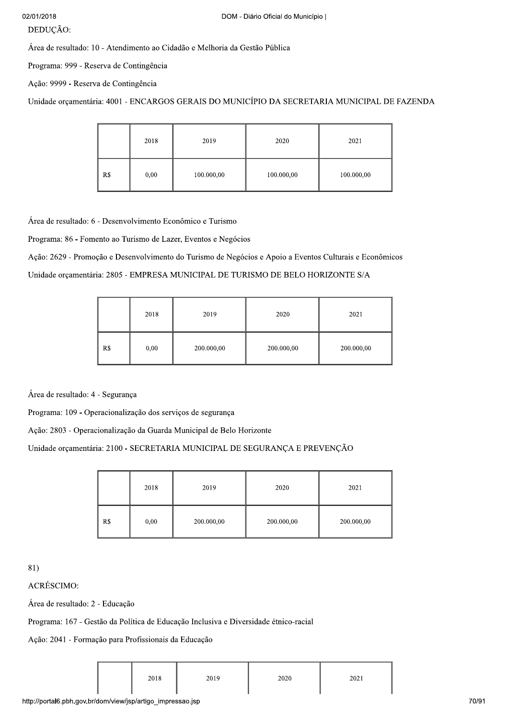### DEDUÇÃO:

Área de resultado: 10 - Atendimento ao Cidadão e Melhoria da Gestão Pública

Programa: 999 - Reserva de Contingência

Ação: 9999 - Reserva de Contingência

Unidade orçamentária: 4001 - ENCARGOS GERAIS DO MUNICÍPIO DA SECRETARIA MUNICIPAL DE FAZENDA

|     | 2018 | 2019       | 2020       | 2021       |
|-----|------|------------|------------|------------|
| R\$ | 0,00 | 100.000,00 | 100.000,00 | 100.000,00 |

Área de resultado: 6 - Desenvolvimento Econômico e Turismo

Programa: 86 - Fomento ao Turismo de Lazer, Eventos e Negócios

Ação: 2629 - Promoção e Desenvolvimento do Turismo de Negócios e Apoio a Eventos Culturais e Econômicos

Unidade orçamentária: 2805 - EMPRESA MUNICIPAL DE TURISMO DE BELO HORIZONTE S/A

|     | 2018 | 2019       | 2020       | 2021       |
|-----|------|------------|------------|------------|
| R\$ | 0,00 | 200.000,00 | 200.000,00 | 200.000,00 |

Área de resultado: 4 - Segurança

Programa: 109 - Operacionalização dos serviços de segurança

Ação: 2803 - Operacionalização da Guarda Municipal de Belo Horizonte

Unidade orçamentária: 2100 - SECRETARIA MUNICIPAL DE SEGURANÇA E PREVENÇÃO

|     | 2018 | 2019       | 2020       | 2021       |
|-----|------|------------|------------|------------|
| R\$ | 0,00 | 200.000,00 | 200.000,00 | 200.000,00 |

81)<br>ACRÉSCIMO:

Área de resultado: 2 - Educação

Programa: 167 - Gestão da Política de Educação Inclusiva e Diversidade étnico-racial

Ação: 2041 - Formação para Profissionais da Educação

| 2018 | 2019 | 2020 | 2021 |
|------|------|------|------|
|      |      |      |      |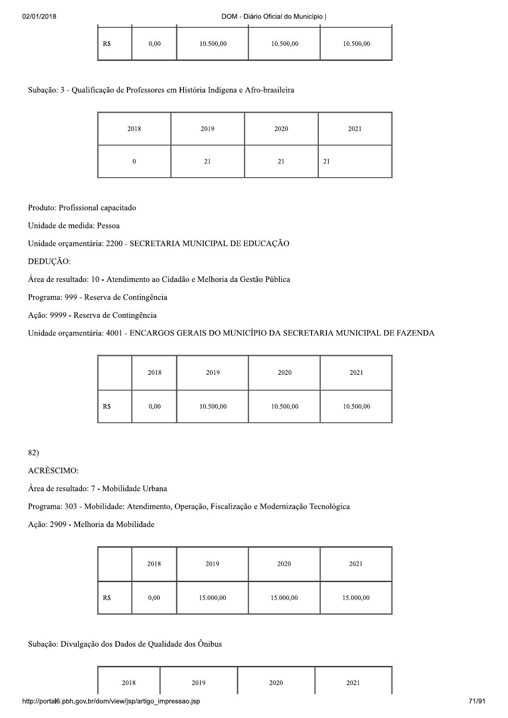| R\$ | 0,00 | 10.500,00 | 10.500,00 | 10.500,00 |
|-----|------|-----------|-----------|-----------|
|     |      |           |           |           |

# Subação: 3 - Qualificação de Professores em História Indígena e Afro-brasileira

| 2018 | 2019 | 2020 | 2021 |
|------|------|------|------|
|      | 21   | 21   | 21   |

Produto: Profissional capacitado

Unidade de medida: Pessoa

Unidade orçamentária: 2200 - SECRETARIA MUNICIPAL DE EDUCAÇÃO

DEDUÇÃO:

Área de resultado: 10 - Atendimento ao Cidadão e Melhoria da Gestão Pública

Programa: 999 - Reserva de Contingência

Ação: 9999 - Reserva de Contingência

Unidade orçamentária: 4001 - ENCARGOS GERAIS DO MUNICÍPIO DA SECRETARIA MUNICIPAL DE FAZENDA

|     | 2018 | 2019      | 2020      | 2021      |
|-----|------|-----------|-----------|-----------|
| R\$ | 0,00 | 10.500,00 | 10.500,00 | 10.500,00 |

82)<br>ACRÉSCIMO:

Área de resultado: 7 - Mobilidade Urbana

Programa: 303 - Mobilidade: Atendimento, Operação, Fiscalização e Modernização Tecnológica

Ação: 2909 - Melhoria da Mobilidade

|     | 2018 | 2019      | 2020      | 2021      |
|-----|------|-----------|-----------|-----------|
| R\$ | 0,00 | 15.000,00 | 15.000,00 | 15.000,00 |

Subação: Divulgação dos Dados de Qualidade dos Ônibus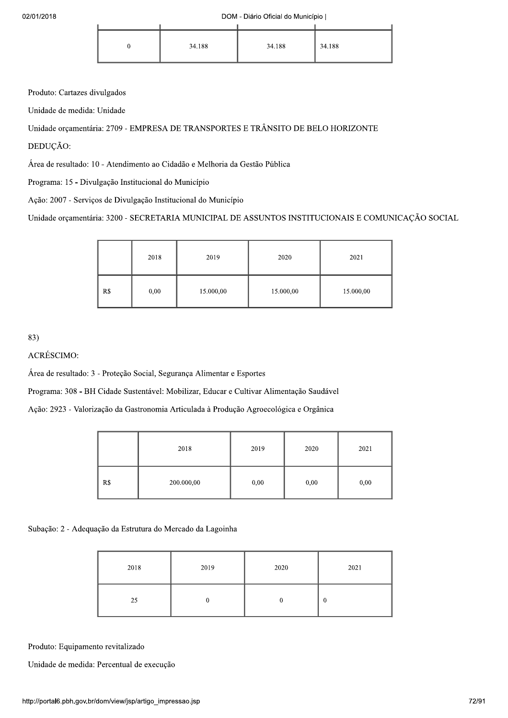|  | 34.188 | 34.188 | 34.188 |
|--|--------|--------|--------|

Produto: Cartazes divulgados

Unidade de medida: Unidade

Unidade orçamentária: 2709 - EMPRESA DE TRANSPORTES E TRÂNSITO DE BELO HORIZONTE

DEDUCÃO:

Área de resultado: 10 - Atendimento ao Cidadão e Melhoria da Gestão Pública

Programa: 15 - Divulgação Institucional do Município

Ação: 2007 - Serviços de Divulgação Institucional do Município

Unidade orçamentária: 3200 - SECRETARIA MUNICIPAL DE ASSUNTOS INSTITUCIONAIS E COMUNICAÇÃO SOCIAL

|     | 2018 | 2019      | 2020      | 2021      |
|-----|------|-----------|-----------|-----------|
| R\$ | 0,00 | 15.000,00 | 15.000,00 | 15.000,00 |

83)<br>ACRÉSCIMO:

Área de resultado: 3 - Proteção Social, Segurança Alimentar e Esportes

Programa: 308 - BH Cidade Sustentável: Mobilizar, Educar e Cultivar Alimentação Saudável

Ação: 2923 - Valorização da Gastronomia Articulada à Produção Agroecológica e Orgânica

|     | 2018       | 2019 | 2020 | 2021 |
|-----|------------|------|------|------|
| R\$ | 200.000,00 | 0,00 | 0,00 | 0,00 |

Subação: 2 - Adequação da Estrutura do Mercado da Lagoinha

| 2018 | 2019 | 2020 | 2021     |
|------|------|------|----------|
| 25   |      |      | $\bf{0}$ |

Produto: Equipamento revitalizado

Unidade de medida: Percentual de execução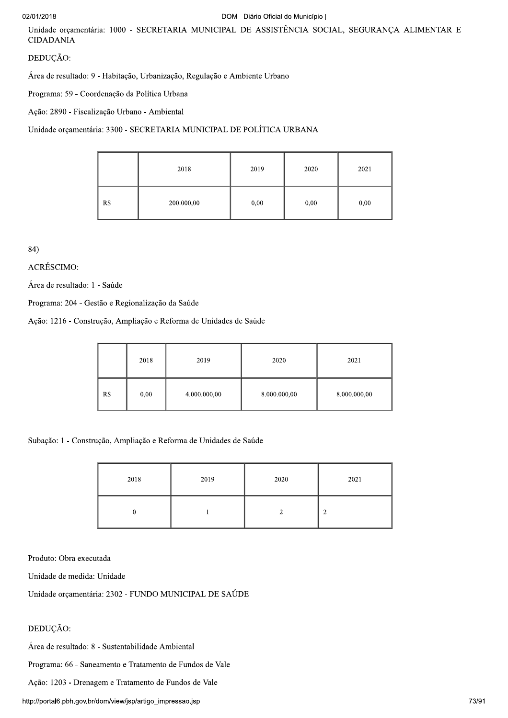#### 02/01/2018

## DOM - Diário Oficial do Município |

Unidade orçamentária: 1000 - SECRETARIA MUNICIPAL DE ASSISTÊNCIA SOCIAL, SEGURANÇA ALIMENTAR E **CIDADANIA** 

## DEDUÇÃO:

Área de resultado: 9 - Habitação, Urbanização, Regulação e Ambiente Urbano

Programa: 59 - Coordenação da Política Urbana

Ação: 2890 - Fiscalização Urbano - Ambiental

Unidade orçamentária: 3300 - SECRETARIA MUNICIPAL DE POLÍTICA URBANA

|     | 2018       | 2019 | 2020 | 2021 |
|-----|------------|------|------|------|
| R\$ | 200.000,00 | 0,00 | 0,00 | 0,00 |

84)

ACRÉSCIMO:

Área de resultado: 1 - Saúde

Programa: 204 - Gestão e Regionalização da Saúde

Ação: 1216 - Construção, Ampliação e Reforma de Unidades de Saúde

|     | 2018 | 2019         | 2020         | 2021         |
|-----|------|--------------|--------------|--------------|
| R\$ | 0,00 | 4.000.000,00 | 8.000.000,00 | 8.000.000,00 |

Subação: 1 - Construção, Ampliação e Reforma de Unidades de Saúde

| 2018 | 2019 | 2020 | 2021   |
|------|------|------|--------|
|      |      |      | ◠<br>∠ |

Produto: Obra executada

Unidade de medida: Unidade

Unidade orçamentária: 2302 - FUNDO MUNICIPAL DE SAÚDE

# DEDUÇÃO:

Área de resultado: 8 - Sustentabilidade Ambiental

Programa: 66 - Saneamento e Tratamento de Fundos de Vale

Ação: 1203 - Drenagem e Tratamento de Fundos de Vale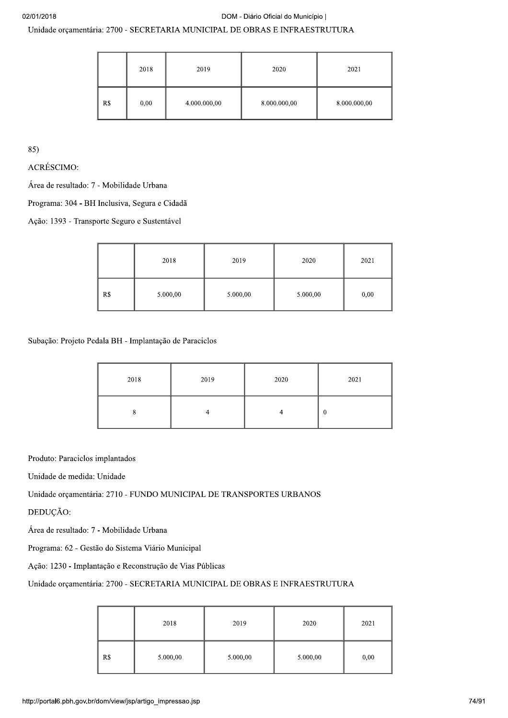# Unidade orçamentária: 2700 - SECRETARIA MUNICIPAL DE OBRAS E INFRAESTRUTURA

|     | 2018 | 2019         | 2020         | 2021         |
|-----|------|--------------|--------------|--------------|
| R\$ | 0,00 | 4.000.000,00 | 8.000.000,00 | 8.000.000,00 |

85)

ACRÉSCIMO:

Área de resultado: 7 - Mobilidade Urbana

Programa: 304 - BH Inclusiva, Segura e Cidadã

Ação: 1393 - Transporte Seguro e Sustentável

|     | 2018     | 2019     | 2020     | 2021 |
|-----|----------|----------|----------|------|
| R\$ | 5.000,00 | 5.000,00 | 5.000,00 | 0,00 |

Subação: Projeto Pedala BH - Implantação de Paraciclos

| 2018 | 2019 | 2020 | 2021 |
|------|------|------|------|
|      |      |      | 0    |

Produto: Paraciclos implantados

Unidade de medida: Unidade

Unidade orçamentária: 2710 - FUNDO MUNICIPAL DE TRANSPORTES URBANOS

DEDUÇÃO:

Área de resultado: 7 - Mobilidade Urbana

Programa: 62 - Gestão do Sistema Viário Municipal

Ação: 1230 - Implantação e Reconstrução de Vias Públicas

# Unidade orcamentária: 2700 - SECRETARIA MUNICIPAL DE OBRAS E INFRAESTRUTURA

|     | 2018     | 2019     | 2020     | 2021 |
|-----|----------|----------|----------|------|
| R\$ | 5.000,00 | 5.000,00 | 5.000,00 | 0,00 |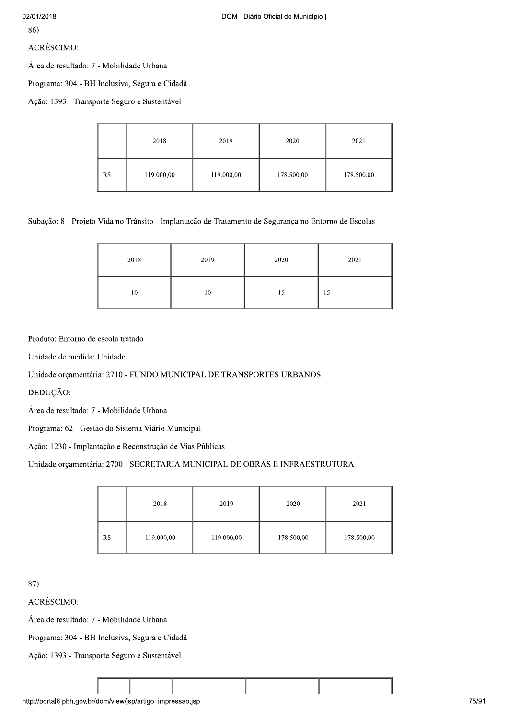ACRÉSCIMO:

Área de resultado: 7 - Mobilidade Urbana

Programa: 304 - BH Inclusiva, Segura e Cidadã

Ação: 1393 - Transporte Seguro e Sustentável

|     | 2018       | 2019       | 2020       | 2021       |
|-----|------------|------------|------------|------------|
| R\$ | 119.000,00 | 119.000,00 | 178.500,00 | 178.500,00 |

Subação: 8 - Projeto Vida no Trânsito - Implantação de Tratamento de Segurança no Entorno de Escolas

| 2018 | 2019 | 2020 | 2021 |
|------|------|------|------|
| 10   | 10   | 15   | 15   |

Produto: Entorno de escola tratado

Unidade de medida: Unidade

Unidade orçamentária: 2710 - FUNDO MUNICIPAL DE TRANSPORTES URBANOS

DEDUÇÃO:

Área de resultado: 7 - Mobilidade Urbana

Programa: 62 - Gestão do Sistema Viário Municipal

Ação: 1230 - Implantação e Reconstrução de Vias Públicas

Unidade orçamentária: 2700 - SECRETARIA MUNICIPAL DE OBRAS E INFRAESTRUTURA

|     | 2018       | 2019       | 2020       | 2021       |
|-----|------------|------------|------------|------------|
| R\$ | 119.000,00 | 119.000,00 | 178.500,00 | 178.500,00 |

87)

**ACRÉSCIMO:** 

Área de resultado: 7 - Mobilidade Urbana

Programa: 304 - BH Inclusiva, Segura e Cidadã

Ação: 1393 - Transporte Seguro e Sustentável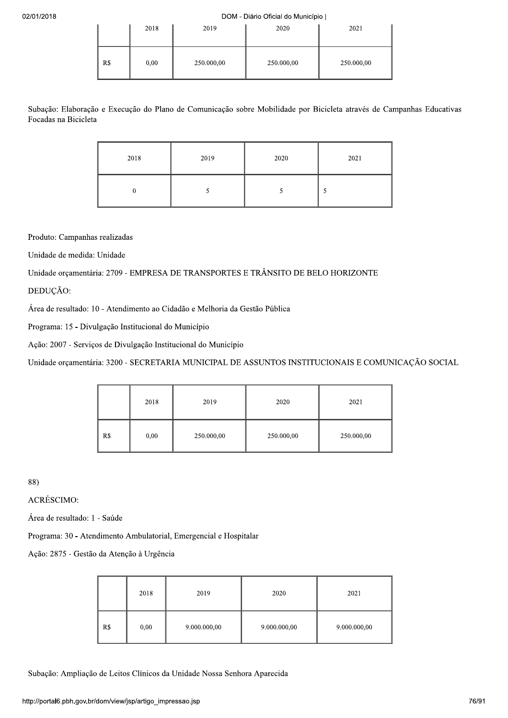|     | 2018 | 2019       | 2020       | 2021       |
|-----|------|------------|------------|------------|
| R\$ | 0,00 | 250.000,00 | 250.000,00 | 250.000,00 |

Subação: Elaboração e Execução do Plano de Comunicação sobre Mobilidade por Bicicleta através de Campanhas Educativas Focadas na Bicicleta

| 2018 | 2019 | 2020 | 2021 |
|------|------|------|------|
|      |      |      |      |

Produto: Campanhas realizadas

Unidade de medida: Unidade

Unidade orçamentária: 2709 - EMPRESA DE TRANSPORTES E TRÂNSITO DE BELO HORIZONTE

DEDUÇÃO:

Área de resultado: 10 - Atendimento ao Cidadão e Melhoria da Gestão Pública

Programa: 15 - Divulgação Institucional do Município

Ação: 2007 - Serviços de Divulgação Institucional do Município

Unidade orçamentária: 3200 - SECRETARIA MUNICIPAL DE ASSUNTOS INSTITUCIONAIS E COMUNICAÇÃO SOCIAL

|     | 2018 | 2019       | 2020       | 2021       |
|-----|------|------------|------------|------------|
| R\$ | 0,00 | 250.000,00 | 250.000,00 | 250.000,00 |

88)<br>ACRÉSCIMO:

Área de resultado: 1 - Saúde

Programa: 30 - Atendimento Ambulatorial, Emergencial e Hospitalar

Ação: 2875 - Gestão da Atenção à Urgência

|     | 2018 | 2019         | 2020         | 2021         |
|-----|------|--------------|--------------|--------------|
| R\$ | 0,00 | 9.000.000,00 | 9.000.000,00 | 9.000.000,00 |

Subação: Ampliação de Leitos Clínicos da Unidade Nossa Senhora Aparecida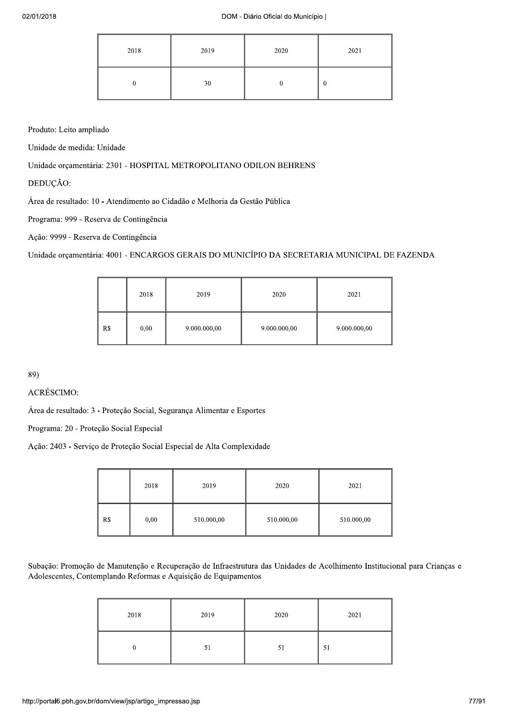| 2018 | 2019 | 2020 | 2021 |
|------|------|------|------|
|      | 30   |      | 0    |

Produto: Leito ampliado

Unidade de medida: Unidade

Unidade orçamentária: 2301 - HOSPITAL METROPOLITANO ODILON BEHRENS

DEDUCÃO:

Área de resultado: 10 - Atendimento ao Cidadão e Melhoria da Gestão Pública

Programa: 999 - Reserva de Contingência

Ação: 9999 - Reserva de Contingência

Unidade orçamentária: 4001 - ENCARGOS GERAIS DO MUNICÍPIO DA SECRETARIA MUNICIPAL DE FAZENDA

|     | 2018 | 2019         | 2020         | 2021         |
|-----|------|--------------|--------------|--------------|
| R\$ | 0,00 | 9.000.000,00 | 9.000.000,00 | 9.000.000,00 |

89)<br>ACRÉSCIMO:

Área de resultado: 3 - Proteção Social, Segurança Alimentar e Esportes

Programa: 20 - Proteção Social Especial

Ação: 2403 - Serviço de Proteção Social Especial de Alta Complexidade

|     | 2018 | 2019       | 2020       | 2021       |
|-----|------|------------|------------|------------|
| R\$ | 0,00 | 510.000,00 | 510.000,00 | 510.000,00 |

Subação: Promoção de Manutenção e Recuperação de Infraestrutura das Unidades de Acolhimento Institucional para Crianças e Adolescentes, Contemplando Reformas e Aquisição de Equipamentos

| 2018 | 2019 | 2020 | 2021 |
|------|------|------|------|
|      | 51   | 51   | 51   |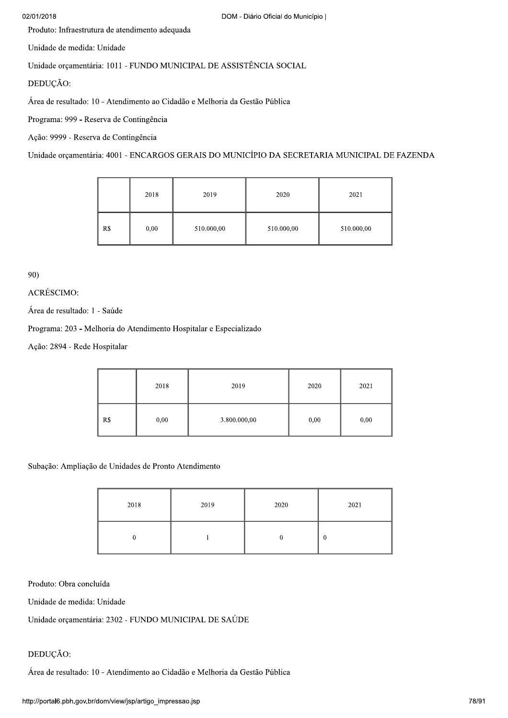#### 02/01/2018

Produto: Infraestrutura de atendimento adequada

Unidade de medida: Unidade

Unidade orçamentária: 1011 - FUNDO MUNICIPAL DE ASSISTÊNCIA SOCIAL

DEDUÇÃO:

Área de resultado: 10 - Atendimento ao Cidadão e Melhoria da Gestão Pública

Programa: 999 - Reserva de Contingência

Ação: 9999 - Reserva de Contingência

Unidade orçamentária: 4001 - ENCARGOS GERAIS DO MUNICÍPIO DA SECRETARIA MUNICIPAL DE FAZENDA

|     | 2018 | 2019       | 2020       | 2021       |
|-----|------|------------|------------|------------|
| R\$ | 0,00 | 510.000,00 | 510.000,00 | 510.000,00 |

90)

# ACRÉSCIMO:

Área de resultado: 1 - Saúde

Programa: 203 - Melhoria do Atendimento Hospitalar e Especializado

Ação: 2894 - Rede Hospitalar

|     | 2018 | 2019         | 2020 | 2021 |
|-----|------|--------------|------|------|
| R\$ | 0,00 | 3.800.000,00 | 0,00 | 0,00 |

Subação: Ampliação de Unidades de Pronto Atendimento

| 2018 | 2019 | 2020 | 2021             |
|------|------|------|------------------|
|      |      |      | $\boldsymbol{0}$ |

Produto: Obra concluída

Unidade de medida: Unidade

Unidade orçamentária: 2302 - FUNDO MUNICIPAL DE SAÚDE

# DEDUÇÃO:

Área de resultado: 10 - Atendimento ao Cidadão e Melhoria da Gestão Pública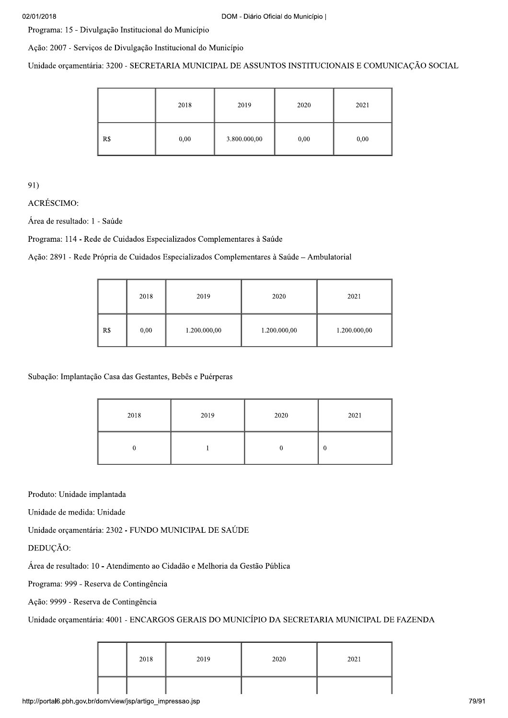Programa: 15 - Divulgação Institucional do Município

Ação: 2007 - Serviços de Divulgação Institucional do Município

Unidade orçamentária: 3200 - SECRETARIA MUNICIPAL DE ASSUNTOS INSTITUCIONAIS E COMUNICAÇÃO SOCIAL

|     | 2018 | 2019         | 2020 | 2021 |
|-----|------|--------------|------|------|
| R\$ | 0,00 | 3.800.000,00 | 0,00 | 0,00 |

91)

**ACRÉSCIMO:** 

Área de resultado: 1 - Saúde

Programa: 114 - Rede de Cuidados Especializados Complementares à Saúde

Ação: 2891 - Rede Própria de Cuidados Especializados Complementares à Saúde - Ambulatorial

|     | 2018 | 2019         | 2020         | 2021         |
|-----|------|--------------|--------------|--------------|
| R\$ | 0,00 | 1.200.000,00 | 1.200.000,00 | 1.200.000,00 |

Subação: Implantação Casa das Gestantes, Bebês e Puérperas

| 2018 | 2019 | 2020 | 2021 |
|------|------|------|------|
|      |      |      | 0    |

Produto: Unidade implantada

Unidade de medida: Unidade

Unidade orçamentária: 2302 - FUNDO MUNICIPAL DE SAÚDE

DEDUCÃO:

Área de resultado: 10 - Atendimento ao Cidadão e Melhoria da Gestão Pública

Programa: 999 - Reserva de Contingência

Ação: 9999 - Reserva de Contingência

Unidade orçamentária: 4001 - ENCARGOS GERAIS DO MUNICÍPIO DA SECRETARIA MUNICIPAL DE FAZENDA

| 2018 | 2019 | 2020 | 2021 |
|------|------|------|------|
|      |      |      |      |

http://portal6.pbh.gov.br/dom/view/jsp/artigo\_impressao.jsp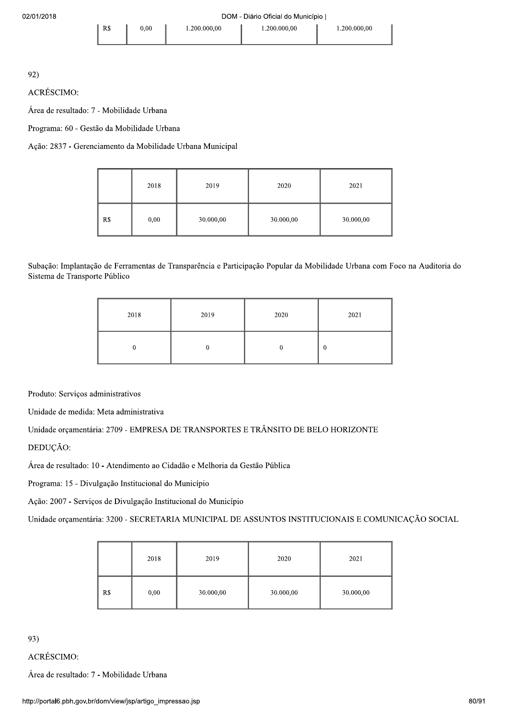**ACRÉSCIMO:** 

Área de resultado: 7 - Mobilidade Urbana

Programa: 60 - Gestão da Mobilidade Urbana

 $R$$ 

Ação: 2837 - Gerenciamento da Mobilidade Urbana Municipal

|     | 2018 | 2019      | 2020      | 2021      |
|-----|------|-----------|-----------|-----------|
| R\$ | 0,00 | 30.000,00 | 30.000,00 | 30.000,00 |

Subação: Implantação de Ferramentas de Transparência e Participação Popular da Mobilidade Urbana com Foco na Auditoria do Sistema de Transporte Público

| 2018 | 2019 | 2020 | 2021 |
|------|------|------|------|
|      |      |      | 0    |

Produto: Serviços administrativos

Unidade de medida: Meta administrativa

Unidade orçamentária: 2709 - EMPRESA DE TRANSPORTES E TRÂNSITO DE BELO HORIZONTE

DEDUÇÃO:

Área de resultado: 10 - Atendimento ao Cidadão e Melhoria da Gestão Pública

Programa: 15 - Divulgação Institucional do Município

Ação: 2007 - Serviços de Divulgação Institucional do Município

Unidade orçamentária: 3200 - SECRETARIA MUNICIPAL DE ASSUNTOS INSTITUCIONAIS E COMUNICAÇÃO SOCIAL

|     | 2018 | 2019      | 2020      | 2021      |
|-----|------|-----------|-----------|-----------|
| R\$ | 0,00 | 30.000,00 | 30.000,00 | 30.000,00 |

93)

ACRÉSCIMO:

Área de resultado: 7 - Mobilidade Urbana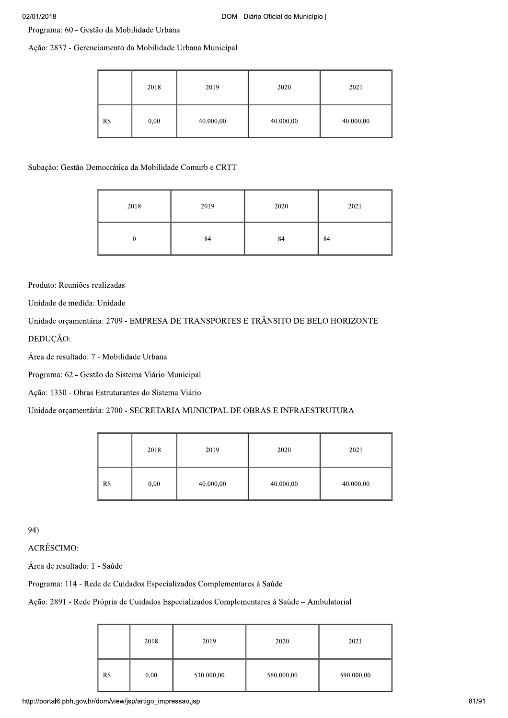Programa: 60 - Gestão da Mobilidade Urbana

Ação: 2837 - Gerenciamento da Mobilidade Urbana Municipal

|     | 2018 | 2019      | 2020      | 2021      |
|-----|------|-----------|-----------|-----------|
| R\$ | 0,00 | 40.000,00 | 40.000,00 | 40.000,00 |

# Subação: Gestão Democrática da Mobilidade Comurb e CRTT

| 2018 | 2019 | 2020 | 2021 |
|------|------|------|------|
| ν    | 84   | 84   | 84   |

Produto: Reuniões realizadas

Unidade de medida: Unidade

Unidade orçamentária: 2709 - EMPRESA DE TRANSPORTES E TRÂNSITO DE BELO HORIZONTE DEDUÇÃO:

Área de resultado: 7 - Mobilidade Urbana

Programa: 62 - Gestão do Sistema Viário Municipal

Ação: 1330 - Obras Estruturantes do Sistema Viário

# Unidade orçamentária: 2700 - SECRETARIA MUNICIPAL DE OBRAS E INFRAESTRUTURA

|     | 2018 | 2019      | 2020      | 2021      |
|-----|------|-----------|-----------|-----------|
| R\$ | 0,00 | 40.000,00 | 40.000,00 | 40.000,00 |

94)

**ACRÉSCIMO:** 

Área de resultado: 1 - Saúde

Programa: 114 - Rede de Cuidados Especializados Complementares à Saúde

Ação: 2891 - Rede Própria de Cuidados Especializados Complementares à Saúde - Ambulatorial

|     | 2018 | 2019       | 2020       | 2021       |
|-----|------|------------|------------|------------|
| R\$ | 0,00 | 530.000,00 | 560.000,00 | 590.000,00 |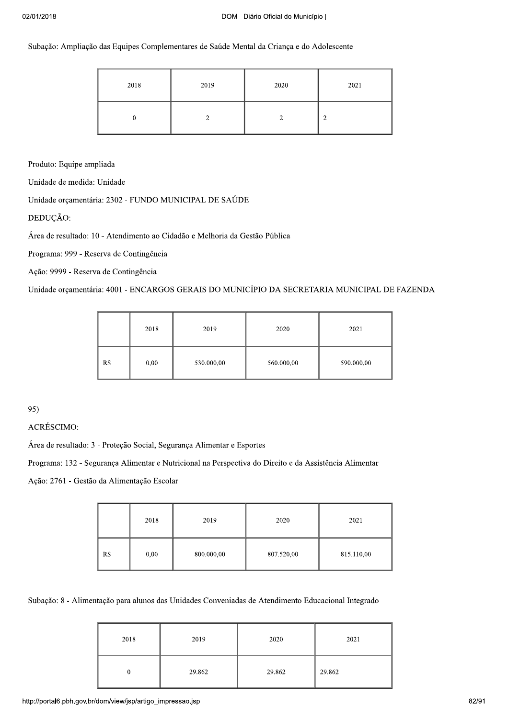Subação: Ampliação das Equipes Complementares de Saúde Mental da Criança e do Adolescente

| 2018 | 2019 | 2020 | 2021 |
|------|------|------|------|
|      |      |      | ◠    |

Produto: Equipe ampliada

Unidade de medida: Unidade

Unidade orçamentária: 2302 - FUNDO MUNICIPAL DE SAÚDE

DEDUÇÃO:

Área de resultado: 10 - Atendimento ao Cidadão e Melhoria da Gestão Pública

Programa: 999 - Reserva de Contingência

Ação: 9999 - Reserva de Contingência

Unidade orçamentária: 4001 - ENCARGOS GERAIS DO MUNICÍPIO DA SECRETARIA MUNICIPAL DE FAZENDA

|     | 2018 | 2019       | 2020       | 2021       |
|-----|------|------------|------------|------------|
| R\$ | 0,00 | 530.000,00 | 560.000,00 | 590.000,00 |

95)

ACRÉSCIMO:

Área de resultado: 3 - Proteção Social, Segurança Alimentar e Esportes

Programa: 132 - Segurança Alimentar e Nutricional na Perspectiva do Direito e da Assistência Alimentar

Ação: 2761 - Gestão da Alimentação Escolar

|     | 2018 | 2019       | 2020       | 2021       |
|-----|------|------------|------------|------------|
| R\$ | 0,00 | 800.000,00 | 807.520,00 | 815.110,00 |

Subação: 8 - Alimentação para alunos das Unidades Conveniadas de Atendimento Educacional Integrado

| 2018 | 2019   | 2020   | 2021   |
|------|--------|--------|--------|
| 0    | 29.862 | 29.862 | 29.862 |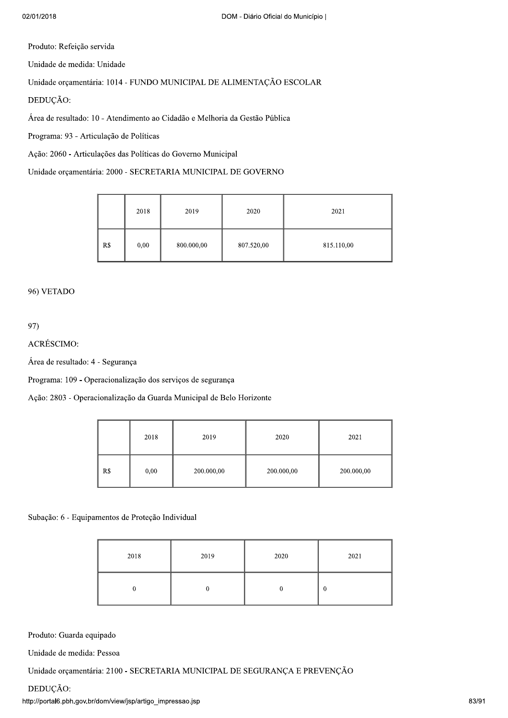Produto: Refeição servida

Unidade de medida: Unidade

Unidade orçamentária: 1014 - FUNDO MUNICIPAL DE ALIMENTAÇÃO ESCOLAR

DEDUÇÃO:

Área de resultado: 10 - Atendimento ao Cidadão e Melhoria da Gestão Pública

Programa: 93 - Articulação de Políticas

Ação: 2060 - Articulações das Políticas do Governo Municipal

Unidade orçamentária: 2000 - SECRETARIA MUNICIPAL DE GOVERNO

|     | 2018 | 2019       | 2020       | 2021       |
|-----|------|------------|------------|------------|
| R\$ | 0,00 | 800.000,00 | 807.520,00 | 815.110,00 |

## 96) VETADO

97)

ACRÉSCIMO:

Área de resultado: 4 - Segurança

Programa: 109 - Operacionalização dos serviços de segurança

Ação: 2803 - Operacionalização da Guarda Municipal de Belo Horizonte

|     | 2018 | 2019       | 2020       | 2021       |
|-----|------|------------|------------|------------|
| R\$ | 0,00 | 200.000,00 | 200.000,00 | 200.000,00 |

Subação: 6 - Equipamentos de Proteção Individual

| 2018 | 2019 | 2020 | 2021     |
|------|------|------|----------|
|      |      |      | $\theta$ |

Produto: Guarda equipado

Unidade de medida: Pessoa

Unidade orçamentária: 2100 - SECRETARIA MUNICIPAL DE SEGURANÇA E PREVENÇÃO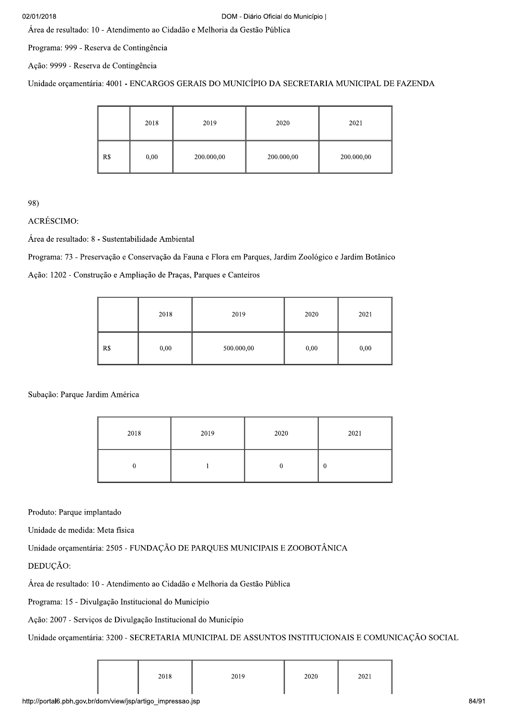### 02/01/2018

Área de resultado: 10 - Atendimento ao Cidadão e Melhoria da Gestão Pública

Programa: 999 - Reserva de Contingência

Ação: 9999 - Reserva de Contingência

Unidade orçamentária: 4001 - ENCARGOS GERAIS DO MUNICÍPIO DA SECRETARIA MUNICIPAL DE FAZENDA

|     | 2018 | 2019       | 2020       | 2021       |
|-----|------|------------|------------|------------|
| R\$ | 0,00 | 200.000,00 | 200.000,00 | 200.000,00 |

98)

# ACRÉSCIMO:

Área de resultado: 8 - Sustentabilidade Ambiental

Programa: 73 - Preservação e Conservação da Fauna e Flora em Parques, Jardim Zoológico e Jardim Botânico

Ação: 1202 - Construção e Ampliação de Praças, Parques e Canteiros

|     | 2018 | 2019       | 2020 | 2021 |
|-----|------|------------|------|------|
| R\$ | 0,00 | 500.000,00 | 0,00 | 0,00 |

Subação: Parque Jardim América

| 2018 | 2019 | 2020 | 2021 |
|------|------|------|------|
|      |      |      | 0    |

Produto: Parque implantado

Unidade de medida: Meta física

Unidade orçamentária: 2505 - FUNDAÇÃO DE PARQUES MUNICIPAIS E ZOOBOTÂNICA

DEDUCÃO:

Área de resultado: 10 - Atendimento ao Cidadão e Melhoria da Gestão Pública

Programa: 15 - Divulgação Institucional do Município

Ação: 2007 - Serviços de Divulgação Institucional do Município

Unidade orçamentária: 3200 - SECRETARIA MUNICIPAL DE ASSUNTOS INSTITUCIONAIS E COMUNICAÇÃO SOCIAL

| 2018 | 2020 |
|------|------|
| 2019 | 2021 |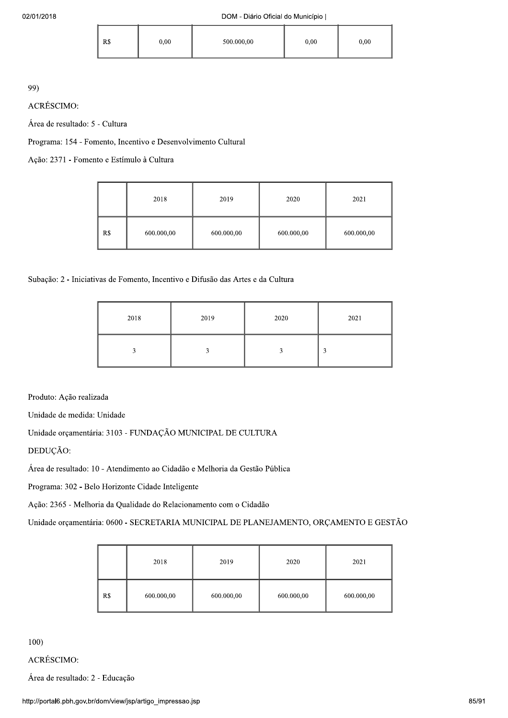| R\$ | 0,00 | 500.000,00 | $_{0.00}$ | 0,00 |
|-----|------|------------|-----------|------|
|     |      |            |           |      |

ACRÉSCIMO:

Área de resultado: 5 - Cultura

Programa: 154 - Fomento, Incentivo e Desenvolvimento Cultural

Ação: 2371 - Fomento e Estímulo à Cultura

|     | 2018       | 2019       | 2020       | 2021       |
|-----|------------|------------|------------|------------|
| R\$ | 600.000,00 | 600.000,00 | 600.000,00 | 600.000,00 |

Subação: 2 - Iniciativas de Fomento, Incentivo e Difusão das Artes e da Cultura

| 2018 | 2019 | 2020 | 2021 |
|------|------|------|------|
|      |      |      | 3    |

Produto: Ação realizada

Unidade de medida: Unidade

Unidade orçamentária: 3103 - FUNDAÇÃO MUNICIPAL DE CULTURA

DEDUÇÃO:

Área de resultado: 10 - Atendimento ao Cidadão e Melhoria da Gestão Pública

Programa: 302 - Belo Horizonte Cidade Inteligente

Ação: 2365 - Melhoria da Qualidade do Relacionamento com o Cidadão

Unidade orçamentária: 0600 - SECRETARIA MUNICIPAL DE PLANEJAMENTO, ORÇAMENTO E GESTÃO

|     | 2018       | 2019       | 2020       | 2021       |
|-----|------------|------------|------------|------------|
| R\$ | 600.000,00 | 600.000,00 | 600.000,00 | 600.000,00 |

 $100)$ 

**ACRÉSCIMO:** 

Área de resultado: 2 - Educação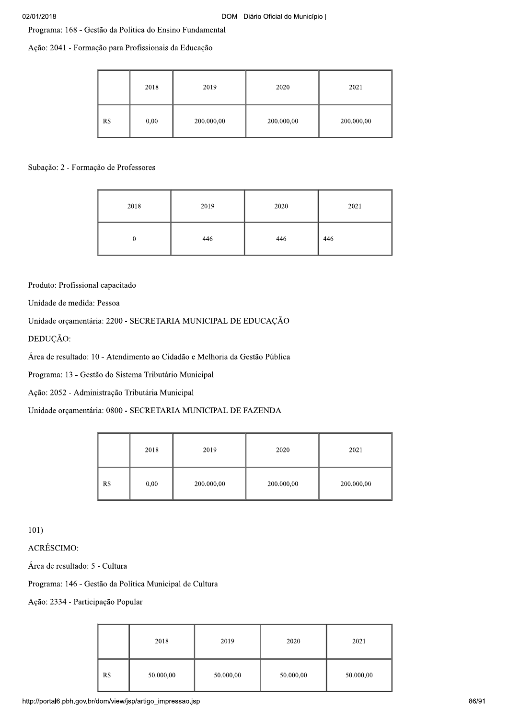| 02/01/2018                                               |     |      |            | DOM - Diário Oficial do Município |            |
|----------------------------------------------------------|-----|------|------------|-----------------------------------|------------|
| Programa: 168 - Gestão da Politica do Ensino Fundamental |     |      |            |                                   |            |
| Ação: 2041 - Formação para Profissionais da Educação     |     |      |            |                                   |            |
|                                                          |     |      |            |                                   |            |
|                                                          |     | 2018 | 2019       | 2020                              | 2021       |
|                                                          | R\$ | 0,00 | 200.000,00 | 200.000,00                        | 200.000,00 |

|                                                                                                                                                                                                                                                                                                                                                                                                       |                        | 2018             | 2019       | 2020       | 2021       |
|-------------------------------------------------------------------------------------------------------------------------------------------------------------------------------------------------------------------------------------------------------------------------------------------------------------------------------------------------------------------------------------------------------|------------------------|------------------|------------|------------|------------|
|                                                                                                                                                                                                                                                                                                                                                                                                       | $\mathbf{R}\mathbb{S}$ | 0,00             | 200.000,00 | 200.000,00 | 200.000,00 |
| Subação: 2 - Formação de Professores                                                                                                                                                                                                                                                                                                                                                                  |                        |                  |            |            |            |
|                                                                                                                                                                                                                                                                                                                                                                                                       |                        | 2018             | 2019       | 2020       | 2021       |
|                                                                                                                                                                                                                                                                                                                                                                                                       |                        | $\boldsymbol{0}$ | 446        | 446        | 446        |
| Produto: Profissional capacitado<br>Unidade de medida: Pessoa<br>Unidade orçamentária: 2200 - SECRETARIA MUNICIPAL DE EDUCAÇÃO<br>DEDUÇÃO:<br>Área de resultado: 10 - Atendimento ao Cidadão e Melhoria da Gestão Pública<br>Programa: 13 - Gestão do Sistema Tributário Municipal<br>Ação: 2052 - Administração Tributária Municipal<br>Unidade orçamentária: 0800 - SECRETARIA MUNICIPAL DE FAZENDA |                        |                  |            |            |            |
|                                                                                                                                                                                                                                                                                                                                                                                                       |                        | 2018             | 2019       | 2020       | 2021       |
|                                                                                                                                                                                                                                                                                                                                                                                                       | R\$                    | 0,00             | 200.000,00 | 200.000,00 | 200.000,00 |

|     | 2018 | 2019       | 2020       | 2021       |
|-----|------|------------|------------|------------|
| R\$ | 0,00 | 200.000,00 | 200.000,00 | 200.000,00 |

| 101)                                                    |                                   |           |           |           |           |
|---------------------------------------------------------|-----------------------------------|-----------|-----------|-----------|-----------|
| ACRÉSCIMO:                                              |                                   |           |           |           |           |
| Área de resultado: 5 - Cultura                          |                                   |           |           |           |           |
| Programa: 146 - Gestão da Política Municipal de Cultura |                                   |           |           |           |           |
|                                                         | Ação: 2334 - Participação Popular |           |           |           |           |
|                                                         |                                   |           |           |           |           |
|                                                         |                                   | 2018      | 2019      | 2020      | 2021      |
|                                                         | R\$                               | 50.000,00 | 50.000,00 | 50.000,00 | 50.000,00 |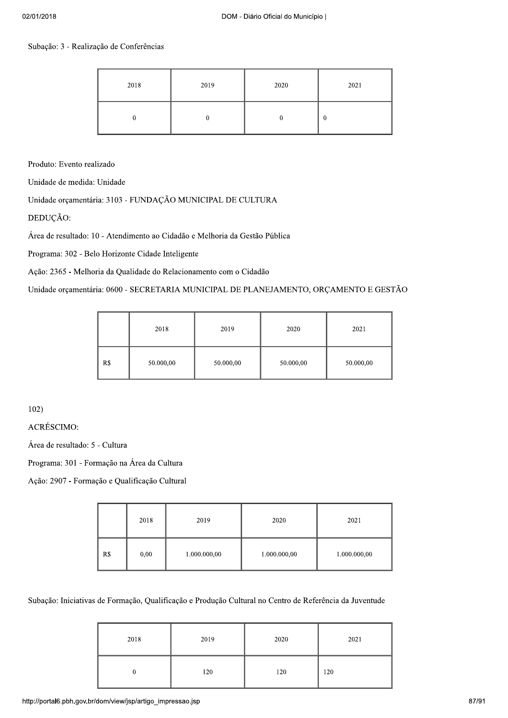## Subação: 3 - Realização de Conferências

| 2018 | 2019 | 2020 | 2021             |
|------|------|------|------------------|
|      |      |      | $\boldsymbol{0}$ |

Produto: Evento realizado

Unidade de medida: Unidade

Unidade orçamentária: 3103 - FUNDAÇÃO MUNICIPAL DE CULTURA

DEDUÇÃO:

Área de resultado: 10 - Atendimento ao Cidadão e Melhoria da Gestão Pública

Programa: 302 - Belo Horizonte Cidade Inteligente

Ação: 2365 - Melhoria da Qualidade do Relacionamento com o Cidadão

Unidade orçamentária: 0600 - SECRETARIA MUNICIPAL DE PLANEJAMENTO, ORÇAMENTO E GESTÃO

|     | 2018      | 2019      | 2020      | 2021      |
|-----|-----------|-----------|-----------|-----------|
| R\$ | 50.000,00 | 50.000,00 | 50.000,00 | 50.000,00 |

 $102)$ 

**ACRÉSCIMO:** 

Área de resultado: 5 - Cultura

Programa: 301 - Formação na Área da Cultura

Ação: 2907 - Formação e Qualificação Cultural

|     | 2018 | 2019         | 2020         | 2021         |
|-----|------|--------------|--------------|--------------|
| R\$ | 0,00 | 1.000.000,00 | 1.000.000,00 | 1.000.000,00 |

Subação: Iniciativas de Formação, Qualificação e Produção Cultural no Centro de Referência da Juventude

| 2018 | 2019 | 2020 | 2021 |
|------|------|------|------|
|      | 120  | 120  | 120  |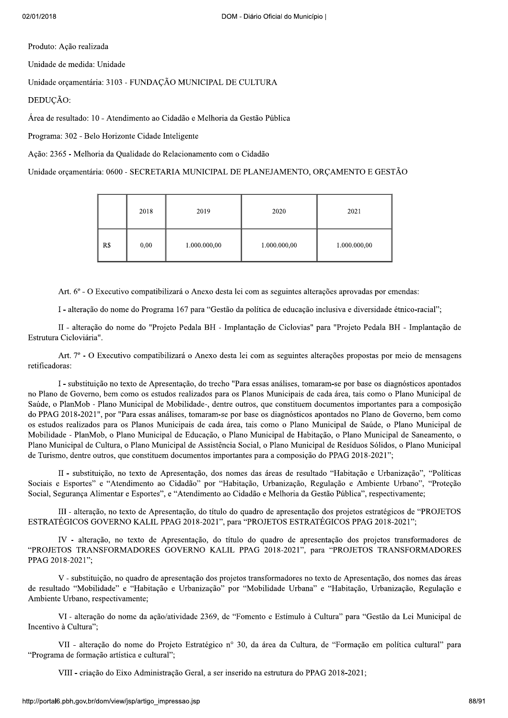Produto: Ação realizada

Unidade de medida: Unidade

Unidade orçamentária: 3103 - FUNDAÇÃO MUNICIPAL DE CULTURA

DEDUÇÃO:

Área de resultado: 10 - Atendimento ao Cidadão e Melhoria da Gestão Pública

Programa: 302 - Belo Horizonte Cidade Inteligente

Ação: 2365 - Melhoria da Qualidade do Relacionamento com o Cidadão

Unidade orçamentária: 0600 - SECRETARIA MUNICIPAL DE PLANEJAMENTO, ORÇAMENTO E GESTÃO

|     | 2018 | 2019         | 2020         | 2021         |
|-----|------|--------------|--------------|--------------|
| R\$ | 0,00 | 1.000.000,00 | 1.000.000,00 | 1.000.000,00 |

Art. 6° - O Executivo compatibilizará o Anexo desta lei com as seguintes alterações aprovadas por emendas:

I - alteração do nome do Programa 167 para "Gestão da política de educação inclusiva e diversidade étnico-racial";

II - alteração do nome do "Projeto Pedala BH - Implantação de Ciclovias" para "Projeto Pedala BH - Implantação de Estrutura Cicloviária".

Art. 7º - O Executivo compatibilizará o Anexo desta lei com as seguintes alterações propostas por meio de mensagens retificadoras:

I - substituição no texto de Apresentação, do trecho "Para essas análises, tomaram-se por base os diagnósticos apontados no Plano de Governo, bem como os estudos realizados para os Planos Municipais de cada área, tais como o Plano Municipal de Saúde, o PlanMob - Plano Municipal de Mobilidade-, dentre outros, que constituem documentos importantes para a composição do PPAG 2018-2021", por "Para essas análises, tomaram-se por base os diagnósticos apontados no Plano de Governo, bem como os estudos realizados para os Planos Municipais de cada área, tais como o Plano Municipal de Saúde, o Plano Municipal de Mobilidade - PlanMob, o Plano Municipal de Educação, o Plano Municipal de Habitação, o Plano Municipal de Saneamento, o Plano Municipal de Cultura, o Plano Municipal de Assistência Social, o Plano Municipal de Resíduos Sólidos, o Plano Municipal de Turismo, dentre outros, que constituem documentos importantes para a composição do PPAG 2018-2021";

II - substituição, no texto de Apresentação, dos nomes das áreas de resultado "Habitação e Urbanização", "Políticas Sociais e Esportes" e "Atendimento ao Cidadão" por "Habitação, Urbanização, Regulação e Ambiente Urbano", "Proteção Social, Segurança Alimentar e Esportes", e "Atendimento ao Cidadão e Melhoria da Gestão Pública", respectivamente;

III - alteração, no texto de Apresentação, do título do quadro de apresentação dos projetos estratégicos de "PROJETOS" ESTRATÉGICOS GOVERNO KALIL PPAG 2018-2021", para "PROJETOS ESTRATÉGICOS PPAG 2018-2021";

IV - alteração, no texto de Apresentação, do título do quadro de apresentação dos projetos transformadores de "PROJETOS TRANSFORMADORES GOVERNO KALIL PPAG 2018-2021", para "PROJETOS TRANSFORMADORES PPAG 2018-2021":

V - substituição, no quadro de apresentação dos projetos transformadores no texto de Apresentação, dos nomes das áreas de resultado "Mobilidade" e "Habitação e Urbanização" por "Mobilidade Urbana" e "Habitação, Urbanização, Regulação e Ambiente Urbano, respectivamente:

VI - alteração do nome da ação/atividade 2369, de "Fomento e Estímulo à Cultura" para "Gestão da Lei Municipal de Incentivo à Cultura";

VII - alteração do nome do Projeto Estratégico nº 30, da área da Cultura, de "Formação em política cultural" para "Programa de formação artística e cultural";

VIII - criação do Eixo Administração Geral, a ser inserido na estrutura do PPAG 2018-2021;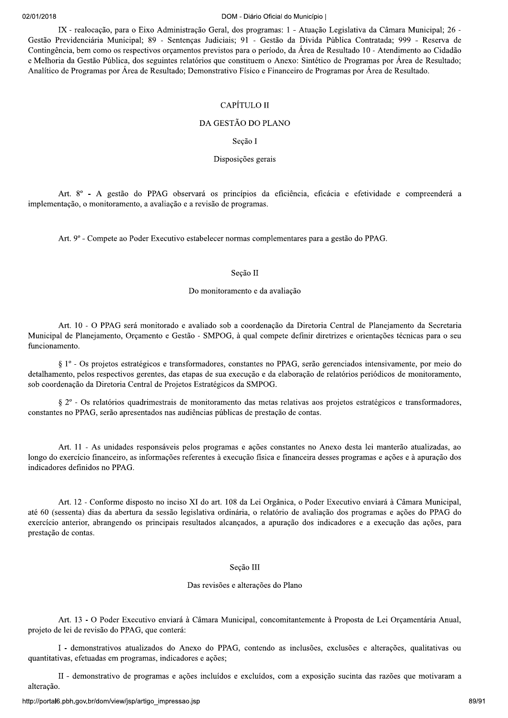#### DOM - Diário Oficial do Município I

IX - realocação, para o Eixo Administração Geral, dos programas: 1 - Atuação Legislativa da Câmara Municipal; 26 -Gestão Previdenciária Municipal; 89 - Sentenças Judiciais; 91 - Gestão da Dívida Pública Contratada; 999 - Reserva de Contingência, bem como os respectivos orçamentos previstos para o período, da Área de Resultado 10 - Atendimento ao Cidadão e Melhoria da Gestão Pública, dos seguintes relatórios que constituem o Anexo: Sintético de Programas por Área de Resultado; Analítico de Programas por Área de Resultado; Demonstrativo Físico e Financeiro de Programas por Área de Resultado.

## CAPÍTULO II

### DA GESTÃO DO PLANO

Seção I

Disposições gerais

Art. 8º - A gestão do PPAG observará os princípios da eficiência, eficácia e efetividade e compreenderá a implementação, o monitoramento, a avaliação e a revisão de programas.

Art. 9º - Compete ao Poder Executivo estabelecer normas complementares para a gestão do PPAG.

#### Secão II

## Do monitoramento e da avaliação

Art. 10 - O PPAG será monitorado e avaliado sob a coordenação da Diretoria Central de Planejamento da Secretaria Municipal de Planejamento, Orçamento e Gestão - SMPOG, à qual compete definir diretrizes e orientações técnicas para o seu funcionamento.

§ 1<sup>o</sup> - Os projetos estratégicos e transformadores, constantes no PPAG, serão gerenciados intensivamente, por meio do detalhamento, pelos respectivos gerentes, das etapas de sua execução e da elaboração de relatórios periódicos de monitoramento, sob coordenação da Diretoria Central de Projetos Estratégicos da SMPOG.

§ 2° - Os relatórios quadrimestrais de monitoramento das metas relativas aos projetos estratégicos e transformadores, constantes no PPAG, serão apresentados nas audiências públicas de prestação de contas.

Art. 11 - As unidades responsáveis pelos programas e ações constantes no Anexo desta lei manterão atualizadas, ao longo do exercício financeiro, as informações referentes à execução física e financeira desses programas e ações e à apuração dos indicadores definidos no PPAG.

Art. 12 - Conforme disposto no inciso XI do art. 108 da Lei Orgânica, o Poder Executivo enviará à Câmara Municipal, até 60 (sessenta) dias da abertura da sessão legislativa ordinária, o relatório de avaliação dos programas e ações do PPAG do exercício anterior, abrangendo os principais resultados alcançados, a apuração dos indicadores e a execução das ações, para prestação de contas.

#### Secão III

## Das revisões e alterações do Plano

Art. 13 - O Poder Executivo enviará à Câmara Municipal, concomitantemente à Proposta de Lei Orçamentária Anual, projeto de lei de revisão do PPAG, que conterá:

I - demonstrativos atualizados do Anexo do PPAG, contendo as inclusões, exclusões e alterações, qualitativas ou quantitativas, efetuadas em programas, indicadores e ações;

II - demonstrativo de programas e ações incluídos e excluídos, com a exposição sucinta das razões que motivaram a alteração.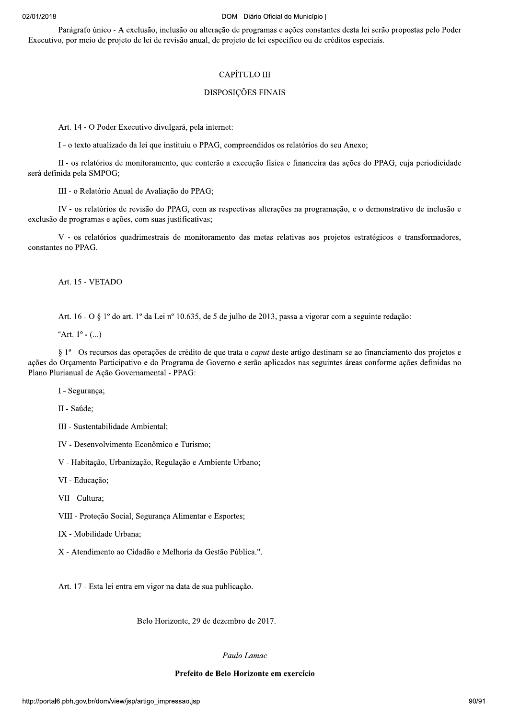## $2018$

DOM - Diário Oficial do Município |<br>
Parágrafo único - A exclusão, inclusão ou alteração de programas e ações constantes desta lei serão propostas pelo Poder<br>
Executivo, por meio de projeto de lei de revisão anual, de proj

DOM - Diário Oficial do Municí<br>
clusão, inclusão ou alteração de programas e ações co<br>
de lei de revisão anual, de projeto de lei específico ou<br>
CAPÍTULO III<br>
DISPOSIÇÕES FINAIS<br>
cutivo divulgará, pela internet:<br>
a lei que CAPÍTULO III<br>
DISPOSIÇÕES FINAIS<br>
Art. 14 - O Poder Executivo divulgará, pela internet:<br>
1 - o texto atualizado da lei que instituiu o PPAG, compreendidos os relatórios do seu Anexo;<br>
11 - o texto atualizado da lei que in

Art. 15 - VETADO

Art. 16 - O  $\S$  1<sup>o</sup> do art. 1<sup>o</sup> da Lei n<sup>o</sup> 10.635, de 5 de julho de 2013, passa a vigorar com a seguinte redação:

"Art.  $1^{\circ}$  - (...)

Art. 15 - VETADO<br>
Art. 16 - O § 1º do art. 1º da Lei nº 10.635, de 5 de julho de 2013, passa a vigorar com a seguinte redação:<br>
"Art. 1º - (...)<br>
§ 1º - Os recursos das operações de crédito de que trata o *caput* deste ar

V - Habitação, Urbanização, Regulação e Ambiente Urbano;

VI - Educação;

IV - Desenvolvimento Econômico e Turismo;<br>
V. - Habitação, Urbanização, Regulação e Ambiente Urbano;<br>
VII - Educação;<br>
VII - Proteção Social, Segurança Alimentar e Esportes;<br>
IX - Mobilidade Urbana;<br>
X - Atendimento ao Cid

Art. 17 - Esta lei entra em vigor na data de sua publicação.

Belo Horizonte, 29 de dezembro de 2017.

#### Paulo Lamac

#### Prefeito de Belo Horizonte em exercício